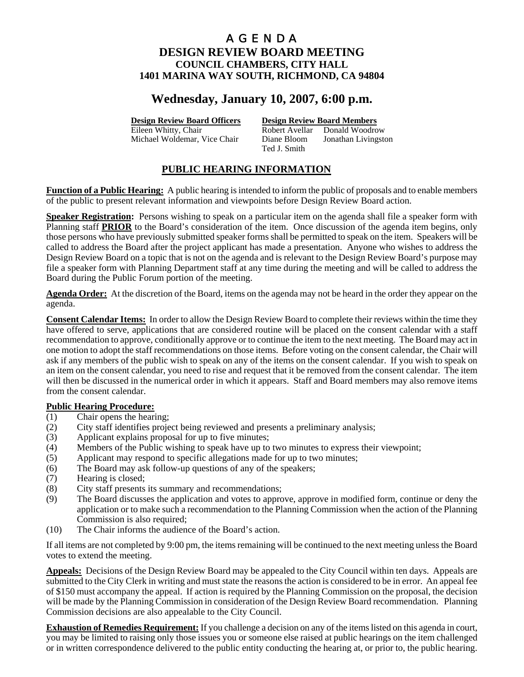# **Wednesday, January 10, 2007, 6:00 p.m.**

**Design Review Board Officers Design Review Board Members**

Eileen Whitty, Chair **Robert Avellar** Donald Woodrow Michael Woldemar, Vice Chair Diane Bloom Jonathan Livingston Ted J. Smith

## **PUBLIC HEARING INFORMATION**

**Function of a Public Hearing:** A public hearing is intended to inform the public of proposals and to enable members of the public to present relevant information and viewpoints before Design Review Board action.

**Speaker Registration:** Persons wishing to speak on a particular item on the agenda shall file a speaker form with Planning staff **PRIOR** to the Board's consideration of the item. Once discussion of the agenda item begins, only those persons who have previously submitted speaker forms shall be permitted to speak on the item. Speakers will be called to address the Board after the project applicant has made a presentation. Anyone who wishes to address the Design Review Board on a topic that is not on the agenda and is relevant to the Design Review Board's purpose may file a speaker form with Planning Department staff at any time during the meeting and will be called to address the Board during the Public Forum portion of the meeting.

**Agenda Order:** At the discretion of the Board, items on the agenda may not be heard in the order they appear on the agenda.

**Consent Calendar Items:** In order to allow the Design Review Board to complete their reviews within the time they have offered to serve, applications that are considered routine will be placed on the consent calendar with a staff recommendation to approve, conditionally approve or to continue the item to the next meeting. The Board may act in one motion to adopt the staff recommendations on those items. Before voting on the consent calendar, the Chair will ask if any members of the public wish to speak on any of the items on the consent calendar. If you wish to speak on an item on the consent calendar, you need to rise and request that it be removed from the consent calendar. The item will then be discussed in the numerical order in which it appears. Staff and Board members may also remove items from the consent calendar.

## **Public Hearing Procedure:**

- (1) Chair opens the hearing;
- (2) City staff identifies project being reviewed and presents a preliminary analysis;
- (3) Applicant explains proposal for up to five minutes;
- (4) Members of the Public wishing to speak have up to two minutes to express their viewpoint;
- (5) Applicant may respond to specific allegations made for up to two minutes;
- (6) The Board may ask follow-up questions of any of the speakers;
- (7) Hearing is closed;
- (8) City staff presents its summary and recommendations;
- (9) The Board discusses the application and votes to approve, approve in modified form, continue or deny the application or to make such a recommendation to the Planning Commission when the action of the Planning Commission is also required;
- (10) The Chair informs the audience of the Board's action.

If all items are not completed by 9:00 pm, the items remaining will be continued to the next meeting unless the Board votes to extend the meeting.

**Appeals:** Decisions of the Design Review Board may be appealed to the City Council within ten days. Appeals are submitted to the City Clerk in writing and must state the reasons the action is considered to be in error. An appeal fee of \$150 must accompany the appeal. If action is required by the Planning Commission on the proposal, the decision will be made by the Planning Commission in consideration of the Design Review Board recommendation. Planning Commission decisions are also appealable to the City Council.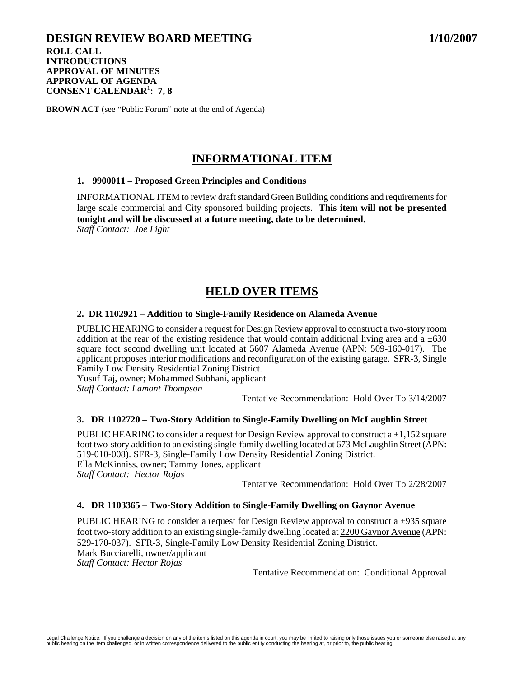## **DESIGN REVIEW BOARD MEETING 1/10/2007 ROLL CALL INTRODUCTIONS APPROVAL OF MINUTES APPROVAL OF AGENDA CONSENT CALENDAR**<sup>1</sup> **: 7, 8**

**BROWN ACT** (see "Public Forum" note at the end of Agenda)

# **INFORMATIONAL ITEM**

### **1. 9900011 – Proposed Green Principles and Conditions**

INFORMATIONAL ITEM to review draft standard Green Building conditions and requirements for large scale commercial and City sponsored building projects. **This item will not be presented tonight and will be discussed at a future meeting, date to be determined.**  *Staff Contact: Joe Light* 

## **HELD OVER ITEMS**

### **2. DR 1102921 – Addition to Single-Family Residence on Alameda Avenue**

PUBLIC HEARING to consider a request for Design Review approval to construct a two-story room addition at the rear of the existing residence that would contain additional living area and  $a \pm 630$ square foot second dwelling unit located at 5607 Alameda Avenue (APN: 509-160-017). The applicant proposes interior modifications and reconfiguration of the existing garage. SFR-3, Single Family Low Density Residential Zoning District.

Yusuf Taj, owner; Mohammed Subhani, applicant

*Staff Contact: Lamont Thompson* 

Tentative Recommendation: Hold Over To 3/14/2007

## **3. DR 1102720 – Two-Story Addition to Single-Family Dwelling on McLaughlin Street**

PUBLIC HEARING to consider a request for Design Review approval to construct  $a \pm 1,152$  square foot two-story addition to an existing single-family dwelling located at 673 McLaughlin Street (APN: 519-010-008). SFR-3, Single-Family Low Density Residential Zoning District. Ella McKinniss, owner; Tammy Jones, applicant *Staff Contact: Hector Rojas* 

Tentative Recommendation: Hold Over To 2/28/2007

#### **4. DR 1103365 – Two-Story Addition to Single-Family Dwelling on Gaynor Avenue**

PUBLIC HEARING to consider a request for Design Review approval to construct a  $\pm$ 935 square foot two-story addition to an existing single-family dwelling located at 2200 Gaynor Avenue (APN: 529-170-037). SFR-3, Single-Family Low Density Residential Zoning District. Mark Bucciarelli, owner/applicant *Staff Contact: Hector Rojas*  Tentative Recommendation: Conditional Approval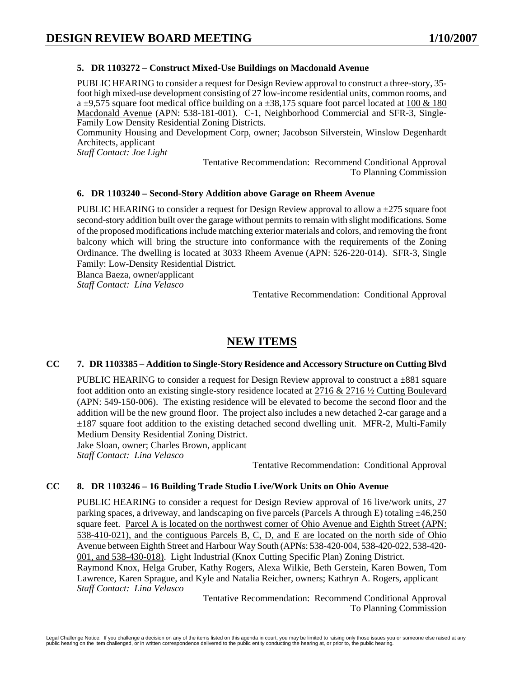## **5. DR 1103272 – Construct Mixed-Use Buildings on Macdonald Avenue**

PUBLIC HEARING to consider a request for Design Review approval to construct a three-story, 35 foot high mixed-use development consisting of 27 low-income residential units, common rooms, and a  $\pm$ 9,575 square foot medical office building on a  $\pm$ 38,175 square foot parcel located at 100 & 180 Macdonald Avenue (APN: 538-181-001). C-1, Neighborhood Commercial and SFR-3, Single-Family Low Density Residential Zoning Districts.

Community Housing and Development Corp, owner; Jacobson Silverstein, Winslow Degenhardt Architects, applicant

*Staff Contact: Joe Light* 

Tentative Recommendation: Recommend Conditional Approval To Planning Commission

## **6. DR 1103240 – Second-Story Addition above Garage on Rheem Avenue**

PUBLIC HEARING to consider a request for Design Review approval to allow a ±275 square foot second-story addition built over the garage without permits to remain with slight modifications. Some of the proposed modifications include matching exterior materials and colors, and removing the front balcony which will bring the structure into conformance with the requirements of the Zoning Ordinance. The dwelling is located at 3033 Rheem Avenue (APN: 526-220-014). SFR-3, Single Family: Low-Density Residential District.

Blanca Baeza, owner/applicant *Staff Contact: Lina Velasco* 

Tentative Recommendation: Conditional Approval

# **NEW ITEMS**

## **CC 7. DR 1103385 – Addition to Single-Story Residence and Accessory Structure on Cutting Blvd**

PUBLIC HEARING to consider a request for Design Review approval to construct a  $\pm 881$  square foot addition onto an existing single-story residence located at 2716 & 2716 ½ Cutting Boulevard (APN: 549-150-006). The existing residence will be elevated to become the second floor and the addition will be the new ground floor. The project also includes a new detached 2-car garage and a ±187 square foot addition to the existing detached second dwelling unit. MFR-2, Multi-Family Medium Density Residential Zoning District. Jake Sloan, owner; Charles Brown, applicant

*Staff Contact: Lina Velasco* 

Tentative Recommendation: Conditional Approval

## **CC 8. DR 1103246 – 16 Building Trade Studio Live/Work Units on Ohio Avenue**

PUBLIC HEARING to consider a request for Design Review approval of 16 live/work units, 27 parking spaces, a driveway, and landscaping on five parcels (Parcels A through E) totaling  $\pm$ 46,250 square feet. Parcel A is located on the northwest corner of Ohio Avenue and Eighth Street (APN: 538-410-021), and the contiguous Parcels B, C, D, and E are located on the north side of Ohio Avenue between Eighth Street and Harbour Way South (APNs: 538-420-004, 538-420-022, 538-420- 001, and 538-430-018). Light Industrial (Knox Cutting Specific Plan) Zoning District. Raymond Knox, Helga Gruber, Kathy Rogers, Alexa Wilkie, Beth Gerstein, Karen Bowen, Tom Lawrence, Karen Sprague, and Kyle and Natalia Reicher, owners; Kathryn A. Rogers, applicant *Staff Contact: Lina Velasco* 

Tentative Recommendation: Recommend Conditional Approval To Planning Commission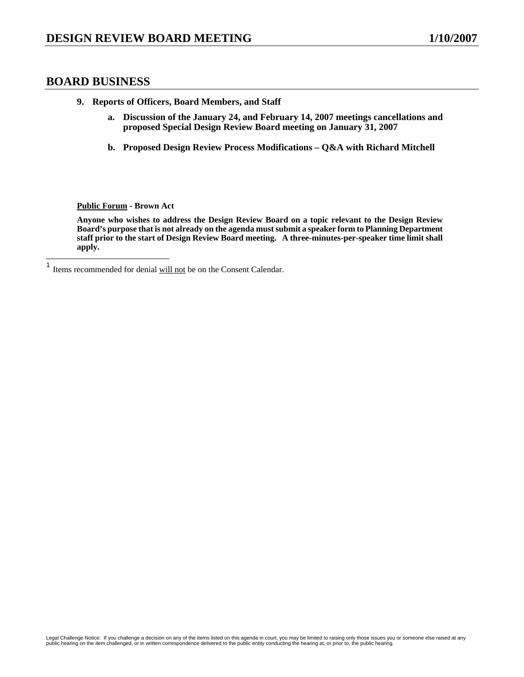## **BOARD BUSINESS**

- **9. Reports of Officers, Board Members, and Staff** 
	- **a. Discussion of the January 24, and February 14, 2007 meetings cancellations and proposed Special Design Review Board meeting on January 31, 2007**
	- **b. Proposed Design Review Process Modifications Q&A with Richard Mitchell**

**Public Forum - Brown Act** 

**Anyone who wishes to address the Design Review Board on a topic relevant to the Design Review Board's purpose that is not already on the agenda must submit a speaker form to Planning Department staff prior to the start of Design Review Board meeting. A three-minutes-per-speaker time limit shall apply.** 

 $\mathbf{1}$ Items recommended for denial will not be on the Consent Calendar.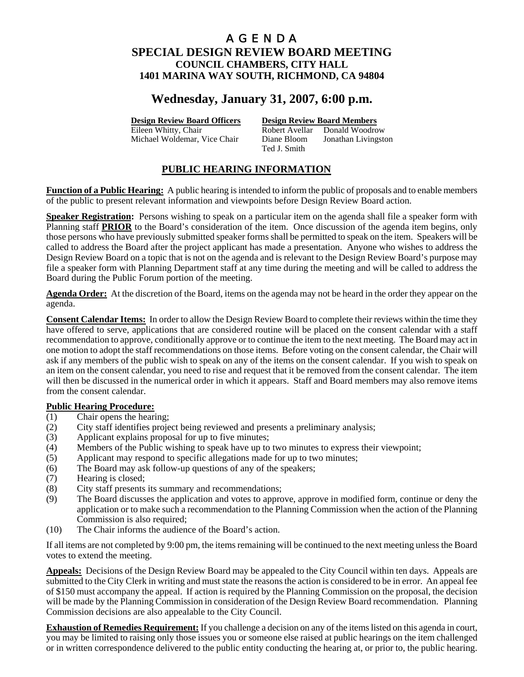# **Wednesday, January 31, 2007, 6:00 p.m.**

**Design Review Board Officers Design Review Board Members**

Eileen Whitty, Chair **Robert Avellar** Donald Woodrow Michael Woldemar, Vice Chair Diane Bloom Jonathan Livingston Ted J. Smith

## **PUBLIC HEARING INFORMATION**

**Function of a Public Hearing:** A public hearing is intended to inform the public of proposals and to enable members of the public to present relevant information and viewpoints before Design Review Board action.

**Speaker Registration:** Persons wishing to speak on a particular item on the agenda shall file a speaker form with Planning staff **PRIOR** to the Board's consideration of the item. Once discussion of the agenda item begins, only those persons who have previously submitted speaker forms shall be permitted to speak on the item. Speakers will be called to address the Board after the project applicant has made a presentation. Anyone who wishes to address the Design Review Board on a topic that is not on the agenda and is relevant to the Design Review Board's purpose may file a speaker form with Planning Department staff at any time during the meeting and will be called to address the Board during the Public Forum portion of the meeting.

**Agenda Order:** At the discretion of the Board, items on the agenda may not be heard in the order they appear on the agenda.

**Consent Calendar Items:** In order to allow the Design Review Board to complete their reviews within the time they have offered to serve, applications that are considered routine will be placed on the consent calendar with a staff recommendation to approve, conditionally approve or to continue the item to the next meeting. The Board may act in one motion to adopt the staff recommendations on those items. Before voting on the consent calendar, the Chair will ask if any members of the public wish to speak on any of the items on the consent calendar. If you wish to speak on an item on the consent calendar, you need to rise and request that it be removed from the consent calendar. The item will then be discussed in the numerical order in which it appears. Staff and Board members may also remove items from the consent calendar.

## **Public Hearing Procedure:**

- (1) Chair opens the hearing;
- (2) City staff identifies project being reviewed and presents a preliminary analysis;
- (3) Applicant explains proposal for up to five minutes;
- (4) Members of the Public wishing to speak have up to two minutes to express their viewpoint;
- (5) Applicant may respond to specific allegations made for up to two minutes;
- (6) The Board may ask follow-up questions of any of the speakers;
- (7) Hearing is closed;
- (8) City staff presents its summary and recommendations;
- (9) The Board discusses the application and votes to approve, approve in modified form, continue or deny the application or to make such a recommendation to the Planning Commission when the action of the Planning Commission is also required;
- (10) The Chair informs the audience of the Board's action.

If all items are not completed by 9:00 pm, the items remaining will be continued to the next meeting unless the Board votes to extend the meeting.

**Appeals:** Decisions of the Design Review Board may be appealed to the City Council within ten days. Appeals are submitted to the City Clerk in writing and must state the reasons the action is considered to be in error. An appeal fee of \$150 must accompany the appeal. If action is required by the Planning Commission on the proposal, the decision will be made by the Planning Commission in consideration of the Design Review Board recommendation. Planning Commission decisions are also appealable to the City Council.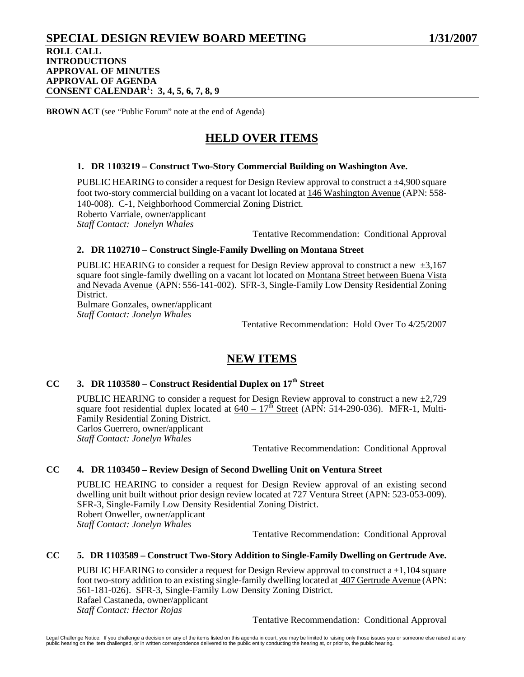# **SPECIAL DESIGN REVIEW BOARD MEETING 1/31/2007**

## **ROLL CALL INTRODUCTIONS APPROVAL OF MINUTES APPROVAL OF AGENDA CONSENT CALENDAR**<sup>1</sup> **: 3, 4, 5, 6, 7, 8, 9**

**BROWN ACT** (see "Public Forum" note at the end of Agenda)

# **HELD OVER ITEMS**

## **1. DR 1103219 – Construct Two-Story Commercial Building on Washington Ave.**

PUBLIC HEARING to consider a request for Design Review approval to construct a ±4,900 square foot two-story commercial building on a vacant lot located at 146 Washington Avenue (APN: 558-140-008). C-1, Neighborhood Commercial Zoning District. Roberto Varriale, owner/applicant *Staff Contact: Jonelyn Whales* 

Tentative Recommendation: Conditional Approval

## **2. DR 1102710 – Construct Single-Family Dwelling on Montana Street**

PUBLIC HEARING to consider a request for Design Review approval to construct a new  $\pm 3.167$ square foot single-family dwelling on a vacant lot located on Montana Street between Buena Vista and Nevada Avenue (APN: 556-141-002). SFR-3, Single-Family Low Density Residential Zoning District.

Bulmare Gonzales, owner/applicant *Staff Contact: Jonelyn Whales* 

Tentative Recommendation: Hold Over To 4/25/2007

# **NEW ITEMS**

## **CC 3. DR 1103580 – Construct Residential Duplex on 17th Street**

PUBLIC HEARING to consider a request for Design Review approval to construct a new  $\pm 2.729$ square foot residential duplex located at  $640 - 17^{th}$  Street (APN: 514-290-036). MFR-1, Multi-Family Residential Zoning District. Carlos Guerrero, owner/applicant *Staff Contact: Jonelyn Whales* 

Tentative Recommendation: Conditional Approval

## **CC 4. DR 1103450 – Review Design of Second Dwelling Unit on Ventura Street**

PUBLIC HEARING to consider a request for Design Review approval of an existing second dwelling unit built without prior design review located at 727 Ventura Street (APN: 523-053-009). SFR-3, Single-Family Low Density Residential Zoning District. Robert Onweller, owner/applicant *Staff Contact: Jonelyn Whales* 

Tentative Recommendation: Conditional Approval

## **CC 5. DR 1103589 – Construct Two-Story Addition to Single-Family Dwelling on Gertrude Ave.**

PUBLIC HEARING to consider a request for Design Review approval to construct a  $\pm 1,104$  square foot two-story addition to an existing single-family dwelling located at 407 Gertrude Avenue (APN: 561-181-026). SFR-3, Single-Family Low Density Zoning District. Rafael Castaneda, owner/applicant *Staff Contact: Hector Rojas* 

Tentative Recommendation: Conditional Approval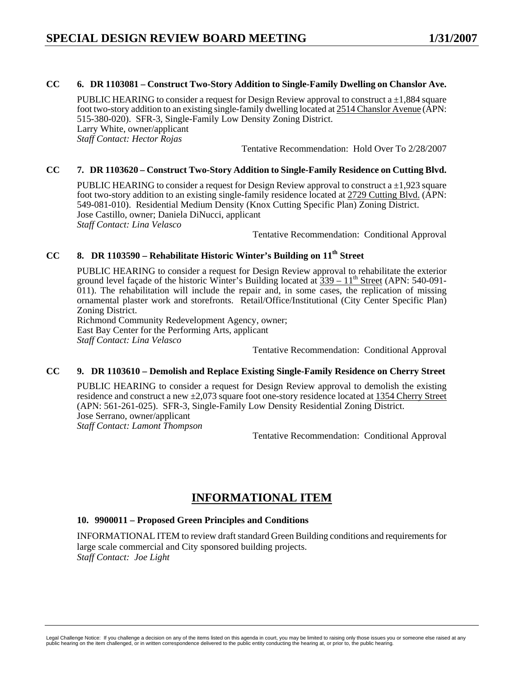## **CC 6. DR 1103081 – Construct Two-Story Addition to Single-Family Dwelling on Chanslor Ave.**

PUBLIC HEARING to consider a request for Design Review approval to construct a  $\pm 1,884$  square foot two-story addition to an existing single-family dwelling located at 2514 Chanslor Avenue (APN: 515-380-020). SFR-3, Single-Family Low Density Zoning District. Larry White, owner/applicant *Staff Contact: Hector Rojas* 

Tentative Recommendation: Hold Over To 2/28/2007

### **CC 7. DR 1103620 – Construct Two-Story Addition to Single-Family Residence on Cutting Blvd.**

PUBLIC HEARING to consider a request for Design Review approval to construct a  $\pm 1.923$  square foot two-story addition to an existing single-family residence located at 2729 Cutting Blvd. (APN: 549-081-010). Residential Medium Density (Knox Cutting Specific Plan) Zoning District. Jose Castillo, owner; Daniela DiNucci, applicant *Staff Contact: Lina Velasco* 

Tentative Recommendation: Conditional Approval

## CC 8. DR 1103590 – Rehabilitate Historic Winter's Building on 11<sup>th</sup> Street

PUBLIC HEARING to consider a request for Design Review approval to rehabilitate the exterior ground level façade of the historic Winter's Building located at  $\frac{339 - 11^{th}}{3}$  Street (APN: 540-091- $011$ ). The rehabilitation will include the repair and, in some cases, the replication of missing ornamental plaster work and storefronts. Retail/Office/Institutional (City Center Specific Plan) Zoning District.

Richmond Community Redevelopment Agency, owner; East Bay Center for the Performing Arts, applicant *Staff Contact: Lina Velasco* 

Tentative Recommendation: Conditional Approval

## **CC 9. DR 1103610 – Demolish and Replace Existing Single-Family Residence on Cherry Street**

PUBLIC HEARING to consider a request for Design Review approval to demolish the existing residence and construct a new  $\pm 2.073$  square foot one-story residence located at 1354 Cherry Street (APN: 561-261-025). SFR-3, Single-Family Low Density Residential Zoning District. Jose Serrano, owner/applicant *Staff Contact: Lamont Thompson* 

Tentative Recommendation: Conditional Approval

# **INFORMATIONAL ITEM**

## **10. 9900011 – Proposed Green Principles and Conditions**

INFORMATIONAL ITEM to review draft standard Green Building conditions and requirements for large scale commercial and City sponsored building projects. *Staff Contact: Joe Light*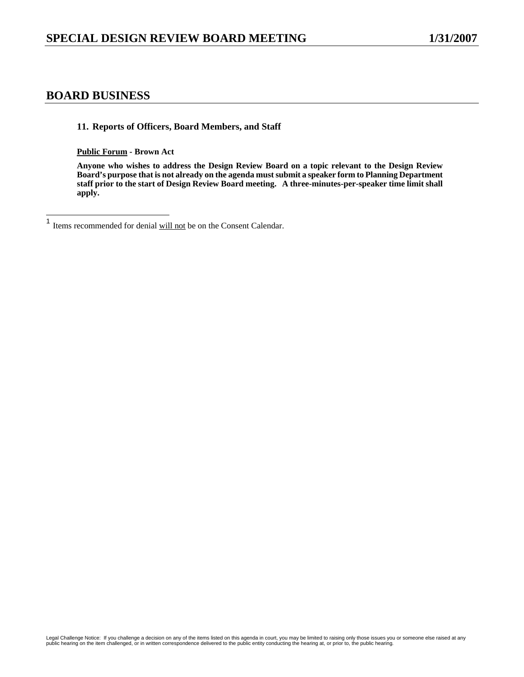## **BOARD BUSINESS**

**11. Reports of Officers, Board Members, and Staff** 

**Public Forum - Brown Act** 

**Anyone who wishes to address the Design Review Board on a topic relevant to the Design Review Board's purpose that is not already on the agenda must submit a speaker form to Planning Department staff prior to the start of Design Review Board meeting. A three-minutes-per-speaker time limit shall apply.** 

 $\mathbf{1}$ Items recommended for denial will not be on the Consent Calendar.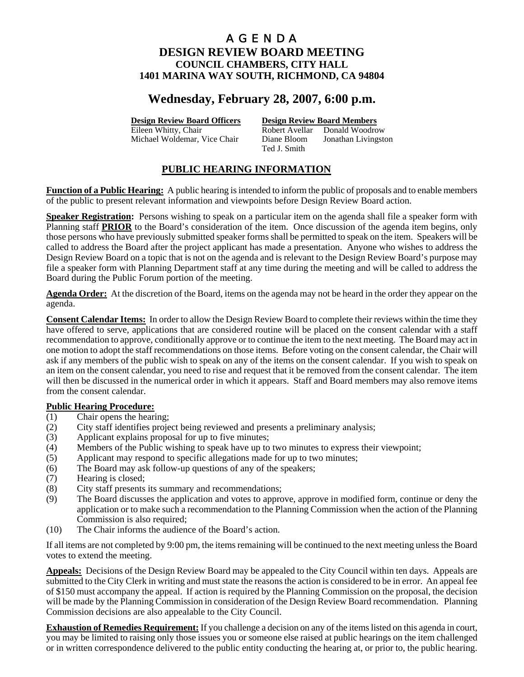# **Wednesday, February 28, 2007, 6:00 p.m.**

## **Design Review Board Officers Design Review Board Members**

Eileen Whitty, Chair **Robert Avellar** Donald Woodrow Michael Woldemar, Vice Chair Diane Bloom Jonathan Livingston Ted J. Smith

## **PUBLIC HEARING INFORMATION**

**Function of a Public Hearing:** A public hearing is intended to inform the public of proposals and to enable members of the public to present relevant information and viewpoints before Design Review Board action.

**Speaker Registration:** Persons wishing to speak on a particular item on the agenda shall file a speaker form with Planning staff **PRIOR** to the Board's consideration of the item. Once discussion of the agenda item begins, only those persons who have previously submitted speaker forms shall be permitted to speak on the item. Speakers will be called to address the Board after the project applicant has made a presentation. Anyone who wishes to address the Design Review Board on a topic that is not on the agenda and is relevant to the Design Review Board's purpose may file a speaker form with Planning Department staff at any time during the meeting and will be called to address the Board during the Public Forum portion of the meeting.

**Agenda Order:** At the discretion of the Board, items on the agenda may not be heard in the order they appear on the agenda.

**Consent Calendar Items:** In order to allow the Design Review Board to complete their reviews within the time they have offered to serve, applications that are considered routine will be placed on the consent calendar with a staff recommendation to approve, conditionally approve or to continue the item to the next meeting. The Board may act in one motion to adopt the staff recommendations on those items. Before voting on the consent calendar, the Chair will ask if any members of the public wish to speak on any of the items on the consent calendar. If you wish to speak on an item on the consent calendar, you need to rise and request that it be removed from the consent calendar. The item will then be discussed in the numerical order in which it appears. Staff and Board members may also remove items from the consent calendar.

## **Public Hearing Procedure:**

- (1) Chair opens the hearing;
- (2) City staff identifies project being reviewed and presents a preliminary analysis;
- (3) Applicant explains proposal for up to five minutes;
- (4) Members of the Public wishing to speak have up to two minutes to express their viewpoint;
- (5) Applicant may respond to specific allegations made for up to two minutes;
- (6) The Board may ask follow-up questions of any of the speakers;
- (7) Hearing is closed;
- (8) City staff presents its summary and recommendations;
- (9) The Board discusses the application and votes to approve, approve in modified form, continue or deny the application or to make such a recommendation to the Planning Commission when the action of the Planning Commission is also required;
- (10) The Chair informs the audience of the Board's action.

If all items are not completed by 9:00 pm, the items remaining will be continued to the next meeting unless the Board votes to extend the meeting.

**Appeals:** Decisions of the Design Review Board may be appealed to the City Council within ten days. Appeals are submitted to the City Clerk in writing and must state the reasons the action is considered to be in error. An appeal fee of \$150 must accompany the appeal. If action is required by the Planning Commission on the proposal, the decision will be made by the Planning Commission in consideration of the Design Review Board recommendation. Planning Commission decisions are also appealable to the City Council.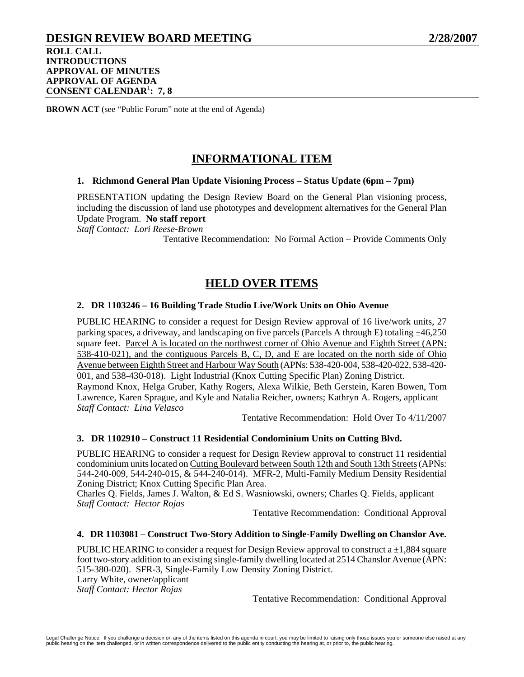## **DESIGN REVIEW BOARD MEETING 2/28/2007 ROLL CALL INTRODUCTIONS APPROVAL OF MINUTES APPROVAL OF AGENDA CONSENT CALENDAR**<sup>1</sup> **: 7, 8**

**BROWN ACT** (see "Public Forum" note at the end of Agenda)

# **INFORMATIONAL ITEM**

### **1. Richmond General Plan Update Visioning Process – Status Update (6pm – 7pm)**

PRESENTATION updating the Design Review Board on the General Plan visioning process, including the discussion of land use phototypes and development alternatives for the General Plan Update Program. **No staff report**

*Staff Contact: Lori Reese-Brown* 

Tentative Recommendation: No Formal Action – Provide Comments Only

## **HELD OVER ITEMS**

## **2. DR 1103246 – 16 Building Trade Studio Live/Work Units on Ohio Avenue**

PUBLIC HEARING to consider a request for Design Review approval of 16 live/work units, 27 parking spaces, a driveway, and landscaping on five parcels (Parcels A through E) totaling  $\pm$ 46,250 square feet. Parcel A is located on the northwest corner of Ohio Avenue and Eighth Street (APN: 538-410-021), and the contiguous Parcels B, C, D, and E are located on the north side of Ohio Avenue between Eighth Street and Harbour Way South (APNs: 538-420-004, 538-420-022, 538-420- 001, and 538-430-018). Light Industrial (Knox Cutting Specific Plan) Zoning District. Raymond Knox, Helga Gruber, Kathy Rogers, Alexa Wilkie, Beth Gerstein, Karen Bowen, Tom Lawrence, Karen Sprague, and Kyle and Natalia Reicher, owners; Kathryn A. Rogers, applicant *Staff Contact: Lina Velasco* 

Tentative Recommendation: Hold Over To 4/11/2007

### **3. DR 1102910 – Construct 11 Residential Condominium Units on Cutting Blvd.**

PUBLIC HEARING to consider a request for Design Review approval to construct 11 residential condominium units located on Cutting Boulevard between South 12th and South 13th Streets (APNs: 544-240-009, 544-240-015, & 544-240-014). MFR-2, Multi-Family Medium Density Residential Zoning District; Knox Cutting Specific Plan Area.

Charles Q. Fields, James J. Walton, & Ed S. Wasniowski, owners; Charles Q. Fields, applicant *Staff Contact: Hector Rojas* 

Tentative Recommendation: Conditional Approval

#### **4. DR 1103081 – Construct Two-Story Addition to Single-Family Dwelling on Chanslor Ave.**

PUBLIC HEARING to consider a request for Design Review approval to construct  $a \pm 1,884$  square foot two-story addition to an existing single-family dwelling located at 2514 Chanslor Avenue (APN: 515-380-020). SFR-3, Single-Family Low Density Zoning District. Larry White, owner/applicant *Staff Contact: Hector Rojas* 

Tentative Recommendation: Conditional Approval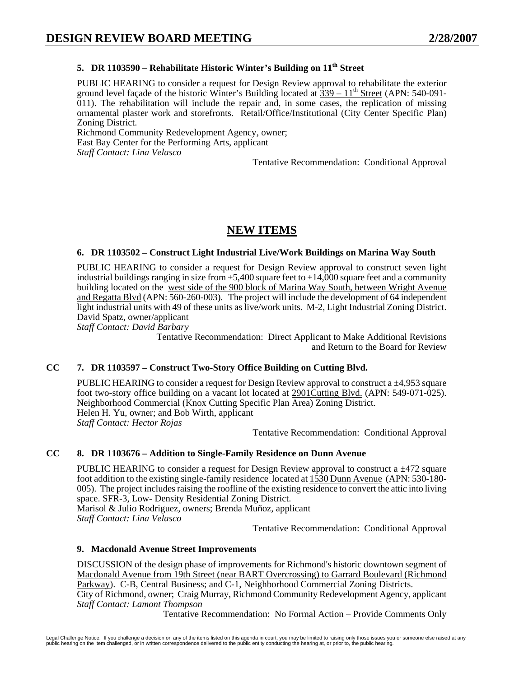## **5. DR 1103590 – Rehabilitate Historic Winter's Building on 11<sup>th</sup> Street**

PUBLIC HEARING to consider a request for Design Review approval to rehabilitate the exterior ground level façade of the historic Winter's Building located at  $\frac{339 - 11^{th}}{3}$  Street (APN: 540-091-011). The rehabilitation will include the repair and, in some cases, the replication of missing ornamental plaster work and storefronts. Retail/Office/Institutional (City Center Specific Plan) Zoning District.

Richmond Community Redevelopment Agency, owner; East Bay Center for the Performing Arts, applicant *Staff Contact: Lina Velasco* 

Tentative Recommendation: Conditional Approval

# **NEW ITEMS**

### **6. DR 1103502 – Construct Light Industrial Live/Work Buildings on Marina Way South**

PUBLIC HEARING to consider a request for Design Review approval to construct seven light industrial buildings ranging in size from  $\pm 5,400$  square feet to  $\pm 14,000$  square feet and a community building located on the west side of the 900 block of Marina Way South, between Wright Avenue and Regatta Blvd (APN: 560-260-003). The project will include the development of 64 independent light industrial units with 49 of these units as live/work units. M-2, Light Industrial Zoning District. David Spatz, owner/applicant

*Staff Contact: David Barbary* 

Tentative Recommendation: Direct Applicant to Make Additional Revisions and Return to the Board for Review

## **CC 7. DR 1103597 – Construct Two-Story Office Building on Cutting Blvd.**

PUBLIC HEARING to consider a request for Design Review approval to construct a ±4,953 square foot two-story office building on a vacant lot located at 2901Cutting Blvd. (APN: 549-071-025). Neighborhood Commercial (Knox Cutting Specific Plan Area) Zoning District. Helen H. Yu, owner; and Bob Wirth, applicant *Staff Contact: Hector Rojas* 

Tentative Recommendation: Conditional Approval

## **CC 8. DR 1103676 – Addition to Single-Family Residence on Dunn Avenue**

PUBLIC HEARING to consider a request for Design Review approval to construct a  $\pm$ 472 square foot addition to the existing single-family residence located at 1530 Dunn Avenue (APN: 530-180- 005). The project includes raising the roofline of the existing residence to convert the attic into living space. SFR-3, Low- Density Residential Zoning District. Marisol & Julio Rodriguez, owners; Brenda Muñoz, applicant *Staff Contact: Lina Velasco* 

Tentative Recommendation: Conditional Approval

## **9. Macdonald Avenue Street Improvements**

DISCUSSION of the design phase of improvements for Richmond's historic downtown segment of Macdonald Avenue from 19th Street (near BART Overcrossing) to Garrard Boulevard (Richmond Parkway). C-B, Central Business; and C-1, Neighborhood Commercial Zoning Districts. City of Richmond, owner; Craig Murray, Richmond Community Redevelopment Agency, applicant

*Staff Contact: Lamont Thompson* 

Tentative Recommendation: No Formal Action – Provide Comments Only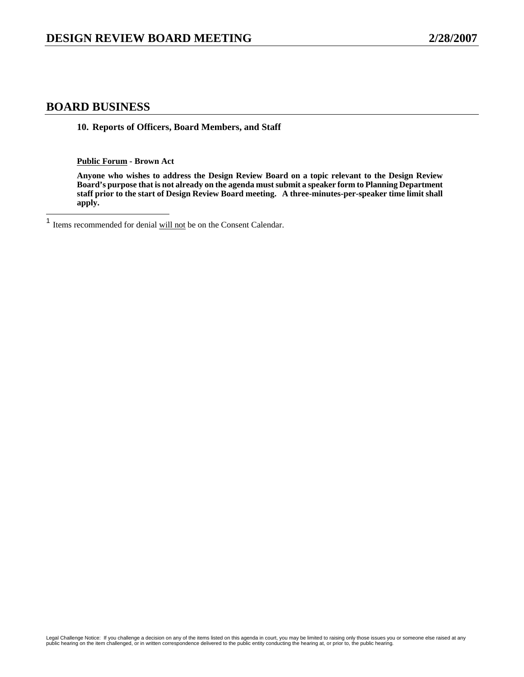## **BOARD BUSINESS**

**10. Reports of Officers, Board Members, and Staff** 

**Public Forum - Brown Act** 

**Anyone who wishes to address the Design Review Board on a topic relevant to the Design Review Board's purpose that is not already on the agenda must submit a speaker form to Planning Department staff prior to the start of Design Review Board meeting. A three-minutes-per-speaker time limit shall apply.** 

 $\mathbf{1}$ Items recommended for denial will not be on the Consent Calendar.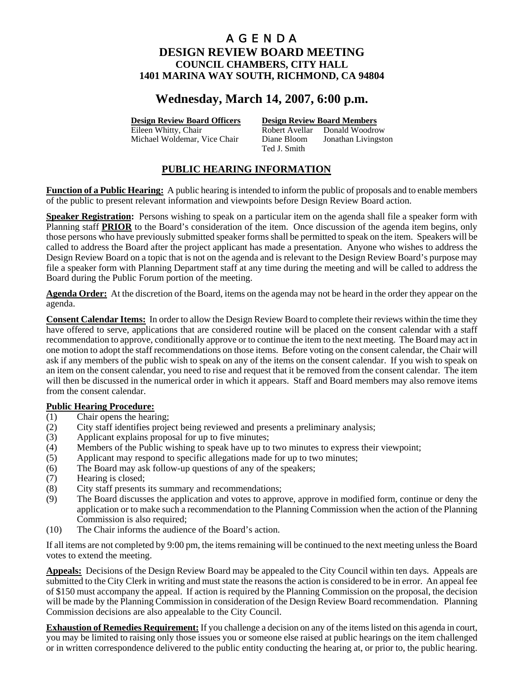# **Wednesday, March 14, 2007, 6:00 p.m.**

**Design Review Board Officers Design Review Board Members**

Eileen Whitty, Chair **Robert Avellar** Donald Woodrow Michael Woldemar, Vice Chair Diane Bloom Jonathan Livingston Ted J. Smith

## **PUBLIC HEARING INFORMATION**

**Function of a Public Hearing:** A public hearing is intended to inform the public of proposals and to enable members of the public to present relevant information and viewpoints before Design Review Board action.

**Speaker Registration:** Persons wishing to speak on a particular item on the agenda shall file a speaker form with Planning staff **PRIOR** to the Board's consideration of the item. Once discussion of the agenda item begins, only those persons who have previously submitted speaker forms shall be permitted to speak on the item. Speakers will be called to address the Board after the project applicant has made a presentation. Anyone who wishes to address the Design Review Board on a topic that is not on the agenda and is relevant to the Design Review Board's purpose may file a speaker form with Planning Department staff at any time during the meeting and will be called to address the Board during the Public Forum portion of the meeting.

**Agenda Order:** At the discretion of the Board, items on the agenda may not be heard in the order they appear on the agenda.

**Consent Calendar Items:** In order to allow the Design Review Board to complete their reviews within the time they have offered to serve, applications that are considered routine will be placed on the consent calendar with a staff recommendation to approve, conditionally approve or to continue the item to the next meeting. The Board may act in one motion to adopt the staff recommendations on those items. Before voting on the consent calendar, the Chair will ask if any members of the public wish to speak on any of the items on the consent calendar. If you wish to speak on an item on the consent calendar, you need to rise and request that it be removed from the consent calendar. The item will then be discussed in the numerical order in which it appears. Staff and Board members may also remove items from the consent calendar.

## **Public Hearing Procedure:**

- (1) Chair opens the hearing;
- (2) City staff identifies project being reviewed and presents a preliminary analysis;
- (3) Applicant explains proposal for up to five minutes;
- (4) Members of the Public wishing to speak have up to two minutes to express their viewpoint;
- (5) Applicant may respond to specific allegations made for up to two minutes;
- (6) The Board may ask follow-up questions of any of the speakers;
- (7) Hearing is closed;
- (8) City staff presents its summary and recommendations;
- (9) The Board discusses the application and votes to approve, approve in modified form, continue or deny the application or to make such a recommendation to the Planning Commission when the action of the Planning Commission is also required;
- (10) The Chair informs the audience of the Board's action.

If all items are not completed by 9:00 pm, the items remaining will be continued to the next meeting unless the Board votes to extend the meeting.

**Appeals:** Decisions of the Design Review Board may be appealed to the City Council within ten days. Appeals are submitted to the City Clerk in writing and must state the reasons the action is considered to be in error. An appeal fee of \$150 must accompany the appeal. If action is required by the Planning Commission on the proposal, the decision will be made by the Planning Commission in consideration of the Design Review Board recommendation. Planning Commission decisions are also appealable to the City Council.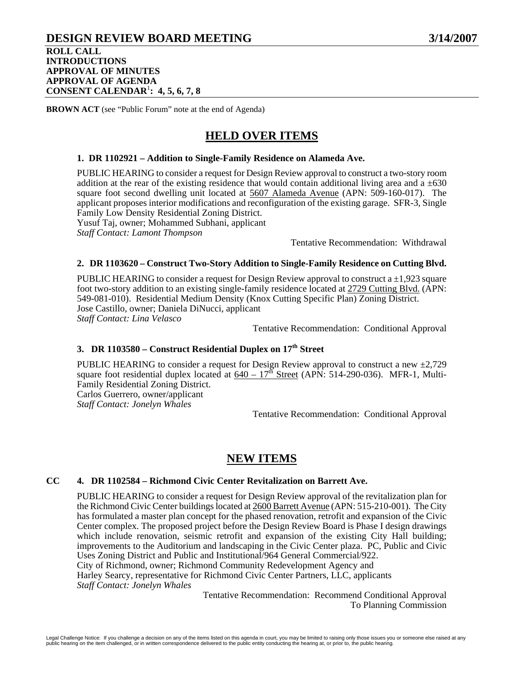## **DESIGN REVIEW BOARD MEETING 3/14/2007 ROLL CALL INTRODUCTIONS**

## **APPROVAL OF MINUTES APPROVAL OF AGENDA CONSENT CALENDAR**<sup>1</sup> **: 4, 5, 6, 7, 8**

**BROWN ACT** (see "Public Forum" note at the end of Agenda)

# **HELD OVER ITEMS**

### **1. DR 1102921 – Addition to Single-Family Residence on Alameda Ave.**

PUBLIC HEARING to consider a request for Design Review approval to construct a two-story room addition at the rear of the existing residence that would contain additional living area and a  $\pm 630$ square foot second dwelling unit located at 5607 Alameda Avenue (APN: 509-160-017). The applicant proposes interior modifications and reconfiguration of the existing garage. SFR-3, Single Family Low Density Residential Zoning District.

Yusuf Taj, owner; Mohammed Subhani, applicant

*Staff Contact: Lamont Thompson* 

Tentative Recommendation: Withdrawal

### **2. DR 1103620 – Construct Two-Story Addition to Single-Family Residence on Cutting Blvd.**

PUBLIC HEARING to consider a request for Design Review approval to construct a  $\pm 1,923$  square foot two-story addition to an existing single-family residence located at 2729 Cutting Blvd. (APN: 549-081-010). Residential Medium Density (Knox Cutting Specific Plan) Zoning District. Jose Castillo, owner; Daniela DiNucci, applicant *Staff Contact: Lina Velasco* 

Tentative Recommendation: Conditional Approval

## **3. DR 1103580 – Construct Residential Duplex on 17th Street**

PUBLIC HEARING to consider a request for Design Review approval to construct a new  $\pm 2,729$ square foot residential duplex located at  $640 - 17^{h}$  Street (APN: 514-290-036). MFR-1, Multi-Family Residential Zoning District.

Carlos Guerrero, owner/applicant *Staff Contact: Jonelyn Whales* 

Tentative Recommendation: Conditional Approval

## **NEW ITEMS**

#### **CC 4. DR 1102584 – Richmond Civic Center Revitalization on Barrett Ave.**

PUBLIC HEARING to consider a request for Design Review approval of the revitalization plan for the Richmond Civic Center buildings located at 2600 Barrett Avenue (APN: 515-210-001). The City has formulated a master plan concept for the phased renovation, retrofit and expansion of the Civic Center complex. The proposed project before the Design Review Board is Phase I design drawings which include renovation, seismic retrofit and expansion of the existing City Hall building; improvements to the Auditorium and landscaping in the Civic Center plaza. PC, Public and Civic Uses Zoning District and Public and Institutional/964 General Commercial/922. City of Richmond, owner; Richmond Community Redevelopment Agency and Harley Searcy, representative for Richmond Civic Center Partners, LLC, applicants *Staff Contact: Jonelyn Whales* 

Tentative Recommendation: Recommend Conditional Approval To Planning Commission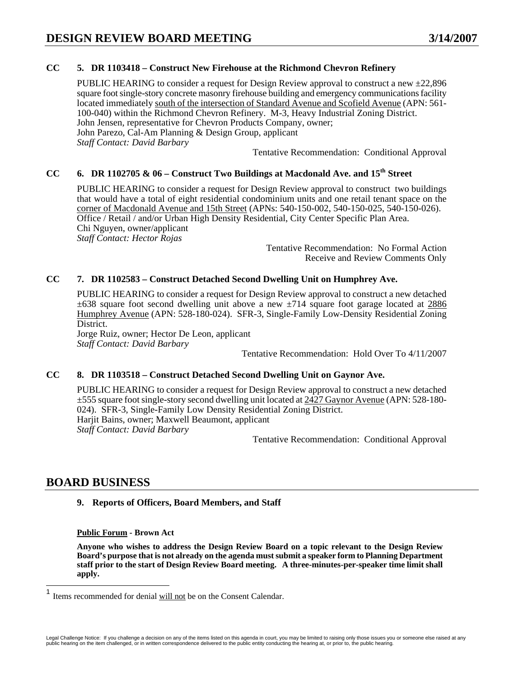## **CC 5. DR 1103418 – Construct New Firehouse at the Richmond Chevron Refinery**

PUBLIC HEARING to consider a request for Design Review approval to construct a new  $\pm 22,896$ square foot single-story concrete masonry firehouse building and emergency communications facility located immediately south of the intersection of Standard Avenue and Scofield Avenue (APN: 561- 100-040) within the Richmond Chevron Refinery. M-3, Heavy Industrial Zoning District. John Jensen, representative for Chevron Products Company, owner; John Parezo, Cal-Am Planning & Design Group, applicant *Staff Contact: David Barbary* 

Tentative Recommendation: Conditional Approval

## **CC 6. DR 1102705 & 06 – Construct Two Buildings at Macdonald Ave. and 15th Street**

PUBLIC HEARING to consider a request for Design Review approval to construct two buildings that would have a total of eight residential condominium units and one retail tenant space on the corner of Macdonald Avenue and 15th Street (APNs: 540-150-002, 540-150-025, 540-150-026). Office / Retail / and/or Urban High Density Residential, City Center Specific Plan Area. Chi Nguyen, owner/applicant *Staff Contact: Hector Rojas* 

Tentative Recommendation: No Formal Action Receive and Review Comments Only

## **CC 7. DR 1102583 – Construct Detached Second Dwelling Unit on Humphrey Ave.**

PUBLIC HEARING to consider a request for Design Review approval to construct a new detached  $\pm 638$  square foot second dwelling unit above a new  $\pm 714$  square foot garage located at 2886 Humphrey Avenue (APN: 528-180-024). SFR-3, Single-Family Low-Density Residential Zoning District.

Jorge Ruiz, owner; Hector De Leon, applicant *Staff Contact: David Barbary* 

Tentative Recommendation: Hold Over To 4/11/2007

#### **CC 8. DR 1103518 – Construct Detached Second Dwelling Unit on Gaynor Ave.**

PUBLIC HEARING to consider a request for Design Review approval to construct a new detached ±555 square foot single-story second dwelling unit located at 2427 Gaynor Avenue (APN: 528-180- 024). SFR-3, Single-Family Low Density Residential Zoning District. Harjit Bains, owner; Maxwell Beaumont, applicant *Staff Contact: David Barbary* 

Tentative Recommendation: Conditional Approval

## **BOARD BUSINESS**

 $\overline{\phantom{a}}$ 

## **9. Reports of Officers, Board Members, and Staff**

**Public Forum - Brown Act** 

**Anyone who wishes to address the Design Review Board on a topic relevant to the Design Review Board's purpose that is not already on the agenda must submit a speaker form to Planning Department staff prior to the start of Design Review Board meeting. A three-minutes-per-speaker time limit shall apply.** 

<sup>1</sup> Items recommended for denial will not be on the Consent Calendar.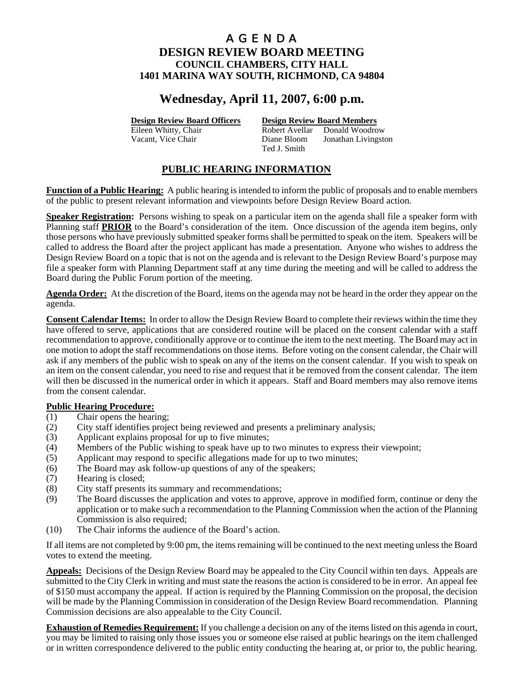# **Wednesday, April 11, 2007, 6:00 p.m.**

**Design Review Board Officers Design Review Board Members**

Eileen Whitty, Chair **Robert Avellar** Donald Woodrow Vacant, Vice Chair Diane Bloom Jonathan Livingston Ted J. Smith

## **PUBLIC HEARING INFORMATION**

**Function of a Public Hearing:** A public hearing is intended to inform the public of proposals and to enable members of the public to present relevant information and viewpoints before Design Review Board action.

**Speaker Registration:** Persons wishing to speak on a particular item on the agenda shall file a speaker form with Planning staff **PRIOR** to the Board's consideration of the item. Once discussion of the agenda item begins, only those persons who have previously submitted speaker forms shall be permitted to speak on the item. Speakers will be called to address the Board after the project applicant has made a presentation. Anyone who wishes to address the Design Review Board on a topic that is not on the agenda and is relevant to the Design Review Board's purpose may file a speaker form with Planning Department staff at any time during the meeting and will be called to address the Board during the Public Forum portion of the meeting.

**Agenda Order:** At the discretion of the Board, items on the agenda may not be heard in the order they appear on the agenda.

**Consent Calendar Items:** In order to allow the Design Review Board to complete their reviews within the time they have offered to serve, applications that are considered routine will be placed on the consent calendar with a staff recommendation to approve, conditionally approve or to continue the item to the next meeting. The Board may act in one motion to adopt the staff recommendations on those items. Before voting on the consent calendar, the Chair will ask if any members of the public wish to speak on any of the items on the consent calendar. If you wish to speak on an item on the consent calendar, you need to rise and request that it be removed from the consent calendar. The item will then be discussed in the numerical order in which it appears. Staff and Board members may also remove items from the consent calendar.

## **Public Hearing Procedure:**

- (1) Chair opens the hearing;
- (2) City staff identifies project being reviewed and presents a preliminary analysis;
- (3) Applicant explains proposal for up to five minutes;
- (4) Members of the Public wishing to speak have up to two minutes to express their viewpoint;
- (5) Applicant may respond to specific allegations made for up to two minutes;
- (6) The Board may ask follow-up questions of any of the speakers;
- (7) Hearing is closed;
- (8) City staff presents its summary and recommendations;
- (9) The Board discusses the application and votes to approve, approve in modified form, continue or deny the application or to make such a recommendation to the Planning Commission when the action of the Planning Commission is also required;
- (10) The Chair informs the audience of the Board's action.

If all items are not completed by 9:00 pm, the items remaining will be continued to the next meeting unless the Board votes to extend the meeting.

**Appeals:** Decisions of the Design Review Board may be appealed to the City Council within ten days. Appeals are submitted to the City Clerk in writing and must state the reasons the action is considered to be in error. An appeal fee of \$150 must accompany the appeal. If action is required by the Planning Commission on the proposal, the decision will be made by the Planning Commission in consideration of the Design Review Board recommendation. Planning Commission decisions are also appealable to the City Council.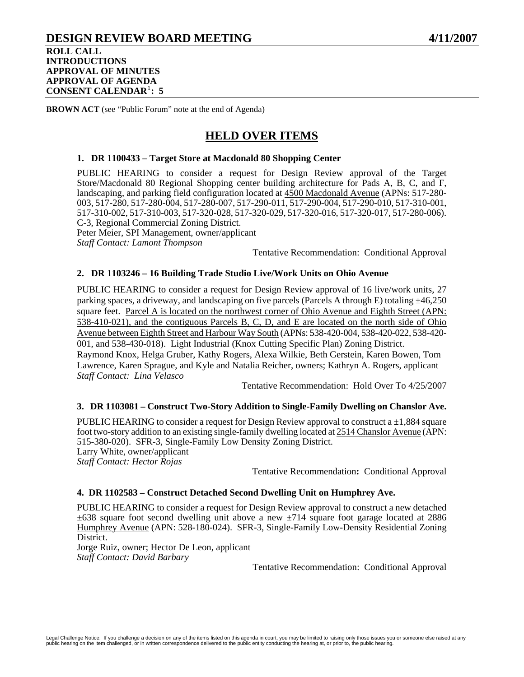## **DESIGN REVIEW BOARD MEETING 4/11/2007 ROLL CALL INTRODUCTIONS APPROVAL OF MINUTES APPROVAL OF AGENDA CONSENT CALENDAR**[1](#page-17-0) **: 5**

**BROWN ACT** (see "Public Forum" note at the end of Agenda)

# **HELD OVER ITEMS**

### **1. DR 1100433 – Target Store at Macdonald 80 Shopping Center**

PUBLIC HEARING to consider a request for Design Review approval of the Target Store/Macdonald 80 Regional Shopping center building architecture for Pads A, B, C, and F, landscaping, and parking field configuration located at 4500 Macdonald Avenue (APNs: 517-280- 003, 517-280, 517-280-004, 517-280-007, 517-290-011, 517-290-004, 517-290-010, 517-310-001, 517-310-002, 517-310-003, 517-320-028, 517-320-029, 517-320-016, 517-320-017, 517-280-006). C-3, Regional Commercial Zoning District.

Peter Meier, SPI Management, owner/applicant *Staff Contact: Lamont Thompson* 

Tentative Recommendation: Conditional Approval

### **2. DR 1103246 – 16 Building Trade Studio Live/Work Units on Ohio Avenue**

PUBLIC HEARING to consider a request for Design Review approval of 16 live/work units, 27 parking spaces, a driveway, and landscaping on five parcels (Parcels A through E) totaling  $\pm 46,250$ square feet. Parcel A is located on the northwest corner of Ohio Avenue and Eighth Street (APN: 538-410-021), and the contiguous Parcels B, C, D, and E are located on the north side of Ohio Avenue between Eighth Street and Harbour Way South (APNs: 538-420-004, 538-420-022, 538-420- 001, and 538-430-018). Light Industrial (Knox Cutting Specific Plan) Zoning District. Raymond Knox, Helga Gruber, Kathy Rogers, Alexa Wilkie, Beth Gerstein, Karen Bowen, Tom Lawrence, Karen Sprague, and Kyle and Natalia Reicher, owners; Kathryn A. Rogers, applicant *Staff Contact: Lina Velasco* 

Tentative Recommendation: Hold Over To 4/25/2007

#### **3. DR 1103081 – Construct Two-Story Addition to Single-Family Dwelling on Chanslor Ave.**

PUBLIC HEARING to consider a request for Design Review approval to construct  $a \pm 1.884$  square foot two-story addition to an existing single-family dwelling located at 2514 Chanslor Avenue (APN: 515-380-020). SFR-3, Single-Family Low Density Zoning District. Larry White, owner/applicant *Staff Contact: Hector Rojas* 

Tentative Recommendation**:** Conditional Approval

#### **4. DR 1102583 – Construct Detached Second Dwelling Unit on Humphrey Ave.**

PUBLIC HEARING to consider a request for Design Review approval to construct a new detached  $\pm 638$  square foot second dwelling unit above a new  $\pm 714$  square foot garage located at 2886 Humphrey Avenue (APN: 528-180-024). SFR-3, Single-Family Low-Density Residential Zoning District.

Jorge Ruiz, owner; Hector De Leon, applicant *Staff Contact: David Barbary* 

Tentative Recommendation: Conditional Approval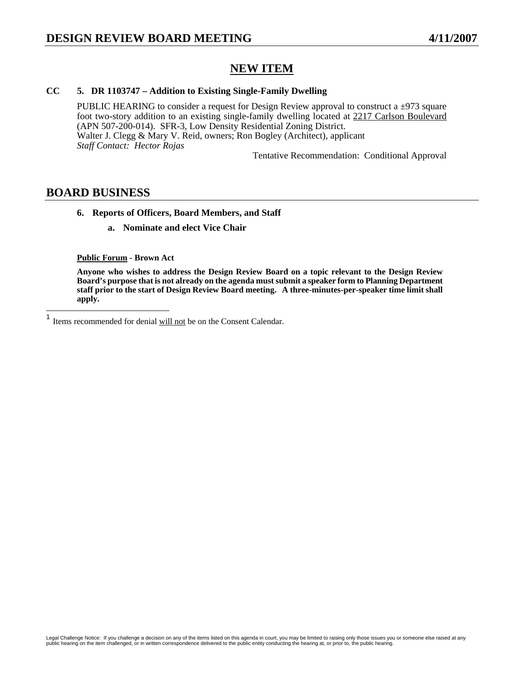# **NEW ITEM**

## **CC 5. DR 1103747 – Addition to Existing Single-Family Dwelling**

PUBLIC HEARING to consider a request for Design Review approval to construct a  $\pm$ 973 square foot two-story addition to an existing single-family dwelling located at 2217 Carlson Boulevard (APN 507-200-014). SFR-3, Low Density Residential Zoning District. Walter J. Clegg & Mary V. Reid, owners; Ron Bogley (Architect), applicant *Staff Contact: Hector Rojas* 

Tentative Recommendation: Conditional Approval

## **BOARD BUSINESS**

### **6. Reports of Officers, Board Members, and Staff**

**a. Nominate and elect Vice Chair** 

#### **Public Forum - Brown Act**

**Anyone who wishes to address the Design Review Board on a topic relevant to the Design Review Board's purpose that is not already on the agenda must submit a speaker form to Planning Department staff prior to the start of Design Review Board meeting. A three-minutes-per-speaker time limit shall apply.** 

<span id="page-17-0"></span> $\mathbf{1}$ Items recommended for denial will not be on the Consent Calendar.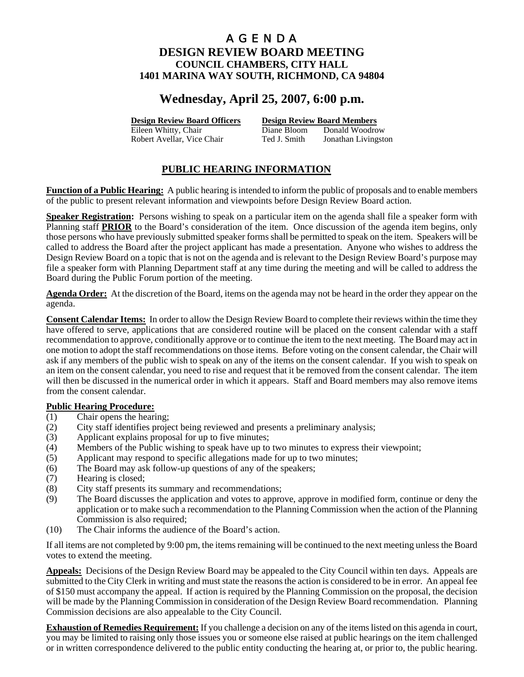# **Wednesday, April 25, 2007, 6:00 p.m.**

**Design Review Board Officers Design Review Board Members**

Eileen Whitty, Chair **Diane Bloom** Donald Woodrow Robert Avellar, Vice Chair Ted J. Smith Jonathan Livingston

## **PUBLIC HEARING INFORMATION**

**Function of a Public Hearing:** A public hearing is intended to inform the public of proposals and to enable members of the public to present relevant information and viewpoints before Design Review Board action.

**Speaker Registration:** Persons wishing to speak on a particular item on the agenda shall file a speaker form with Planning staff **PRIOR** to the Board's consideration of the item. Once discussion of the agenda item begins, only those persons who have previously submitted speaker forms shall be permitted to speak on the item. Speakers will be called to address the Board after the project applicant has made a presentation. Anyone who wishes to address the Design Review Board on a topic that is not on the agenda and is relevant to the Design Review Board's purpose may file a speaker form with Planning Department staff at any time during the meeting and will be called to address the Board during the Public Forum portion of the meeting.

**Agenda Order:** At the discretion of the Board, items on the agenda may not be heard in the order they appear on the agenda.

**Consent Calendar Items:** In order to allow the Design Review Board to complete their reviews within the time they have offered to serve, applications that are considered routine will be placed on the consent calendar with a staff recommendation to approve, conditionally approve or to continue the item to the next meeting. The Board may act in one motion to adopt the staff recommendations on those items. Before voting on the consent calendar, the Chair will ask if any members of the public wish to speak on any of the items on the consent calendar. If you wish to speak on an item on the consent calendar, you need to rise and request that it be removed from the consent calendar. The item will then be discussed in the numerical order in which it appears. Staff and Board members may also remove items from the consent calendar.

## **Public Hearing Procedure:**

- (1) Chair opens the hearing;
- (2) City staff identifies project being reviewed and presents a preliminary analysis;
- (3) Applicant explains proposal for up to five minutes;
- (4) Members of the Public wishing to speak have up to two minutes to express their viewpoint;
- (5) Applicant may respond to specific allegations made for up to two minutes;
- (6) The Board may ask follow-up questions of any of the speakers;
- (7) Hearing is closed;
- (8) City staff presents its summary and recommendations;
- (9) The Board discusses the application and votes to approve, approve in modified form, continue or deny the application or to make such a recommendation to the Planning Commission when the action of the Planning Commission is also required;
- (10) The Chair informs the audience of the Board's action.

If all items are not completed by 9:00 pm, the items remaining will be continued to the next meeting unless the Board votes to extend the meeting.

**Appeals:** Decisions of the Design Review Board may be appealed to the City Council within ten days. Appeals are submitted to the City Clerk in writing and must state the reasons the action is considered to be in error. An appeal fee of \$150 must accompany the appeal. If action is required by the Planning Commission on the proposal, the decision will be made by the Planning Commission in consideration of the Design Review Board recommendation. Planning Commission decisions are also appealable to the City Council.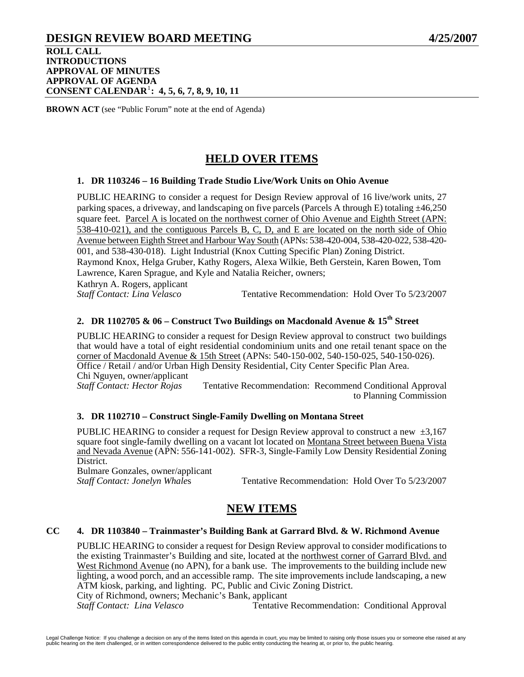## **DESIGN REVIEW BOARD MEETING 4/25/2007 ROLL CALL INTRODUCTIONS APPROVAL OF MINUTES APPROVAL OF AGENDA CONSENT CALENDAR**[1](#page-21-0) **: 4, 5, 6, 7, 8, 9, 10, 11**

**BROWN ACT** (see "Public Forum" note at the end of Agenda)

# **HELD OVER ITEMS**

### **1. DR 1103246 – 16 Building Trade Studio Live/Work Units on Ohio Avenue**

PUBLIC HEARING to consider a request for Design Review approval of 16 live/work units, 27 parking spaces, a driveway, and landscaping on five parcels (Parcels A through E) totaling  $\pm 46,250$ square feet. Parcel A is located on the northwest corner of Ohio Avenue and Eighth Street (APN: 538-410-021), and the contiguous Parcels B, C, D, and E are located on the north side of Ohio Avenue between Eighth Street and Harbour Way South (APNs: 538-420-004, 538-420-022, 538-420- 001, and 538-430-018). Light Industrial (Knox Cutting Specific Plan) Zoning District. Raymond Knox, Helga Gruber, Kathy Rogers, Alexa Wilkie, Beth Gerstein, Karen Bowen, Tom Lawrence, Karen Sprague, and Kyle and Natalia Reicher, owners; Kathryn A. Rogers, applicant

*Staff Contact: Lina Velasco* Tentative Recommendation: Hold Over To 5/23/2007

## **2. DR 1102705 & 06 – Construct Two Buildings on Macdonald Avenue & 15th Street**

PUBLIC HEARING to consider a request for Design Review approval to construct two buildings that would have a total of eight residential condominium units and one retail tenant space on the corner of Macdonald Avenue & 15th Street (APNs: 540-150-002, 540-150-025, 540-150-026). Office / Retail / and/or Urban High Density Residential, City Center Specific Plan Area. Chi Nguyen, owner/applicant *Staff Contact: Hector Rojas* Tentative Recommendation: Recommend Conditional Approval to Planning Commission

## **3. DR 1102710 – Construct Single-Family Dwelling on Montana Street**

PUBLIC HEARING to consider a request for Design Review approval to construct a new  $\pm 3.167$ square foot single-family dwelling on a vacant lot located on Montana Street between Buena Vista and Nevada Avenue (APN: 556-141-002). SFR-3, Single-Family Low Density Residential Zoning District.

Bulmare Gonzales, owner/applicant

*Staff Contact: Jonelyn Whales* Tentative Recommendation: Hold Over To 5/23/2007

## **NEW ITEMS**

## **CC 4. DR 1103840 – Trainmaster's Building Bank at Garrard Blvd. & W. Richmond Avenue**

PUBLIC HEARING to consider a request for Design Review approval to consider modifications to the existing Trainmaster's Building and site, located at the northwest corner of Garrard Blvd. and West Richmond Avenue (no APN), for a bank use. The improvements to the building include new lighting, a wood porch, and an accessible ramp. The site improvements include landscaping, a new ATM kiosk, parking, and lighting. PC, Public and Civic Zoning District. City of Richmond, owners; Mechanic's Bank, applicant

*Staff Contact: Lina Velasco* Tentative Recommendation: Conditional Approval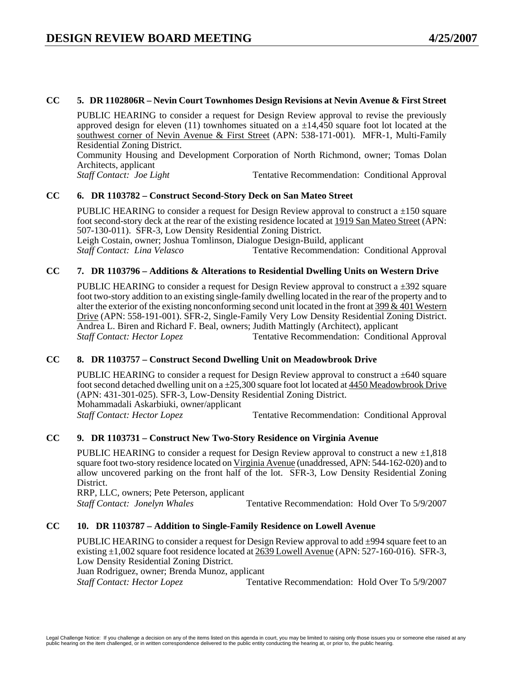## **CC 5. DR 1102806R – Nevin Court Townhomes Design Revisions at Nevin Avenue & First Street**

PUBLIC HEARING to consider a request for Design Review approval to revise the previously approved design for eleven (11) townhomes situated on a  $\pm 14,450$  square foot lot located at the southwest corner of Nevin Avenue & First Street (APN: 538-171-001). MFR-1, Multi-Family Residential Zoning District.

Community Housing and Development Corporation of North Richmond, owner; Tomas Dolan Architects, applicant<br>Staff Contact: Joe Light

Tentative Recommendation: Conditional Approval

## **CC 6. DR 1103782 – Construct Second-Story Deck on San Mateo Street**

PUBLIC HEARING to consider a request for Design Review approval to construct a  $\pm 150$  square foot second-story deck at the rear of the existing residence located at 1919 San Mateo Street (APN: 507-130-011). SFR-3, Low Density Residential Zoning District. Leigh Costain, owner; Joshua Tomlinson, Dialogue Design-Build, applicant *Staff Contact: Lina Velasco* Tentative Recommendation: Conditional Approval

### **CC 7. DR 1103796 – Additions & Alterations to Residential Dwelling Units on Western Drive**

PUBLIC HEARING to consider a request for Design Review approval to construct a  $\pm$ 392 square foot two-story addition to an existing single-family dwelling located in the rear of the property and to alter the exterior of the existing nonconforming second unit located in the front at 399 & 401 Western Drive (APN: 558-191-001). SFR-2, Single-Family Very Low Density Residential Zoning District. Andrea L. Biren and Richard F. Beal, owners; Judith Mattingly (Architect), applicant **Staff Contact: Hector Lopez Tentative Recommendation: Conditional Approval** 

## **CC 8. DR 1103757 – Construct Second Dwelling Unit on Meadowbrook Drive**

PUBLIC HEARING to consider a request for Design Review approval to construct a  $\pm 640$  square foot second detached dwelling unit on  $a \pm 25,300$  square foot lot located at  $4450$  Meadowbrook Drive (APN: 431-301-025). SFR-3, Low-Density Residential Zoning District. Mohammadali Askarbiuki, owner/applicant **Staff Contact: Hector Lopez Tentative Recommendation: Conditional Approval** 

## **CC 9. DR 1103731 – Construct New Two-Story Residence on Virginia Avenue**

PUBLIC HEARING to consider a request for Design Review approval to construct a new  $\pm 1,818$ square foot two-story residence located on Virginia Avenue (unaddressed, APN: 544-162-020) and to allow uncovered parking on the front half of the lot. SFR-3, Low Density Residential Zoning District.

RRP, LLC, owners; Pete Peterson, applicant *Staff Contact: Jonelyn Whales* Tentative Recommendation: Hold Over To 5/9/2007

## **CC 10. DR 1103787 – Addition to Single-Family Residence on Lowell Avenue**

PUBLIC HEARING to consider a request for Design Review approval to add  $\pm$ 994 square feet to an existing ±1,002 square foot residence located at 2639 Lowell Avenue (APN: 527-160-016). SFR-3, Low Density Residential Zoning District.

Juan Rodriguez, owner; Brenda Munoz, applicant

*Staff Contact: Hector Lopez* Tentative Recommendation: Hold Over To 5/9/2007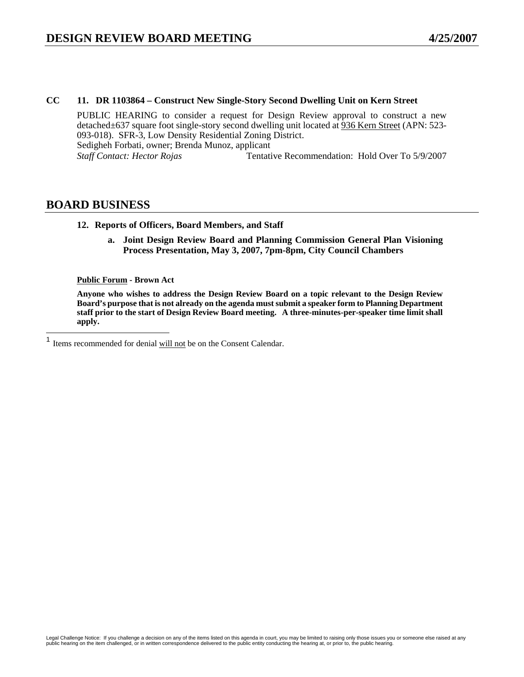## **CC 11. DR 1103864 – Construct New Single-Story Second Dwelling Unit on Kern Street**

PUBLIC HEARING to consider a request for Design Review approval to construct a new detached±637 square foot single-story second dwelling unit located at 936 Kern Street (APN: 523- 093-018). SFR-3, Low Density Residential Zoning District. Sedigheh Forbati, owner; Brenda Munoz, applicant *Staff Contact: Hector Rojas* Tentative Recommendation: Hold Over To 5/9/2007

## **BOARD BUSINESS**

<span id="page-21-0"></span> $\mathbf{1}$ 

### **12. Reports of Officers, Board Members, and Staff**

**a. Joint Design Review Board and Planning Commission General Plan Visioning Process Presentation, May 3, 2007, 7pm-8pm, City Council Chambers** 

### **Public Forum - Brown Act**

**Anyone who wishes to address the Design Review Board on a topic relevant to the Design Review Board's purpose that is not already on the agenda must submit a speaker form to Planning Department staff prior to the start of Design Review Board meeting. A three-minutes-per-speaker time limit shall apply.** 

Items recommended for denial will not be on the Consent Calendar.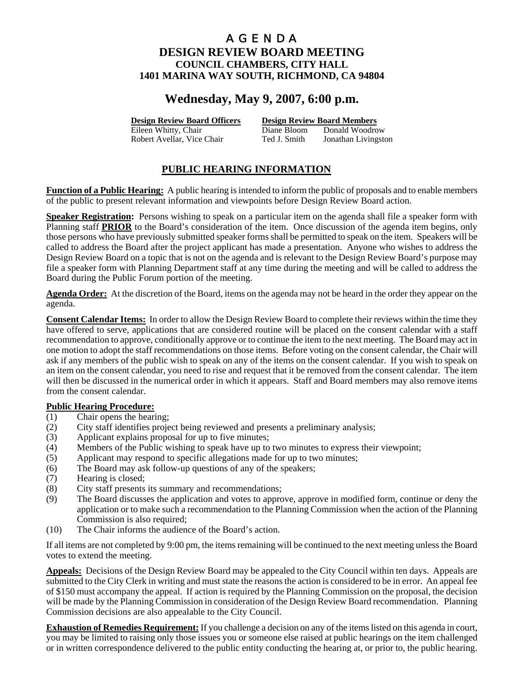# **Wednesday, May 9, 2007, 6:00 p.m.**

**Design Review Board Officers Design Review Board Members**

Eileen Whitty, Chair **Diane Bloom** Donald Woodrow Robert Avellar, Vice Chair Ted J. Smith Jonathan Livingston

## **PUBLIC HEARING INFORMATION**

**Function of a Public Hearing:** A public hearing is intended to inform the public of proposals and to enable members of the public to present relevant information and viewpoints before Design Review Board action.

**Speaker Registration:** Persons wishing to speak on a particular item on the agenda shall file a speaker form with Planning staff **PRIOR** to the Board's consideration of the item. Once discussion of the agenda item begins, only those persons who have previously submitted speaker forms shall be permitted to speak on the item. Speakers will be called to address the Board after the project applicant has made a presentation. Anyone who wishes to address the Design Review Board on a topic that is not on the agenda and is relevant to the Design Review Board's purpose may file a speaker form with Planning Department staff at any time during the meeting and will be called to address the Board during the Public Forum portion of the meeting.

**Agenda Order:** At the discretion of the Board, items on the agenda may not be heard in the order they appear on the agenda.

**Consent Calendar Items:** In order to allow the Design Review Board to complete their reviews within the time they have offered to serve, applications that are considered routine will be placed on the consent calendar with a staff recommendation to approve, conditionally approve or to continue the item to the next meeting. The Board may act in one motion to adopt the staff recommendations on those items. Before voting on the consent calendar, the Chair will ask if any members of the public wish to speak on any of the items on the consent calendar. If you wish to speak on an item on the consent calendar, you need to rise and request that it be removed from the consent calendar. The item will then be discussed in the numerical order in which it appears. Staff and Board members may also remove items from the consent calendar.

## **Public Hearing Procedure:**

- (1) Chair opens the hearing;
- (2) City staff identifies project being reviewed and presents a preliminary analysis;
- (3) Applicant explains proposal for up to five minutes;
- (4) Members of the Public wishing to speak have up to two minutes to express their viewpoint;
- (5) Applicant may respond to specific allegations made for up to two minutes;
- (6) The Board may ask follow-up questions of any of the speakers;
- (7) Hearing is closed;
- (8) City staff presents its summary and recommendations;
- (9) The Board discusses the application and votes to approve, approve in modified form, continue or deny the application or to make such a recommendation to the Planning Commission when the action of the Planning Commission is also required;
- (10) The Chair informs the audience of the Board's action.

If all items are not completed by 9:00 pm, the items remaining will be continued to the next meeting unless the Board votes to extend the meeting.

**Appeals:** Decisions of the Design Review Board may be appealed to the City Council within ten days. Appeals are submitted to the City Clerk in writing and must state the reasons the action is considered to be in error. An appeal fee of \$150 must accompany the appeal. If action is required by the Planning Commission on the proposal, the decision will be made by the Planning Commission in consideration of the Design Review Board recommendation. Planning Commission decisions are also appealable to the City Council.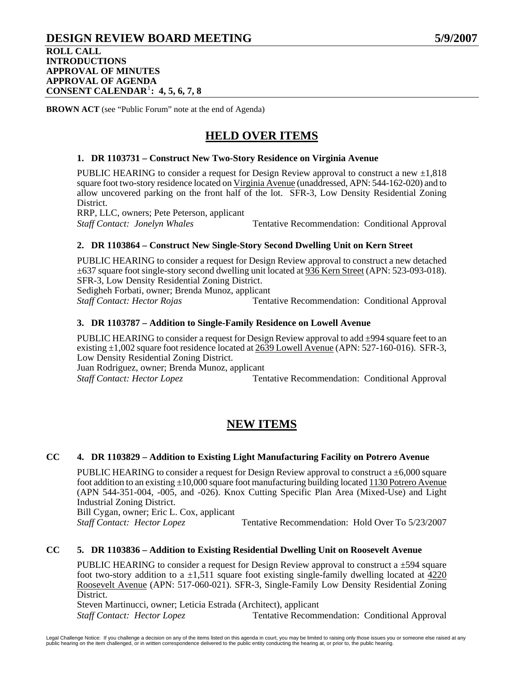## **DESIGN REVIEW BOARD MEETING 5/9/2007 ROLL CALL INTRODUCTIONS APPROVAL OF MINUTES APPROVAL OF AGENDA**

**CONSENT CALENDAR**[1](#page-24-0) **: 4, 5, 6, 7, 8**

**BROWN ACT** (see "Public Forum" note at the end of Agenda)

# **HELD OVER ITEMS**

## **1. DR 1103731 – Construct New Two-Story Residence on Virginia Avenue**

PUBLIC HEARING to consider a request for Design Review approval to construct a new  $\pm 1,818$ square foot two-story residence located on Virginia Avenue (unaddressed, APN: 544-162-020) and to allow uncovered parking on the front half of the lot. SFR-3, Low Density Residential Zoning District.

RRP, LLC, owners; Pete Peterson, applicant

*Staff Contact: Jonelyn Whales* Tentative Recommendation: Conditional Approval

## **2. DR 1103864 – Construct New Single-Story Second Dwelling Unit on Kern Street**

PUBLIC HEARING to consider a request for Design Review approval to construct a new detached ±637 square foot single-story second dwelling unit located at 936 Kern Street (APN: 523-093-018). SFR-3, Low Density Residential Zoning District.

Sedigheh Forbati, owner; Brenda Munoz, applicant

*Staff Contact: Hector Rojas* **Tentative Recommendation: Conditional Approval** 

### **3. DR 1103787 – Addition to Single-Family Residence on Lowell Avenue**

PUBLIC HEARING to consider a request for Design Review approval to add  $\pm$ 994 square feet to an existing  $\pm 1,002$  square foot residence located at  $2639$  Lowell Avenue (APN: 527-160-016). SFR-3, Low Density Residential Zoning District.

Juan Rodriguez, owner; Brenda Munoz, applicant **Staff Contact: Hector Lopez Tentative Recommendation: Conditional Approval** 

## **NEW ITEMS**

## **CC 4. DR 1103829 – Addition to Existing Light Manufacturing Facility on Potrero Avenue**

PUBLIC HEARING to consider a request for Design Review approval to construct a  $\pm 6,000$  square foot addition to an existing  $\pm 10,000$  square foot manufacturing building located 1130 Potrero Avenue (APN 544-351-004, -005, and -026). Knox Cutting Specific Plan Area (Mixed-Use) and Light Industrial Zoning District.

Bill Cygan, owner; Eric L. Cox, applicant

*Staff Contact: Hector Lopez* **Tentative Recommendation: Hold Over To 5/23/2007** 

#### **CC 5. DR 1103836 – Addition to Existing Residential Dwelling Unit on Roosevelt Avenue**

PUBLIC HEARING to consider a request for Design Review approval to construct a  $\pm$ 594 square foot two-story addition to a  $\pm 1.511$  square foot existing single-family dwelling located at 4220 Roosevelt Avenue (APN: 517-060-021). SFR-3, Single-Family Low Density Residential Zoning District.

Steven Martinucci, owner; Leticia Estrada (Architect), applicant

*Staff Contact: Hector Lopez* **Tentative Recommendation: Conditional Approval**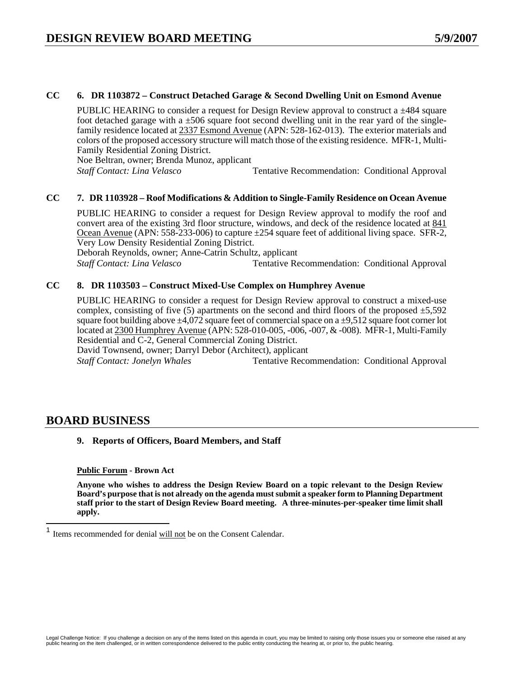### **CC 6. DR 1103872 – Construct Detached Garage & Second Dwelling Unit on Esmond Avenue**

PUBLIC HEARING to consider a request for Design Review approval to construct a  $\pm$ 484 square foot detached garage with a  $\pm 506$  square foot second dwelling unit in the rear yard of the singlefamily residence located at 2337 Esmond Avenue (APN: 528-162-013). The exterior materials and colors of the proposed accessory structure will match those of the existing residence. MFR-1, Multi-Family Residential Zoning District.

Noe Beltran, owner; Brenda Munoz, applicant

*Staff Contact: Lina Velasco* Tentative Recommendation: Conditional Approval

### **CC 7. DR 1103928 – Roof Modifications & Addition to Single-Family Residence on Ocean Avenue**

PUBLIC HEARING to consider a request for Design Review approval to modify the roof and convert area of the existing 3rd floor structure, windows, and deck of the residence located at 841 Ocean Avenue (APN: 558-233-006) to capture ±254 square feet of additional living space. SFR-2, Very Low Density Residential Zoning District.

Deborah Reynolds, owner; Anne-Catrin Schultz, applicant

*Staff Contact: Lina Velasco* Tentative Recommendation: Conditional Approval

## **CC 8. DR 1103503 – Construct Mixed-Use Complex on Humphrey Avenue**

PUBLIC HEARING to consider a request for Design Review approval to construct a mixed-use complex, consisting of five  $(5)$  apartments on the second and third floors of the proposed  $\pm 5,592$ square foot building above  $\pm 4.072$  square feet of commercial space on a  $\pm 9.512$  square foot corner lot located at 2300 Humphrey Avenue (APN: 528-010-005, -006, -007, & -008). MFR-1, Multi-Family Residential and C-2, General Commercial Zoning District.

David Townsend, owner; Darryl Debor (Architect), applicant

*Staff Contact: Jonelyn Whales* Tentative Recommendation: Conditional Approval

## **BOARD BUSINESS**

<span id="page-24-0"></span> $\overline{a}$ 

#### **9. Reports of Officers, Board Members, and Staff**

#### **Public Forum - Brown Act**

**Anyone who wishes to address the Design Review Board on a topic relevant to the Design Review Board's purpose that is not already on the agenda must submit a speaker form to Planning Department staff prior to the start of Design Review Board meeting. A three-minutes-per-speaker time limit shall apply.** 

Items recommended for denial will not be on the Consent Calendar.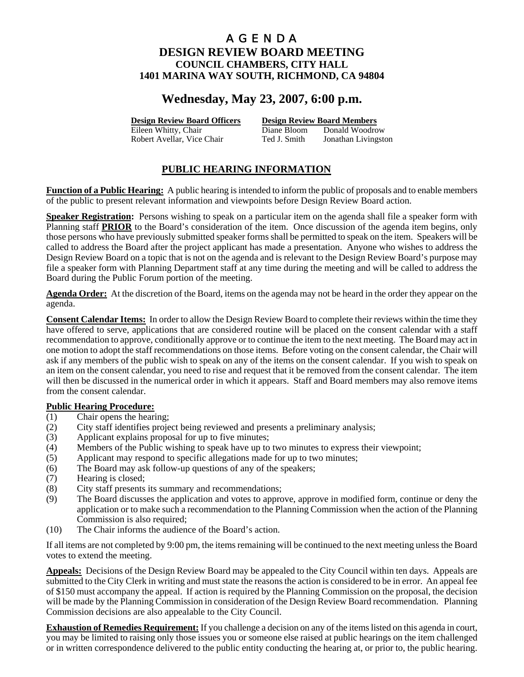# **Wednesday, May 23, 2007, 6:00 p.m.**

**Design Review Board Officers Design Review Board Members**

Eileen Whitty, Chair **Diane Bloom** Donald Woodrow Robert Avellar, Vice Chair Ted J. Smith Jonathan Livingston

## **PUBLIC HEARING INFORMATION**

**Function of a Public Hearing:** A public hearing is intended to inform the public of proposals and to enable members of the public to present relevant information and viewpoints before Design Review Board action.

**Speaker Registration:** Persons wishing to speak on a particular item on the agenda shall file a speaker form with Planning staff **PRIOR** to the Board's consideration of the item. Once discussion of the agenda item begins, only those persons who have previously submitted speaker forms shall be permitted to speak on the item. Speakers will be called to address the Board after the project applicant has made a presentation. Anyone who wishes to address the Design Review Board on a topic that is not on the agenda and is relevant to the Design Review Board's purpose may file a speaker form with Planning Department staff at any time during the meeting and will be called to address the Board during the Public Forum portion of the meeting.

**Agenda Order:** At the discretion of the Board, items on the agenda may not be heard in the order they appear on the agenda.

**Consent Calendar Items:** In order to allow the Design Review Board to complete their reviews within the time they have offered to serve, applications that are considered routine will be placed on the consent calendar with a staff recommendation to approve, conditionally approve or to continue the item to the next meeting. The Board may act in one motion to adopt the staff recommendations on those items. Before voting on the consent calendar, the Chair will ask if any members of the public wish to speak on any of the items on the consent calendar. If you wish to speak on an item on the consent calendar, you need to rise and request that it be removed from the consent calendar. The item will then be discussed in the numerical order in which it appears. Staff and Board members may also remove items from the consent calendar.

## **Public Hearing Procedure:**

- (1) Chair opens the hearing;
- (2) City staff identifies project being reviewed and presents a preliminary analysis;
- (3) Applicant explains proposal for up to five minutes;
- (4) Members of the Public wishing to speak have up to two minutes to express their viewpoint;
- (5) Applicant may respond to specific allegations made for up to two minutes;
- (6) The Board may ask follow-up questions of any of the speakers;
- (7) Hearing is closed;
- (8) City staff presents its summary and recommendations;
- (9) The Board discusses the application and votes to approve, approve in modified form, continue or deny the application or to make such a recommendation to the Planning Commission when the action of the Planning Commission is also required;
- (10) The Chair informs the audience of the Board's action.

If all items are not completed by 9:00 pm, the items remaining will be continued to the next meeting unless the Board votes to extend the meeting.

**Appeals:** Decisions of the Design Review Board may be appealed to the City Council within ten days. Appeals are submitted to the City Clerk in writing and must state the reasons the action is considered to be in error. An appeal fee of \$150 must accompany the appeal. If action is required by the Planning Commission on the proposal, the decision will be made by the Planning Commission in consideration of the Design Review Board recommendation. Planning Commission decisions are also appealable to the City Council.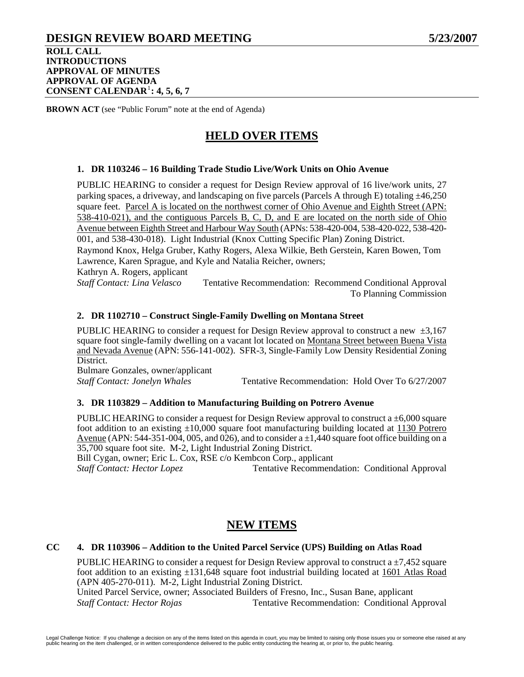## **DESIGN REVIEW BOARD MEETING 5/23/2007 ROLL CALL INTRODUCTIONS APPROVAL OF MINUTES APPROVAL OF AGENDA CONSENT CALENDAR**[1](#page-27-0) **: 4, 5, 6, 7**

**BROWN ACT** (see "Public Forum" note at the end of Agenda)

# **HELD OVER ITEMS**

## **1. DR 1103246 – 16 Building Trade Studio Live/Work Units on Ohio Avenue**

PUBLIC HEARING to consider a request for Design Review approval of 16 live/work units, 27 parking spaces, a driveway, and landscaping on five parcels (Parcels A through E) totaling  $\pm$ 46,250 square feet. Parcel A is located on the northwest corner of Ohio Avenue and Eighth Street (APN: 538-410-021), and the contiguous Parcels B, C, D, and E are located on the north side of Ohio Avenue between Eighth Street and Harbour Way South (APNs: 538-420-004, 538-420-022, 538-420- 001, and 538-430-018). Light Industrial (Knox Cutting Specific Plan) Zoning District. Raymond Knox, Helga Gruber, Kathy Rogers, Alexa Wilkie, Beth Gerstein, Karen Bowen, Tom

Lawrence, Karen Sprague, and Kyle and Natalia Reicher, owners;

Kathryn A. Rogers, applicant

*Staff Contact: Lina Velasco* Tentative Recommendation: Recommend Conditional Approval To Planning Commission

## **2. DR 1102710 – Construct Single-Family Dwelling on Montana Street**

PUBLIC HEARING to consider a request for Design Review approval to construct a new  $\pm 3.167$ square foot single-family dwelling on a vacant lot located on Montana Street between Buena Vista and Nevada Avenue (APN: 556-141-002). SFR-3, Single-Family Low Density Residential Zoning District.

Bulmare Gonzales, owner/applicant

*Staff Contact: Jonelyn Whales* Tentative Recommendation: Hold Over To 6/27/2007

## **3. DR 1103829 – Addition to Manufacturing Building on Potrero Avenue**

PUBLIC HEARING to consider a request for Design Review approval to construct a  $\pm 6,000$  square foot addition to an existing  $\pm 10,000$  square foot manufacturing building located at 1130 Potrero Avenue (APN: 544-351-004, 005, and 026), and to consider  $a \pm 1,440$  square foot office building on a 35,700 square foot site. M-2, Light Industrial Zoning District.

Bill Cygan, owner; Eric L. Cox, RSE c/o Kembcon Corp., applicant

*Staff Contact: Hector Lopez* Tentative Recommendation: Conditional Approval

## **NEW ITEMS**

#### **CC 4. DR 1103906 – Addition to the United Parcel Service (UPS) Building on Atlas Road**

PUBLIC HEARING to consider a request for Design Review approval to construct a  $\pm$ 7,452 square foot addition to an existing  $\pm 131,648$  square foot industrial building located at 1601 Atlas Road (APN 405-270-011). M-2, Light Industrial Zoning District.

United Parcel Service, owner; Associated Builders of Fresno, Inc., Susan Bane, applicant *Staff Contact: Hector Rojas* Tentative Recommendation: Conditional Approval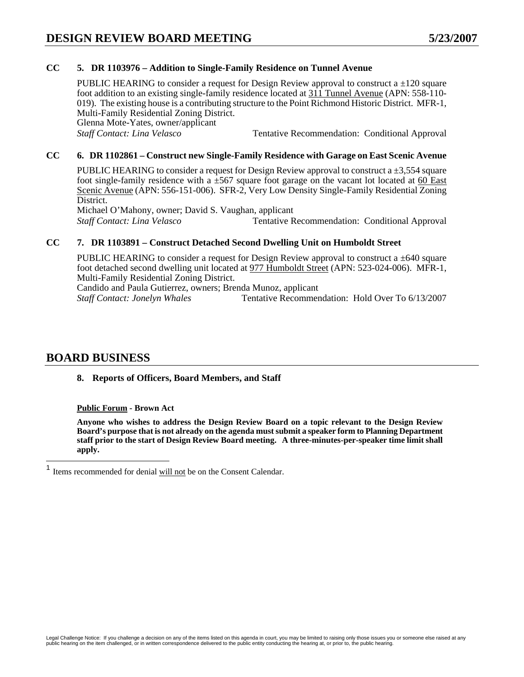## **CC 5. DR 1103976 – Addition to Single-Family Residence on Tunnel Avenue**

PUBLIC HEARING to consider a request for Design Review approval to construct a  $\pm 120$  square foot addition to an existing single-family residence located at 311 Tunnel Avenue (APN: 558-110- 019). The existing house is a contributing structure to the Point Richmond Historic District. MFR-1, Multi-Family Residential Zoning District. Glenna Mote-Yates, owner/applicant *Staff Contact: Lina Velasco* Tentative Recommendation: Conditional Approval

## **CC 6. DR 1102861 – Construct new Single-Family Residence with Garage on East Scenic Avenue**

PUBLIC HEARING to consider a request for Design Review approval to construct a  $\pm 3.554$  square foot single-family residence with a  $\pm$ 567 square foot garage on the vacant lot located at 60 East Scenic Avenue (APN: 556-151-006). SFR-2, Very Low Density Single-Family Residential Zoning District.

Michael O'Mahony, owner; David S. Vaughan, applicant *Staff Contact: Lina Velasco* Tentative Recommendation: Conditional Approval

## **CC 7. DR 1103891 – Construct Detached Second Dwelling Unit on Humboldt Street**

PUBLIC HEARING to consider a request for Design Review approval to construct a  $\pm 640$  square foot detached second dwelling unit located at 977 Humboldt Street (APN: 523-024-006). MFR-1, Multi-Family Residential Zoning District.

Candido and Paula Gutierrez, owners; Brenda Munoz, applicant

*Staff Contact: Jonelyn Whales* Tentative Recommendation: Hold Over To 6/13/2007

## **BOARD BUSINESS**

## **8. Reports of Officers, Board Members, and Staff**

**Public Forum - Brown Act** 

**Anyone who wishes to address the Design Review Board on a topic relevant to the Design Review Board's purpose that is not already on the agenda must submit a speaker form to Planning Department staff prior to the start of Design Review Board meeting. A three-minutes-per-speaker time limit shall apply.** 

<span id="page-27-0"></span> $\mathbf{1}$ Items recommended for denial will not be on the Consent Calendar.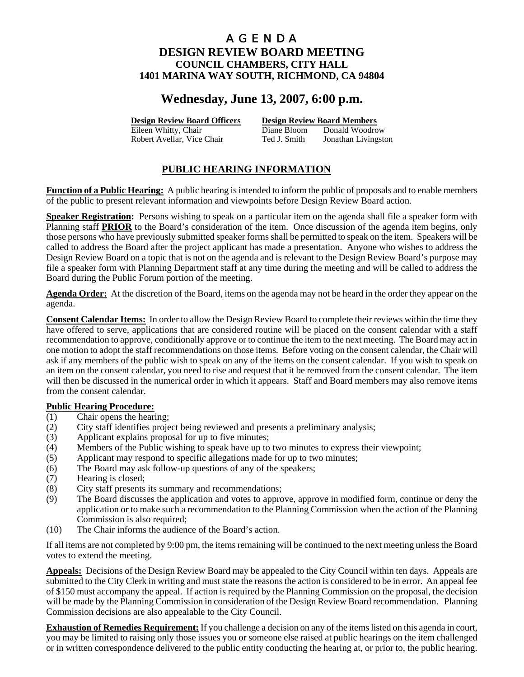# **Wednesday, June 13, 2007, 6:00 p.m.**

**Design Review Board Officers Design Review Board Members**

Eileen Whitty, Chair **Diane Bloom** Donald Woodrow Robert Avellar, Vice Chair Ted J. Smith Jonathan Livingston

## **PUBLIC HEARING INFORMATION**

**Function of a Public Hearing:** A public hearing is intended to inform the public of proposals and to enable members of the public to present relevant information and viewpoints before Design Review Board action.

**Speaker Registration:** Persons wishing to speak on a particular item on the agenda shall file a speaker form with Planning staff **PRIOR** to the Board's consideration of the item. Once discussion of the agenda item begins, only those persons who have previously submitted speaker forms shall be permitted to speak on the item. Speakers will be called to address the Board after the project applicant has made a presentation. Anyone who wishes to address the Design Review Board on a topic that is not on the agenda and is relevant to the Design Review Board's purpose may file a speaker form with Planning Department staff at any time during the meeting and will be called to address the Board during the Public Forum portion of the meeting.

**Agenda Order:** At the discretion of the Board, items on the agenda may not be heard in the order they appear on the agenda.

**Consent Calendar Items:** In order to allow the Design Review Board to complete their reviews within the time they have offered to serve, applications that are considered routine will be placed on the consent calendar with a staff recommendation to approve, conditionally approve or to continue the item to the next meeting. The Board may act in one motion to adopt the staff recommendations on those items. Before voting on the consent calendar, the Chair will ask if any members of the public wish to speak on any of the items on the consent calendar. If you wish to speak on an item on the consent calendar, you need to rise and request that it be removed from the consent calendar. The item will then be discussed in the numerical order in which it appears. Staff and Board members may also remove items from the consent calendar.

## **Public Hearing Procedure:**

- (1) Chair opens the hearing;
- (2) City staff identifies project being reviewed and presents a preliminary analysis;
- (3) Applicant explains proposal for up to five minutes;
- (4) Members of the Public wishing to speak have up to two minutes to express their viewpoint;
- (5) Applicant may respond to specific allegations made for up to two minutes;
- (6) The Board may ask follow-up questions of any of the speakers;
- (7) Hearing is closed;
- (8) City staff presents its summary and recommendations;
- (9) The Board discusses the application and votes to approve, approve in modified form, continue or deny the application or to make such a recommendation to the Planning Commission when the action of the Planning Commission is also required;
- (10) The Chair informs the audience of the Board's action.

If all items are not completed by 9:00 pm, the items remaining will be continued to the next meeting unless the Board votes to extend the meeting.

**Appeals:** Decisions of the Design Review Board may be appealed to the City Council within ten days. Appeals are submitted to the City Clerk in writing and must state the reasons the action is considered to be in error. An appeal fee of \$150 must accompany the appeal. If action is required by the Planning Commission on the proposal, the decision will be made by the Planning Commission in consideration of the Design Review Board recommendation. Planning Commission decisions are also appealable to the City Council.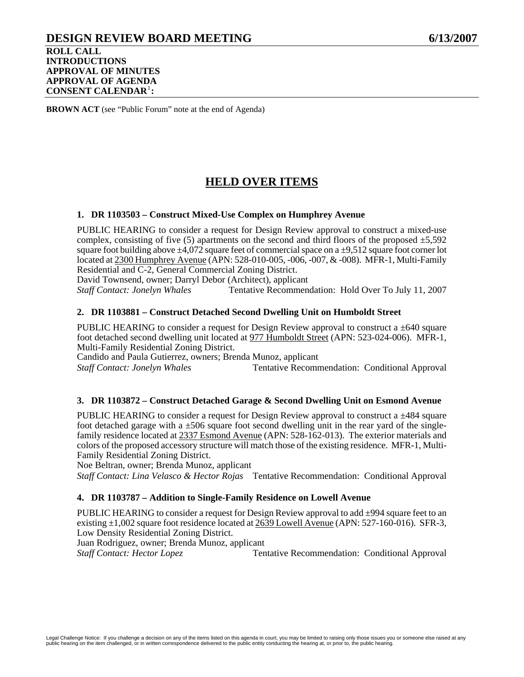## **DESIGN REVIEW BOARD MEETING 6/13/2007 ROLL CALL INTRODUCTIONS APPROVAL OF MINUTES APPROVAL OF AGENDA CONSENT CALENDAR**[1](#page-30-0) **:**

**BROWN ACT** (see "Public Forum" note at the end of Agenda)

# **HELD OVER ITEMS**

### **1. DR 1103503 – Construct Mixed-Use Complex on Humphrey Avenue**

PUBLIC HEARING to consider a request for Design Review approval to construct a mixed-use complex, consisting of five  $(5)$  apartments on the second and third floors of the proposed  $\pm 5,592$ square foot building above  $\pm 4,072$  square feet of commercial space on a  $\pm 9,512$  square foot corner lot located at 2300 Humphrey Avenue (APN: 528-010-005, -006, -007, & -008). MFR-1, Multi-Family Residential and C-2, General Commercial Zoning District.

David Townsend, owner; Darryl Debor (Architect), applicant

*Staff Contact: Jonelyn Whales* Tentative Recommendation: Hold Over To July 11, 2007

### **2. DR 1103881 – Construct Detached Second Dwelling Unit on Humboldt Street**

PUBLIC HEARING to consider a request for Design Review approval to construct a  $\pm 640$  square foot detached second dwelling unit located at 977 Humboldt Street (APN: 523-024-006). MFR-1, Multi-Family Residential Zoning District.

Candido and Paula Gutierrez, owners; Brenda Munoz, applicant

*Staff Contact: Jonelyn Whales* Tentative Recommendation: Conditional Approval

#### **3. DR 1103872 – Construct Detached Garage & Second Dwelling Unit on Esmond Avenue**

PUBLIC HEARING to consider a request for Design Review approval to construct a  $\pm$ 484 square foot detached garage with a  $\pm 506$  square foot second dwelling unit in the rear yard of the singlefamily residence located at 2337 Esmond Avenue (APN: 528-162-013). The exterior materials and colors of the proposed accessory structure will match those of the existing residence. MFR-1, Multi-Family Residential Zoning District.

Noe Beltran, owner; Brenda Munoz, applicant

*Staff Contact: Lina Velasco & Hector Rojas* Tentative Recommendation: Conditional Approval

#### **4. DR 1103787 – Addition to Single-Family Residence on Lowell Avenue**

PUBLIC HEARING to consider a request for Design Review approval to add  $\pm$ 994 square feet to an existing ±1,002 square foot residence located at 2639 Lowell Avenue (APN: 527-160-016). SFR-3, Low Density Residential Zoning District. Juan Rodriguez, owner; Brenda Munoz, applicant

**Staff Contact: Hector Lopez Tentative Recommendation: Conditional Approval**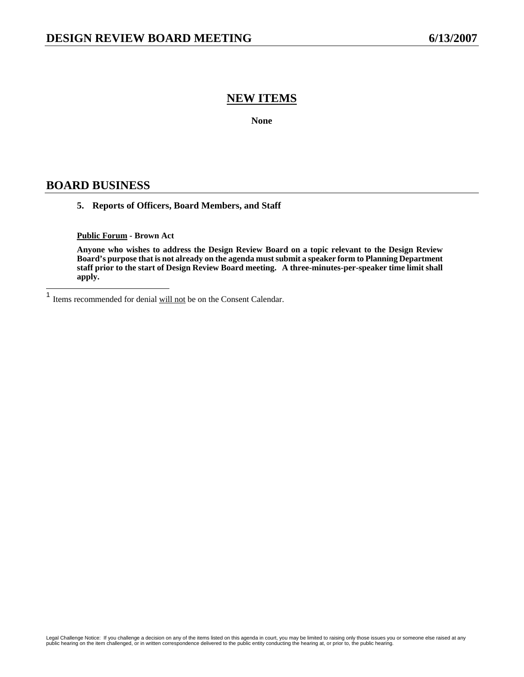## **NEW ITEMS**

**None** 

## **BOARD BUSINESS**

### **5. Reports of Officers, Board Members, and Staff**

#### **Public Forum - Brown Act**

**Anyone who wishes to address the Design Review Board on a topic relevant to the Design Review Board's purpose that is not already on the agenda must submit a speaker form to Planning Department staff prior to the start of Design Review Board meeting. A three-minutes-per-speaker time limit shall apply.** 

<span id="page-30-0"></span> $\mathbf{1}$ Items recommended for denial will not be on the Consent Calendar.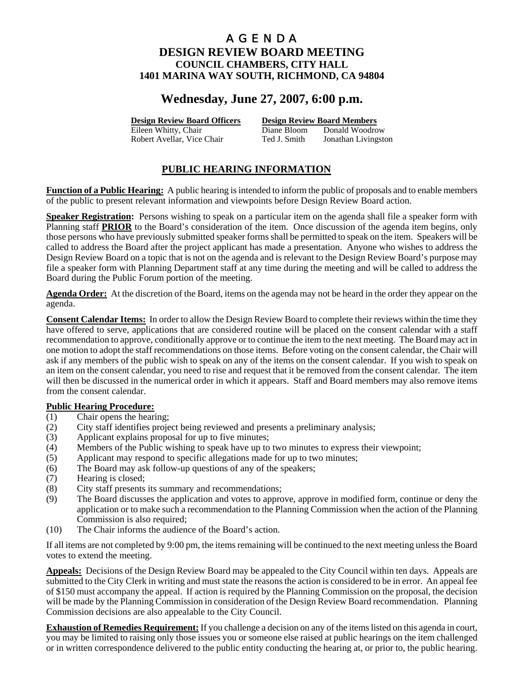# **Wednesday, June 27, 2007, 6:00 p.m.**

**Design Review Board Officers Design Review Board Members**

Eileen Whitty, Chair **Diane Bloom** Donald Woodrow Robert Avellar, Vice Chair Ted J. Smith Jonathan Livingston

## **PUBLIC HEARING INFORMATION**

**Function of a Public Hearing:** A public hearing is intended to inform the public of proposals and to enable members of the public to present relevant information and viewpoints before Design Review Board action.

**Speaker Registration:** Persons wishing to speak on a particular item on the agenda shall file a speaker form with Planning staff **PRIOR** to the Board's consideration of the item. Once discussion of the agenda item begins, only those persons who have previously submitted speaker forms shall be permitted to speak on the item. Speakers will be called to address the Board after the project applicant has made a presentation. Anyone who wishes to address the Design Review Board on a topic that is not on the agenda and is relevant to the Design Review Board's purpose may file a speaker form with Planning Department staff at any time during the meeting and will be called to address the Board during the Public Forum portion of the meeting.

**Agenda Order:** At the discretion of the Board, items on the agenda may not be heard in the order they appear on the agenda.

**Consent Calendar Items:** In order to allow the Design Review Board to complete their reviews within the time they have offered to serve, applications that are considered routine will be placed on the consent calendar with a staff recommendation to approve, conditionally approve or to continue the item to the next meeting. The Board may act in one motion to adopt the staff recommendations on those items. Before voting on the consent calendar, the Chair will ask if any members of the public wish to speak on any of the items on the consent calendar. If you wish to speak on an item on the consent calendar, you need to rise and request that it be removed from the consent calendar. The item will then be discussed in the numerical order in which it appears. Staff and Board members may also remove items from the consent calendar.

## **Public Hearing Procedure:**

- (1) Chair opens the hearing;
- (2) City staff identifies project being reviewed and presents a preliminary analysis;
- (3) Applicant explains proposal for up to five minutes;
- (4) Members of the Public wishing to speak have up to two minutes to express their viewpoint;
- (5) Applicant may respond to specific allegations made for up to two minutes;
- (6) The Board may ask follow-up questions of any of the speakers;
- (7) Hearing is closed;
- (8) City staff presents its summary and recommendations;
- (9) The Board discusses the application and votes to approve, approve in modified form, continue or deny the application or to make such a recommendation to the Planning Commission when the action of the Planning Commission is also required;
- (10) The Chair informs the audience of the Board's action.

If all items are not completed by 9:00 pm, the items remaining will be continued to the next meeting unless the Board votes to extend the meeting.

**Appeals:** Decisions of the Design Review Board may be appealed to the City Council within ten days. Appeals are submitted to the City Clerk in writing and must state the reasons the action is considered to be in error. An appeal fee of \$150 must accompany the appeal. If action is required by the Planning Commission on the proposal, the decision will be made by the Planning Commission in consideration of the Design Review Board recommendation. Planning Commission decisions are also appealable to the City Council.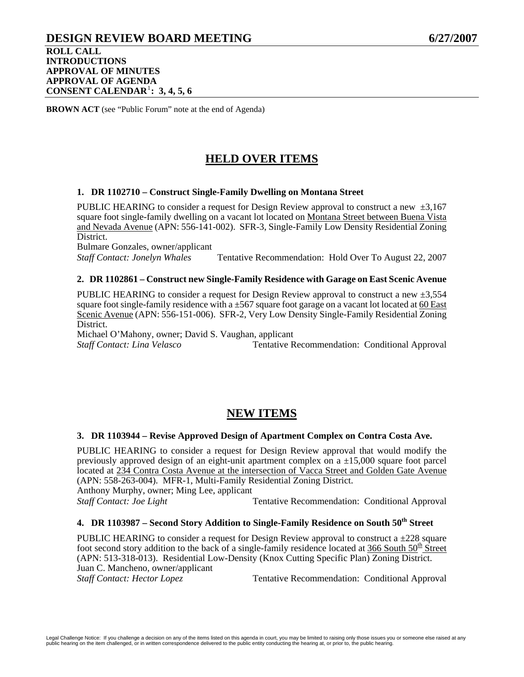## **DESIGN REVIEW BOARD MEETING 6/27/2007 ROLL CALL INTRODUCTIONS APPROVAL OF MINUTES APPROVAL OF AGENDA CONSENT CALENDAR**[1](#page-33-0) **: 3, 4, 5, 6**

**BROWN ACT** (see "Public Forum" note at the end of Agenda)

# **HELD OVER ITEMS**

### **1. DR 1102710 – Construct Single-Family Dwelling on Montana Street**

PUBLIC HEARING to consider a request for Design Review approval to construct a new  $\pm 3.167$ square foot single-family dwelling on a vacant lot located on Montana Street between Buena Vista and Nevada Avenue (APN: 556-141-002). SFR-3, Single-Family Low Density Residential Zoning District.

Bulmare Gonzales, owner/applicant *Staff Contact: Jonelyn Whales* Tentative Recommendation: Hold Over To August 22, 2007

## **2. DR 1102861 – Construct new Single-Family Residence with Garage on East Scenic Avenue**

PUBLIC HEARING to consider a request for Design Review approval to construct a new  $\pm 3.554$ square foot single-family residence with a ±567 square foot garage on a vacant lot located at 60 East Scenic Avenue (APN: 556-151-006). SFR-2, Very Low Density Single-Family Residential Zoning District.

Michael O'Mahony, owner; David S. Vaughan, applicant *Staff Contact: Lina Velasco* Tentative Recommendation: Conditional Approval

# **NEW ITEMS**

#### **3. DR 1103944 – Revise Approved Design of Apartment Complex on Contra Costa Ave.**

PUBLIC HEARING to consider a request for Design Review approval that would modify the previously approved design of an eight-unit apartment complex on a  $\pm 15,000$  square foot parcel located at 234 Contra Costa Avenue at the intersection of Vacca Street and Golden Gate Avenue (APN: 558-263-004). MFR-1, Multi-Family Residential Zoning District. Anthony Murphy, owner; Ming Lee, applicant

*Staff Contact: Joe Light* **Tentative Recommendation: Conditional Approval** 

## 4. DR 1103987 – Second Story Addition to Single-Family Residence on South 50<sup>th</sup> Street

PUBLIC HEARING to consider a request for Design Review approval to construct a  $\pm$ 228 square foot second story addition to the back of a single-family residence located at 366 South  $50<sup>th</sup>$  Street (APN: 513-318-013). Residential Low-Density (Knox Cutting Specific Plan) Zoning District. Juan C. Mancheno, owner/applicant *Staff Contact: Hector Lopez* **Tentative Recommendation: Conditional Approval**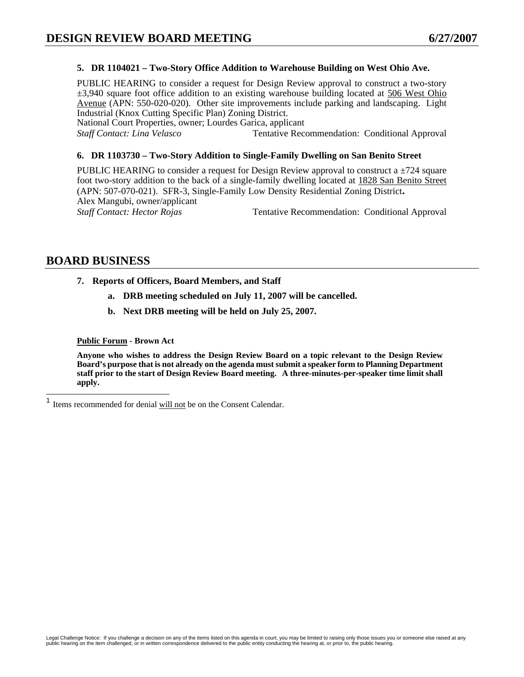## **5. DR 1104021 – Two-Story Office Addition to Warehouse Building on West Ohio Ave.**

PUBLIC HEARING to consider a request for Design Review approval to construct a two-story  $\pm$ 3,940 square foot office addition to an existing warehouse building located at 506 West Ohio Avenue (APN: 550-020-020). Other site improvements include parking and landscaping. Light Industrial (Knox Cutting Specific Plan) Zoning District.

National Court Properties, owner; Lourdes Garica, applicant

*Staff Contact: Lina Velasco* Tentative Recommendation: Conditional Approval

#### **6. DR 1103730 – Two-Story Addition to Single-Family Dwelling on San Benito Street**

PUBLIC HEARING to consider a request for Design Review approval to construct a  $\pm$ 724 square foot two-story addition to the back of a single-family dwelling located at 1828 San Benito Street (APN: 507-070-021). SFR-3, Single-Family Low Density Residential Zoning District**.** Alex Mangubi, owner/applicant *Staff Contact: Hector Rojas* Tentative Recommendation: Conditional Approval

## **BOARD BUSINESS**

 $\overline{a}$ 

- **7. Reports of Officers, Board Members, and Staff** 
	- **a. DRB meeting scheduled on July 11, 2007 will be cancelled.**
	- **b. Next DRB meeting will be held on July 25, 2007.**

**Public Forum - Brown Act** 

**Anyone who wishes to address the Design Review Board on a topic relevant to the Design Review Board's purpose that is not already on the agenda must submit a speaker form to Planning Department staff prior to the start of Design Review Board meeting. A three-minutes-per-speaker time limit shall apply.** 

<span id="page-33-0"></span><sup>&</sup>lt;sup>1</sup> Items recommended for denial will not be on the Consent Calendar.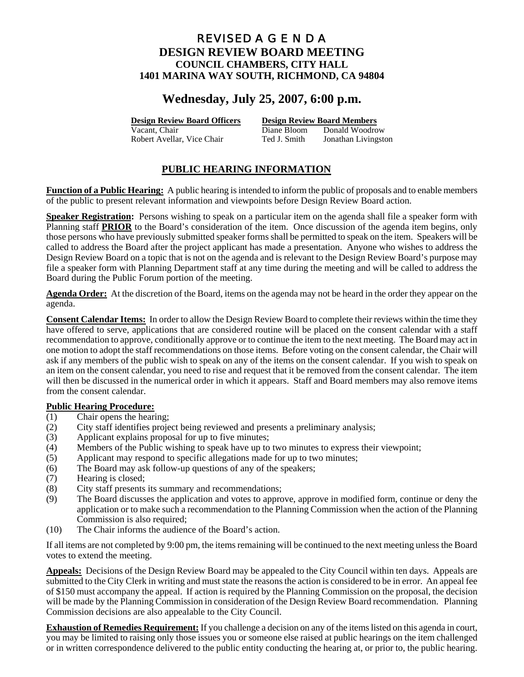# **Wednesday, July 25, 2007, 6:00 p.m.**

**Design Review Board Officers Design Review Board Members**

Vacant, Chair Diane Bloom Donald Woodrow Robert Avellar, Vice Chair Ted J. Smith Jonathan Livingston

## **PUBLIC HEARING INFORMATION**

**Function of a Public Hearing:** A public hearing is intended to inform the public of proposals and to enable members of the public to present relevant information and viewpoints before Design Review Board action.

**Speaker Registration:** Persons wishing to speak on a particular item on the agenda shall file a speaker form with Planning staff **PRIOR** to the Board's consideration of the item. Once discussion of the agenda item begins, only those persons who have previously submitted speaker forms shall be permitted to speak on the item. Speakers will be called to address the Board after the project applicant has made a presentation. Anyone who wishes to address the Design Review Board on a topic that is not on the agenda and is relevant to the Design Review Board's purpose may file a speaker form with Planning Department staff at any time during the meeting and will be called to address the Board during the Public Forum portion of the meeting.

**Agenda Order:** At the discretion of the Board, items on the agenda may not be heard in the order they appear on the agenda.

**Consent Calendar Items:** In order to allow the Design Review Board to complete their reviews within the time they have offered to serve, applications that are considered routine will be placed on the consent calendar with a staff recommendation to approve, conditionally approve or to continue the item to the next meeting. The Board may act in one motion to adopt the staff recommendations on those items. Before voting on the consent calendar, the Chair will ask if any members of the public wish to speak on any of the items on the consent calendar. If you wish to speak on an item on the consent calendar, you need to rise and request that it be removed from the consent calendar. The item will then be discussed in the numerical order in which it appears. Staff and Board members may also remove items from the consent calendar.

## **Public Hearing Procedure:**

- (1) Chair opens the hearing;
- (2) City staff identifies project being reviewed and presents a preliminary analysis;
- (3) Applicant explains proposal for up to five minutes;
- (4) Members of the Public wishing to speak have up to two minutes to express their viewpoint;
- (5) Applicant may respond to specific allegations made for up to two minutes;
- (6) The Board may ask follow-up questions of any of the speakers;
- (7) Hearing is closed;
- (8) City staff presents its summary and recommendations;
- (9) The Board discusses the application and votes to approve, approve in modified form, continue or deny the application or to make such a recommendation to the Planning Commission when the action of the Planning Commission is also required;
- (10) The Chair informs the audience of the Board's action.

If all items are not completed by 9:00 pm, the items remaining will be continued to the next meeting unless the Board votes to extend the meeting.

**Appeals:** Decisions of the Design Review Board may be appealed to the City Council within ten days. Appeals are submitted to the City Clerk in writing and must state the reasons the action is considered to be in error. An appeal fee of \$150 must accompany the appeal. If action is required by the Planning Commission on the proposal, the decision will be made by the Planning Commission in consideration of the Design Review Board recommendation. Planning Commission decisions are also appealable to the City Council.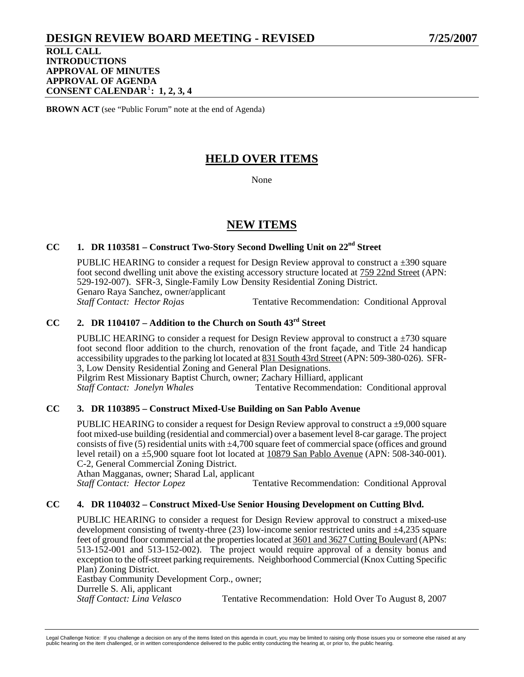## **DESIGN REVIEW BOARD MEETING - REVISED 7/25/2007**

**ROLL CALL INTRODUCTIONS APPROVAL OF MINUTES APPROVAL OF AGENDA CONSENT CALENDAR**[1](#page-36-0) **: 1, 2, 3, 4** 

**BROWN ACT** (see "Public Forum" note at the end of Agenda)

# **HELD OVER ITEMS**

None

## **NEW ITEMS**

## **CC 1. DR 1103581 – Construct Two-Story Second Dwelling Unit on 22nd Street**

PUBLIC HEARING to consider a request for Design Review approval to construct a  $\pm$ 390 square foot second dwelling unit above the existing accessory structure located at 759 22nd Street (APN: 529-192-007). SFR-3, Single-Family Low Density Residential Zoning District. Genaro Raya Sanchez, owner/applicant<br>Staff Contact: Hector Roias *Staff Contact: Hector Rojas* Tentative Recommendation: Conditional Approval

## **CC 2. DR 1104107 – Addition to the Church on South 43rd Street**

PUBLIC HEARING to consider a request for Design Review approval to construct a  $\pm$ 730 square foot second floor addition to the church, renovation of the front façade, and Title 24 handicap accessibility upgrades to the parking lot located at 831 South 43rd Street (APN: 509-380-026). SFR-3, Low Density Residential Zoning and General Plan Designations.

Pilgrim Rest Missionary Baptist Church, owner; Zachary Hilliard, applicant Staff Contact: Jonelyn Whales Tentative Recommendation: *Staff Contact: Jonelyn Whales* Tentative Recommendation: Conditional approval

## **CC 3. DR 1103895 – Construct Mixed-Use Building on San Pablo Avenue**

PUBLIC HEARING to consider a request for Design Review approval to construct a  $\pm 9,000$  square foot mixed-use building (residential and commercial) over a basement level 8-car garage. The project consists of five (5) residential units with  $\pm 4,700$  square feet of commercial space (offices and ground level retail) on a ±5,900 square foot lot located at 10879 San Pablo Avenue (APN: 508-340-001). C-2, General Commercial Zoning District.

Athan Magganas, owner; Sharad Lal, applicant

**Staff Contact: Hector Lopez <b>Tentative Recommendation: Conditional Approval** 

## **CC 4. DR 1104032 – Construct Mixed-Use Senior Housing Development on Cutting Blvd.**

PUBLIC HEARING to consider a request for Design Review approval to construct a mixed-use development consisting of twenty-three (23) low-income senior restricted units and ±4,235 square feet of ground floor commercial at the properties located at 3601 and 3627 Cutting Boulevard (APNs: 513-152-001 and 513-152-002). The project would require approval of a density bonus and exception to the off-street parking requirements. Neighborhood Commercial (Knox Cutting Specific Plan) Zoning District.

Eastbay Community Development Corp., owner; Durrelle S. Ali, applicant *Staff Contact: Lina Velasco* Tentative Recommendation: Hold Over To August 8, 2007

Legal Challenge Notice: If you challenge a decision on any of the items listed on this agenda in court, you may be limited to raising only those issues you or someone else raised at any<br>public hearing on the item challenge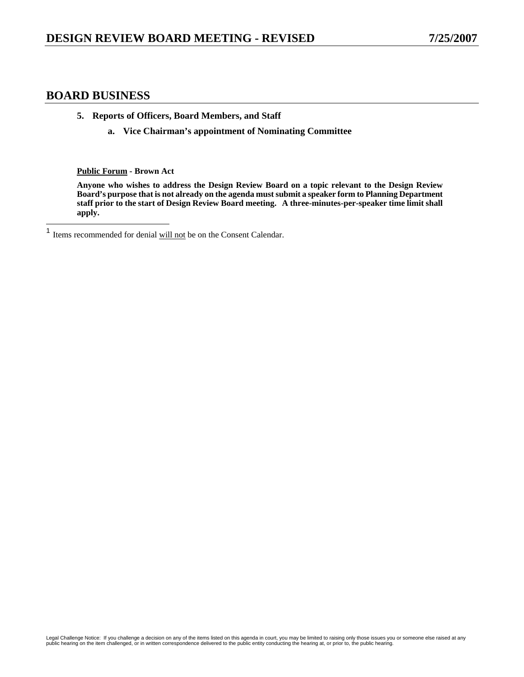## **BOARD BUSINESS**

- **5. Reports of Officers, Board Members, and Staff** 
	- **a. Vice Chairman's appointment of Nominating Committee**

**Public Forum - Brown Act** 

**Anyone who wishes to address the Design Review Board on a topic relevant to the Design Review Board's purpose that is not already on the agenda must submit a speaker form to Planning Department staff prior to the start of Design Review Board meeting. A three-minutes-per-speaker time limit shall apply.** 

<span id="page-36-0"></span> $\overline{1}$ Items recommended for denial will not be on the Consent Calendar.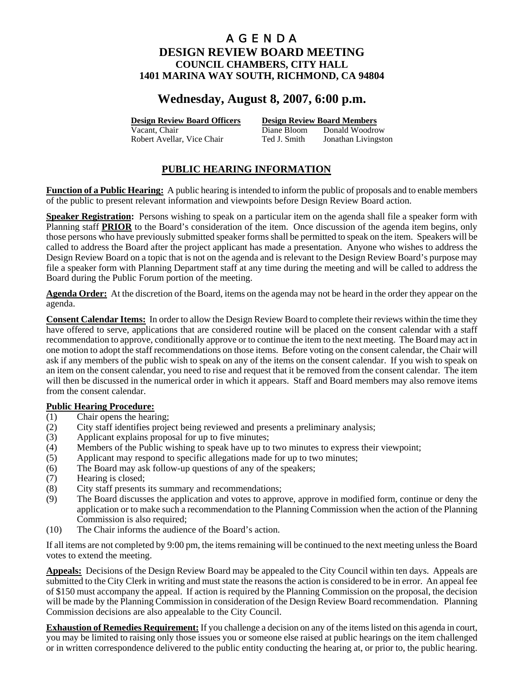# **Wednesday, August 8, 2007, 6:00 p.m.**

**Design Review Board Officers Design Review Board Members**

Vacant, Chair Diane Bloom Donald Woodrow Robert Avellar, Vice Chair Ted J. Smith Jonathan Livingston

## **PUBLIC HEARING INFORMATION**

**Function of a Public Hearing:** A public hearing is intended to inform the public of proposals and to enable members of the public to present relevant information and viewpoints before Design Review Board action.

**Speaker Registration:** Persons wishing to speak on a particular item on the agenda shall file a speaker form with Planning staff **PRIOR** to the Board's consideration of the item. Once discussion of the agenda item begins, only those persons who have previously submitted speaker forms shall be permitted to speak on the item. Speakers will be called to address the Board after the project applicant has made a presentation. Anyone who wishes to address the Design Review Board on a topic that is not on the agenda and is relevant to the Design Review Board's purpose may file a speaker form with Planning Department staff at any time during the meeting and will be called to address the Board during the Public Forum portion of the meeting.

**Agenda Order:** At the discretion of the Board, items on the agenda may not be heard in the order they appear on the agenda.

**Consent Calendar Items:** In order to allow the Design Review Board to complete their reviews within the time they have offered to serve, applications that are considered routine will be placed on the consent calendar with a staff recommendation to approve, conditionally approve or to continue the item to the next meeting. The Board may act in one motion to adopt the staff recommendations on those items. Before voting on the consent calendar, the Chair will ask if any members of the public wish to speak on any of the items on the consent calendar. If you wish to speak on an item on the consent calendar, you need to rise and request that it be removed from the consent calendar. The item will then be discussed in the numerical order in which it appears. Staff and Board members may also remove items from the consent calendar.

## **Public Hearing Procedure:**

- (1) Chair opens the hearing;
- (2) City staff identifies project being reviewed and presents a preliminary analysis;
- (3) Applicant explains proposal for up to five minutes;
- (4) Members of the Public wishing to speak have up to two minutes to express their viewpoint;
- (5) Applicant may respond to specific allegations made for up to two minutes;
- (6) The Board may ask follow-up questions of any of the speakers;
- (7) Hearing is closed;
- (8) City staff presents its summary and recommendations;
- (9) The Board discusses the application and votes to approve, approve in modified form, continue or deny the application or to make such a recommendation to the Planning Commission when the action of the Planning Commission is also required;
- (10) The Chair informs the audience of the Board's action.

If all items are not completed by 9:00 pm, the items remaining will be continued to the next meeting unless the Board votes to extend the meeting.

**Appeals:** Decisions of the Design Review Board may be appealed to the City Council within ten days. Appeals are submitted to the City Clerk in writing and must state the reasons the action is considered to be in error. An appeal fee of \$150 must accompany the appeal. If action is required by the Planning Commission on the proposal, the decision will be made by the Planning Commission in consideration of the Design Review Board recommendation. Planning Commission decisions are also appealable to the City Council.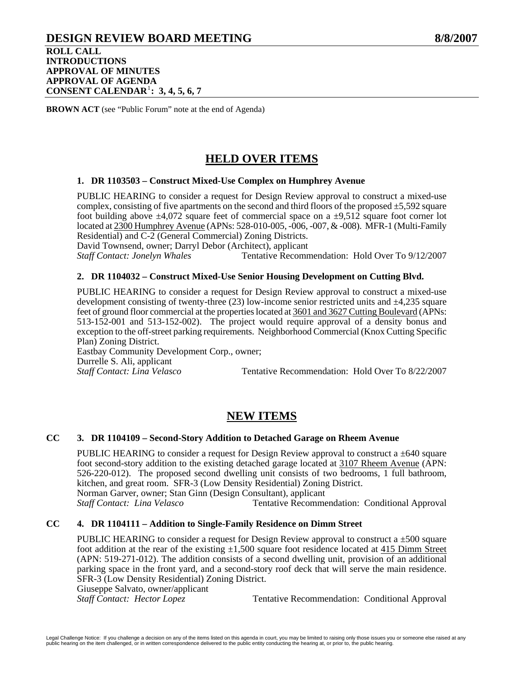## **DESIGN REVIEW BOARD MEETING 8/8/2007 ROLL CALL INTRODUCTIONS APPROVAL OF MINUTES APPROVAL OF AGENDA CONSENT CALENDAR**[1](#page-39-0) **: 3, 4, 5, 6, 7**

**BROWN ACT** (see "Public Forum" note at the end of Agenda)

# **HELD OVER ITEMS**

## **1. DR 1103503 – Construct Mixed-Use Complex on Humphrey Avenue**

PUBLIC HEARING to consider a request for Design Review approval to construct a mixed-use complex, consisting of five apartments on the second and third floors of the proposed  $\pm$ 5,592 square foot building above  $\pm 4.072$  square feet of commercial space on a  $\pm 9.512$  square foot corner lot located at 2300 Humphrey Avenue (APNs: 528-010-005, -006, -007, & -008). MFR-1 (Multi-Family Residential) and C-2 (General Commercial) Zoning Districts.

David Townsend, owner; Darryl Debor (Architect), applicant

*Staff Contact: Jonelyn Whales* Tentative Recommendation: Hold Over To 9/12/2007

### **2. DR 1104032 – Construct Mixed-Use Senior Housing Development on Cutting Blvd.**

PUBLIC HEARING to consider a request for Design Review approval to construct a mixed-use development consisting of twenty-three (23) low-income senior restricted units and ±4,235 square feet of ground floor commercial at the properties located at 3601 and 3627 Cutting Boulevard (APNs: 513-152-001 and 513-152-002). The project would require approval of a density bonus and exception to the off-street parking requirements. Neighborhood Commercial (Knox Cutting Specific Plan) Zoning District. Eastbay Community Development Corp., owner;

Durrelle S. Ali, applicant<br>Staff Contact: Lina Velasco Tentative Recommendation: Hold Over To 8/22/2007

## **NEW ITEMS**

## **CC 3. DR 1104109 – Second-Story Addition to Detached Garage on Rheem Avenue**

PUBLIC HEARING to consider a request for Design Review approval to construct a  $\pm 640$  square foot second-story addition to the existing detached garage located at 3107 Rheem Avenue (APN: 526-220-012). The proposed second dwelling unit consists of two bedrooms, 1 full bathroom, kitchen, and great room. SFR-3 (Low Density Residential) Zoning District. Norman Garver, owner; Stan Ginn (Design Consultant), applicant

*Staff Contact: Lina Velasco* Tentative Recommendation: Conditional Approval

## **CC 4. DR 1104111 – Addition to Single-Family Residence on Dimm Street**

PUBLIC HEARING to consider a request for Design Review approval to construct a  $\pm 500$  square foot addition at the rear of the existing  $\pm 1,500$  square foot residence located at 415 Dimm Street (APN: 519-271-012). The addition consists of a second dwelling unit, provision of an additional parking space in the front yard, and a second-story roof deck that will serve the main residence. SFR-3 (Low Density Residential) Zoning District.

Giuseppe Salvato, owner/applicant

*Staff Contact: Hector Lopez* **Tentative Recommendation: Conditional Approval**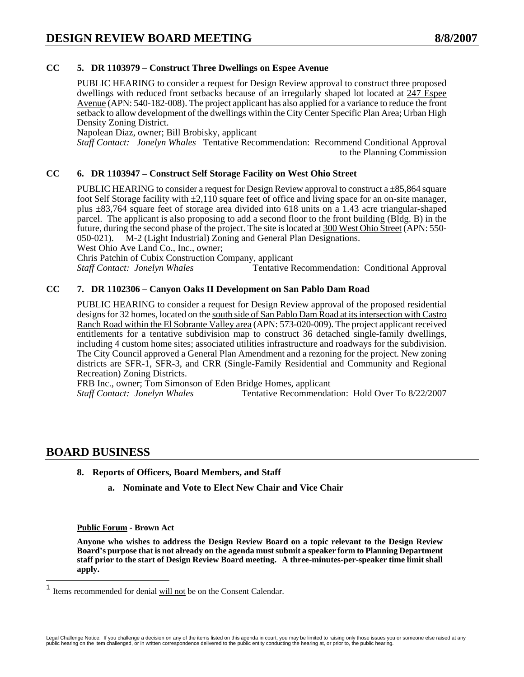## **CC 5. DR 1103979 – Construct Three Dwellings on Espee Avenue**

PUBLIC HEARING to consider a request for Design Review approval to construct three proposed dwellings with reduced front setbacks because of an irregularly shaped lot located at 247 Espee Avenue (APN: 540-182-008). The project applicant has also applied for a variance to reduce the front setback to allow development of the dwellings within the City Center Specific Plan Area; Urban High Density Zoning District.

Napolean Diaz, owner; Bill Brobisky, applicant

*Staff Contact: Jonelyn Whales* Tentative Recommendation: Recommend Conditional Approval to the Planning Commission

## **CC 6. DR 1103947 – Construct Self Storage Facility on West Ohio Street**

PUBLIC HEARING to consider a request for Design Review approval to construct a  $\pm 85,864$  square foot Self Storage facility with  $\pm 2.110$  square feet of office and living space for an on-site manager, plus  $\pm 83,764$  square feet of storage area divided into 618 units on a 1.43 acre triangular-shaped parcel. The applicant is also proposing to add a second floor to the front building (Bldg. B) in the future, during the second phase of the project. The site is located at 300 West Ohio Street (APN: 550- 050-021). M-2 (Light Industrial) Zoning and General Plan Designations.

West Ohio Ave Land Co., Inc., owner:

Chris Patchin of Cubix Construction Company, applicant

*Staff Contact: Jonelyn Whales* Tentative Recommendation: Conditional Approval

### **CC 7. DR 1102306 – Canyon Oaks II Development on San Pablo Dam Road**

PUBLIC HEARING to consider a request for Design Review approval of the proposed residential designs for 32 homes, located on the south side of San Pablo Dam Road at its intersection with Castro Ranch Road within the El Sobrante Valley area (APN: 573-020-009). The project applicant received entitlements for a tentative subdivision map to construct 36 detached single-family dwellings, including 4 custom home sites; associated utilities infrastructure and roadways for the subdivision. The City Council approved a General Plan Amendment and a rezoning for the project. New zoning districts are SFR-1, SFR-3, and CRR (Single-Family Residential and Community and Regional Recreation) Zoning Districts.

FRB Inc., owner; Tom Simonson of Eden Bridge Homes, applicant

*Staff Contact: Jonelyn Whales* Tentative Recommendation: Hold Over To 8/22/2007

## **BOARD BUSINESS**

<span id="page-39-0"></span> $\overline{\phantom{a}}$ 

- **8. Reports of Officers, Board Members, and Staff** 
	- **a. Nominate and Vote to Elect New Chair and Vice Chair**

#### **Public Forum - Brown Act**

**Anyone who wishes to address the Design Review Board on a topic relevant to the Design Review Board's purpose that is not already on the agenda must submit a speaker form to Planning Department staff prior to the start of Design Review Board meeting. A three-minutes-per-speaker time limit shall apply.** 

Items recommended for denial will not be on the Consent Calendar.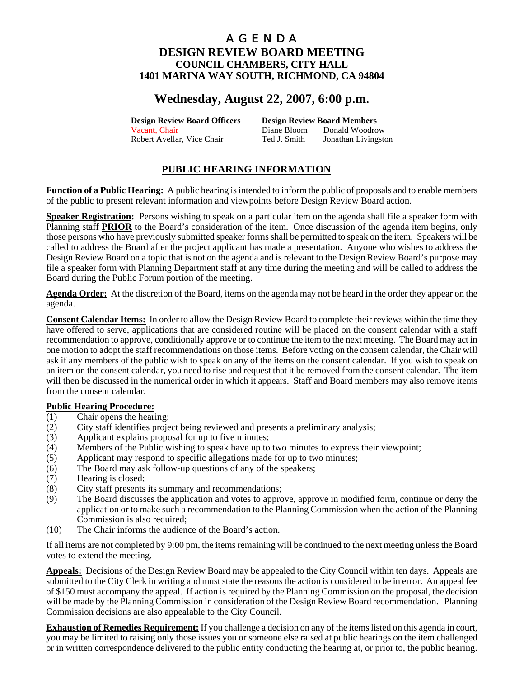# **Wednesday, August 22, 2007, 6:00 p.m.**

**Design Review Board Officers Design Review Board Members**

Vacant, Chair **Diane Bloom** Donald Woodrow Robert Avellar, Vice Chair Ted J. Smith Jonathan Livingston

## **PUBLIC HEARING INFORMATION**

**Function of a Public Hearing:** A public hearing is intended to inform the public of proposals and to enable members of the public to present relevant information and viewpoints before Design Review Board action.

**Speaker Registration:** Persons wishing to speak on a particular item on the agenda shall file a speaker form with Planning staff **PRIOR** to the Board's consideration of the item. Once discussion of the agenda item begins, only those persons who have previously submitted speaker forms shall be permitted to speak on the item. Speakers will be called to address the Board after the project applicant has made a presentation. Anyone who wishes to address the Design Review Board on a topic that is not on the agenda and is relevant to the Design Review Board's purpose may file a speaker form with Planning Department staff at any time during the meeting and will be called to address the Board during the Public Forum portion of the meeting.

**Agenda Order:** At the discretion of the Board, items on the agenda may not be heard in the order they appear on the agenda.

**Consent Calendar Items:** In order to allow the Design Review Board to complete their reviews within the time they have offered to serve, applications that are considered routine will be placed on the consent calendar with a staff recommendation to approve, conditionally approve or to continue the item to the next meeting. The Board may act in one motion to adopt the staff recommendations on those items. Before voting on the consent calendar, the Chair will ask if any members of the public wish to speak on any of the items on the consent calendar. If you wish to speak on an item on the consent calendar, you need to rise and request that it be removed from the consent calendar. The item will then be discussed in the numerical order in which it appears. Staff and Board members may also remove items from the consent calendar.

## **Public Hearing Procedure:**

- (1) Chair opens the hearing;
- (2) City staff identifies project being reviewed and presents a preliminary analysis;
- (3) Applicant explains proposal for up to five minutes;
- (4) Members of the Public wishing to speak have up to two minutes to express their viewpoint;
- (5) Applicant may respond to specific allegations made for up to two minutes;
- (6) The Board may ask follow-up questions of any of the speakers;
- (7) Hearing is closed;
- (8) City staff presents its summary and recommendations;
- (9) The Board discusses the application and votes to approve, approve in modified form, continue or deny the application or to make such a recommendation to the Planning Commission when the action of the Planning Commission is also required;
- (10) The Chair informs the audience of the Board's action.

If all items are not completed by 9:00 pm, the items remaining will be continued to the next meeting unless the Board votes to extend the meeting.

**Appeals:** Decisions of the Design Review Board may be appealed to the City Council within ten days. Appeals are submitted to the City Clerk in writing and must state the reasons the action is considered to be in error. An appeal fee of \$150 must accompany the appeal. If action is required by the Planning Commission on the proposal, the decision will be made by the Planning Commission in consideration of the Design Review Board recommendation. Planning Commission decisions are also appealable to the City Council.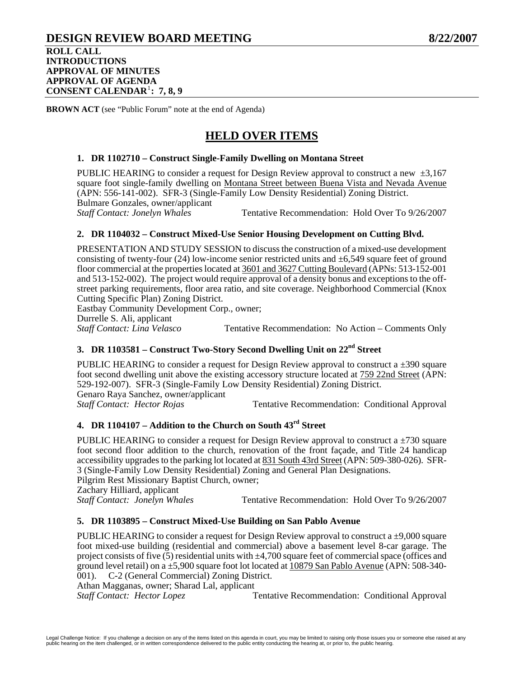## **DESIGN REVIEW BOARD MEETING 8/22/2007 ROLL CALL INTRODUCTIONS APPROVAL OF MINUTES APPROVAL OF AGENDA CONSENT CALENDAR**[1](#page-42-0) **: 7, 8, 9**

**BROWN ACT** (see "Public Forum" note at the end of Agenda)

# **HELD OVER ITEMS**

## **1. DR 1102710 – Construct Single-Family Dwelling on Montana Street**

PUBLIC HEARING to consider a request for Design Review approval to construct a new  $\pm 3.167$ square foot single-family dwelling on Montana Street between Buena Vista and Nevada Avenue (APN: 556-141-002). SFR-3 (Single-Family Low Density Residential) Zoning District. Bulmare Gonzales, owner/applicant *Staff Contact: Jonelyn Whales* Tentative Recommendation: Hold Over To 9/26/2007

### **2. DR 1104032 – Construct Mixed-Use Senior Housing Development on Cutting Blvd.**

PRESENTATION AND STUDY SESSION to discuss the construction of a mixed-use development consisting of twenty-four (24) low-income senior restricted units and  $\pm 6,549$  square feet of ground floor commercial at the properties located at 3601 and 3627 Cutting Boulevard (APNs: 513-152-001 and 513-152-002). The project would require approval of a density bonus and exceptions to the offstreet parking requirements, floor area ratio, and site coverage. Neighborhood Commercial (Knox Cutting Specific Plan) Zoning District.

Eastbay Community Development Corp., owner; Durrelle S. Ali, applicant<br>Staff Contact: Lina Velasco Tentative Recommendation: No Action – Comments Only

## **3. DR 1103581 – Construct Two-Story Second Dwelling Unit on 22nd Street**

PUBLIC HEARING to consider a request for Design Review approval to construct a  $\pm$ 390 square foot second dwelling unit above the existing accessory structure located at 759 22nd Street (APN: 529-192-007). SFR-3 (Single-Family Low Density Residential) Zoning District. Genaro Raya Sanchez, owner/applicant *Staff Contact: Hector Rojas* Tentative Recommendation: Conditional Approval

## **4. DR 1104107 – Addition to the Church on South 43rd Street**

PUBLIC HEARING to consider a request for Design Review approval to construct a  $\pm$ 730 square foot second floor addition to the church, renovation of the front façade, and Title 24 handicap accessibility upgrades to the parking lot located at 831 South 43rd Street (APN: 509-380-026). SFR-3 (Single-Family Low Density Residential) Zoning and General Plan Designations. Pilgrim Rest Missionary Baptist Church, owner; Zachary Hilliard, applicant<br>Staff Contact: Jonelyn Whales Tentative Recommendation: Hold Over To  $9/26/2007$ 

#### **5. DR 1103895 – Construct Mixed-Use Building on San Pablo Avenue**

PUBLIC HEARING to consider a request for Design Review approval to construct a  $\pm 9,000$  square foot mixed-use building (residential and commercial) above a basement level 8-car garage. The project consists of five (5) residential units with  $\pm 4,700$  square feet of commercial space (offices and ground level retail) on a ±5,900 square foot lot located at 10879 San Pablo Avenue (APN: 508-340- 001). C-2 (General Commercial) Zoning District.

Athan Magganas, owner; Sharad Lal, applicant

**Staff Contact: Hector Lopez Tentative Recommendation: Conditional Approval**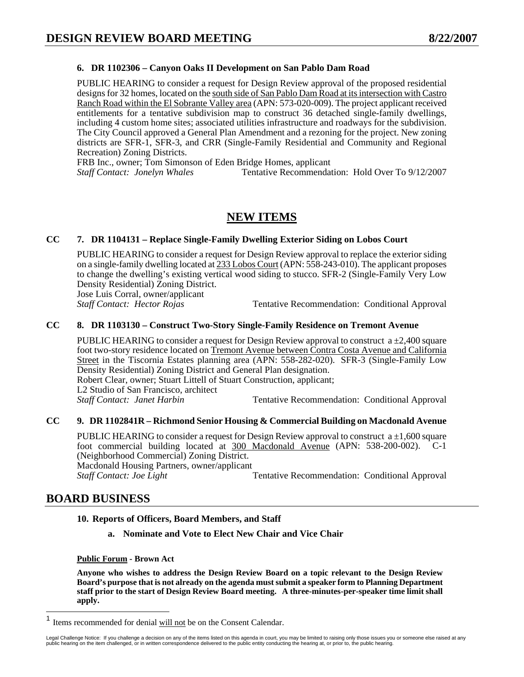## **6. DR 1102306 – Canyon Oaks II Development on San Pablo Dam Road**

PUBLIC HEARING to consider a request for Design Review approval of the proposed residential designs for 32 homes, located on the south side of San Pablo Dam Road at its intersection with Castro Ranch Road within the El Sobrante Valley area (APN: 573-020-009). The project applicant received entitlements for a tentative subdivision map to construct 36 detached single-family dwellings, including 4 custom home sites; associated utilities infrastructure and roadways for the subdivision. The City Council approved a General Plan Amendment and a rezoning for the project. New zoning districts are SFR-1, SFR-3, and CRR (Single-Family Residential and Community and Regional Recreation) Zoning Districts.

FRB Inc., owner; Tom Simonson of Eden Bridge Homes, applicant

*Staff Contact: Jonelyn Whales* **Tentative Recommendation: Hold Over To 9/12/2007** 

## **NEW ITEMS**

## **CC 7. DR 1104131 – Replace Single-Family Dwelling Exterior Siding on Lobos Court**

PUBLIC HEARING to consider a request for Design Review approval to replace the exterior siding on a single-family dwelling located at 233 Lobos Court (APN: 558-243-010). The applicant proposes to change the dwelling's existing vertical wood siding to stucco. SFR-2 (Single-Family Very Low Density Residential) Zoning District. Jose Luis Corral, owner/applicant

*Staff Contact: Hector Rojas* Tentative Recommendation: Conditional Approval

#### **CC 8. DR 1103130 – Construct Two-Story Single-Family Residence on Tremont Avenue**

PUBLIC HEARING to consider a request for Design Review approval to construct  $a \pm 2,400$  square foot two-story residence located on Tremont Avenue between Contra Costa Avenue and California Street in the Tiscornia Estates planning area (APN: 558-282-020). SFR-3 (Single-Family Low Density Residential) Zoning District and General Plan designation. Robert Clear, owner; Stuart Littell of Stuart Construction, applicant; L2 Studio of San Francisco, architect **Staff Contact: Janet Harbin Tentative Recommendation: Conditional Approval** 

## **CC 9. DR 1102841R – Richmond Senior Housing & Commercial Building on Macdonald Avenue**

PUBLIC HEARING to consider a request for Design Review approval to construct  $a \pm 1,600$  square foot commercial building located at 300 Macdonald Avenue (APN: 538-200-002). C-1 (Neighborhood Commercial) Zoning District.

Macdonald Housing Partners, owner/applicant *Staff Contact: Joe Light* **Tentative Recommendation: Conditional Approval** 

## **BOARD BUSINESS**

#### **10. Reports of Officers, Board Members, and Staff**

**a. Nominate and Vote to Elect New Chair and Vice Chair** 

#### **Public Forum - Brown Act**

**Anyone who wishes to address the Design Review Board on a topic relevant to the Design Review Board's purpose that is not already on the agenda must submit a speaker form to Planning Department staff prior to the start of Design Review Board meeting. A three-minutes-per-speaker time limit shall apply.** 

<span id="page-42-0"></span> $\mathbf{1}$ Items recommended for denial will not be on the Consent Calendar.

Legal Challenge Notice: If you challenge a decision on any of the items listed on this agenda in court, you may be limited to raising only those issues you or someone else raised at any<br>public hearing on the item challenge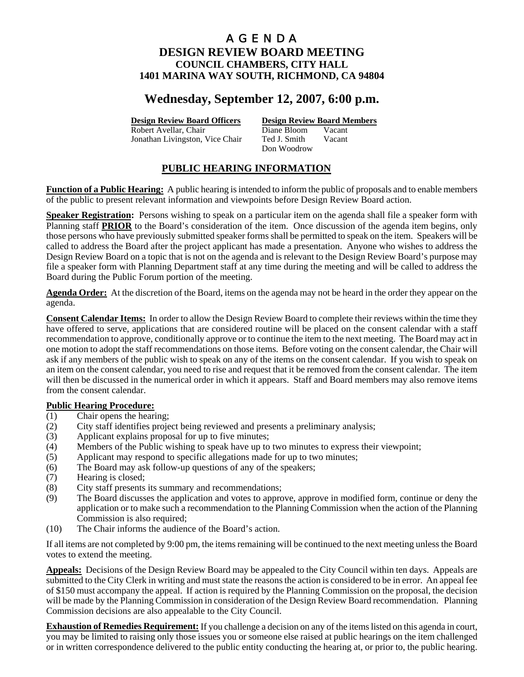# **Wednesday, September 12, 2007, 6:00 p.m.**

Robert Avellar, Chair Diane Bloom Jonathan Livingston, Vice Chair Ted J. Smith Vacant

**Design Review Board Officers Design Review Board Members**

Don Woodrow

## **PUBLIC HEARING INFORMATION**

**Function of a Public Hearing:** A public hearing is intended to inform the public of proposals and to enable members of the public to present relevant information and viewpoints before Design Review Board action.

**Speaker Registration:** Persons wishing to speak on a particular item on the agenda shall file a speaker form with Planning staff **PRIOR** to the Board's consideration of the item. Once discussion of the agenda item begins, only those persons who have previously submitted speaker forms shall be permitted to speak on the item. Speakers will be called to address the Board after the project applicant has made a presentation. Anyone who wishes to address the Design Review Board on a topic that is not on the agenda and is relevant to the Design Review Board's purpose may file a speaker form with Planning Department staff at any time during the meeting and will be called to address the Board during the Public Forum portion of the meeting.

**Agenda Order:** At the discretion of the Board, items on the agenda may not be heard in the order they appear on the agenda.

**Consent Calendar Items:** In order to allow the Design Review Board to complete their reviews within the time they have offered to serve, applications that are considered routine will be placed on the consent calendar with a staff recommendation to approve, conditionally approve or to continue the item to the next meeting. The Board may act in one motion to adopt the staff recommendations on those items. Before voting on the consent calendar, the Chair will ask if any members of the public wish to speak on any of the items on the consent calendar. If you wish to speak on an item on the consent calendar, you need to rise and request that it be removed from the consent calendar. The item will then be discussed in the numerical order in which it appears. Staff and Board members may also remove items from the consent calendar.

## **Public Hearing Procedure:**

- (1) Chair opens the hearing;
- (2) City staff identifies project being reviewed and presents a preliminary analysis;
- (3) Applicant explains proposal for up to five minutes;
- (4) Members of the Public wishing to speak have up to two minutes to express their viewpoint;
- (5) Applicant may respond to specific allegations made for up to two minutes;
- (6) The Board may ask follow-up questions of any of the speakers;
- (7) Hearing is closed;
- (8) City staff presents its summary and recommendations;
- (9) The Board discusses the application and votes to approve, approve in modified form, continue or deny the application or to make such a recommendation to the Planning Commission when the action of the Planning Commission is also required;
- (10) The Chair informs the audience of the Board's action.

If all items are not completed by 9:00 pm, the items remaining will be continued to the next meeting unless the Board votes to extend the meeting.

**Appeals:** Decisions of the Design Review Board may be appealed to the City Council within ten days. Appeals are submitted to the City Clerk in writing and must state the reasons the action is considered to be in error. An appeal fee of \$150 must accompany the appeal. If action is required by the Planning Commission on the proposal, the decision will be made by the Planning Commission in consideration of the Design Review Board recommendation. Planning Commission decisions are also appealable to the City Council.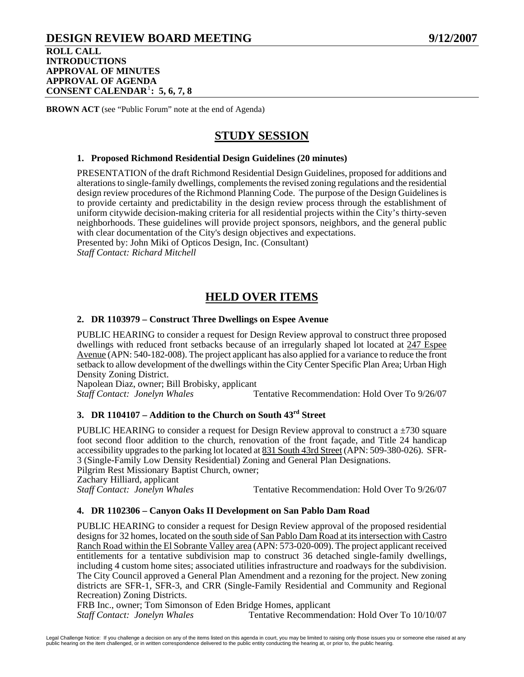## **DESIGN REVIEW BOARD MEETING 9/12/2007 ROLL CALL INTRODUCTIONS APPROVAL OF MINUTES**

**APPROVAL OF AGENDA CONSENT CALENDAR**[1](#page-45-0) **: 5, 6, 7, 8**

**BROWN ACT** (see "Public Forum" note at the end of Agenda)

# **STUDY SESSION**

## **1. Proposed Richmond Residential Design Guidelines (20 minutes)**

PRESENTATION of the draft Richmond Residential Design Guidelines, proposed for additions and alterations to single-family dwellings, complements the revised zoning regulations and the residential design review procedures of the Richmond Planning Code. The purpose of the Design Guidelines is to provide certainty and predictability in the design review process through the establishment of uniform citywide decision-making criteria for all residential projects within the City's thirty-seven neighborhoods. These guidelines will provide project sponsors, neighbors, and the general public with clear documentation of the City's design objectives and expectations.

Presented by: John Miki of Opticos Design, Inc. (Consultant) *Staff Contact: Richard Mitchell*

# **HELD OVER ITEMS**

## **2. DR 1103979 – Construct Three Dwellings on Espee Avenue**

PUBLIC HEARING to consider a request for Design Review approval to construct three proposed dwellings with reduced front setbacks because of an irregularly shaped lot located at  $247$  Espee Avenue (APN: 540-182-008). The project applicant has also applied for a variance to reduce the front setback to allow development of the dwellings within the City Center Specific Plan Area; Urban High Density Zoning District.

Napolean Diaz, owner; Bill Brobisky, applicant

*Staff Contact: Jonelyn Whales* Tentative Recommendation: Hold Over To 9/26/07

## **3. DR 1104107 – Addition to the Church on South 43rd Street**

PUBLIC HEARING to consider a request for Design Review approval to construct a  $\pm$ 730 square foot second floor addition to the church, renovation of the front façade, and Title 24 handicap accessibility upgrades to the parking lot located at 831 South 43rd Street (APN: 509-380-026). SFR-3 (Single-Family Low Density Residential) Zoning and General Plan Designations. Pilgrim Rest Missionary Baptist Church, owner; Zachary Hilliard, applicant<br>Staff Contact: Jonelyn Whales

Tentative Recommendation: Hold Over To  $9/26/07$ 

## **4. DR 1102306 – Canyon Oaks II Development on San Pablo Dam Road**

PUBLIC HEARING to consider a request for Design Review approval of the proposed residential designs for 32 homes, located on the south side of San Pablo Dam Road at its intersection with Castro Ranch Road within the El Sobrante Valley area (APN: 573-020-009). The project applicant received entitlements for a tentative subdivision map to construct 36 detached single-family dwellings, including 4 custom home sites; associated utilities infrastructure and roadways for the subdivision. The City Council approved a General Plan Amendment and a rezoning for the project. New zoning districts are SFR-1, SFR-3, and CRR (Single-Family Residential and Community and Regional Recreation) Zoning Districts.

FRB Inc., owner; Tom Simonson of Eden Bridge Homes, applicant

*Staff Contact: Jonelyn Whales* Tentative Recommendation: Hold Over To 10/10/07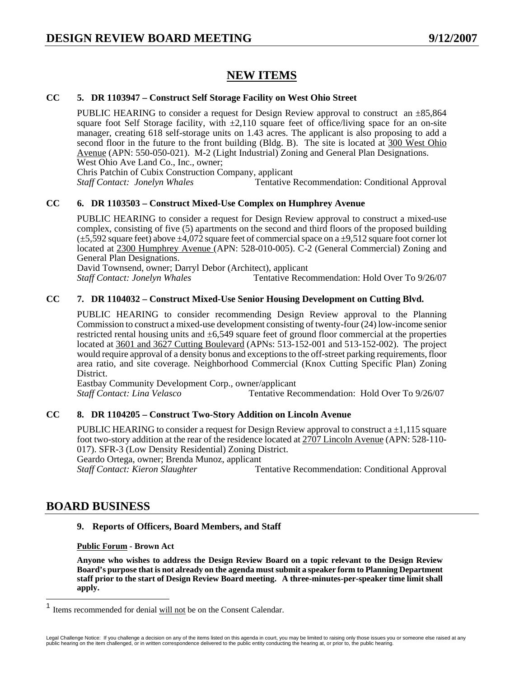# **NEW ITEMS**

## **CC 5. DR 1103947 – Construct Self Storage Facility on West Ohio Street**

PUBLIC HEARING to consider a request for Design Review approval to construct an  $\pm 85,864$ square foot Self Storage facility, with  $\pm 2,110$  square feet of office/living space for an on-site manager, creating 618 self-storage units on 1.43 acres. The applicant is also proposing to add a second floor in the future to the front building (Bldg. B). The site is located at 300 West Ohio Avenue (APN: 550-050-021). M-2 (Light Industrial) Zoning and General Plan Designations. West Ohio Ave Land Co., Inc., owner;

Chris Patchin of Cubix Construction Company, applicant

*Staff Contact: Jonelyn Whales* Tentative Recommendation: Conditional Approval

## **CC 6. DR 1103503 – Construct Mixed-Use Complex on Humphrey Avenue**

PUBLIC HEARING to consider a request for Design Review approval to construct a mixed-use complex, consisting of five (5) apartments on the second and third floors of the proposed building  $(\pm 5,592$  square feet) above  $\pm 4,072$  square feet of commercial space on a  $\pm 9,512$  square foot corner lot located at 2300 Humphrey Avenue (APN: 528-010-005). C-2 (General Commercial) Zoning and General Plan Designations.

David Townsend, owner; Darryl Debor (Architect), applicant

*Staff Contact: Jonelyn Whales* Tentative Recommendation: Hold Over To 9/26/07

## **CC 7. DR 1104032 – Construct Mixed-Use Senior Housing Development on Cutting Blvd.**

PUBLIC HEARING to consider recommending Design Review approval to the Planning Commission to construct a mixed-use development consisting of twenty-four (24) low-income senior restricted rental housing units and ±6,549 square feet of ground floor commercial at the properties located at 3601 and 3627 Cutting Boulevard (APNs: 513-152-001 and 513-152-002). The project would require approval of a density bonus and exceptions to the off-street parking requirements, floor area ratio, and site coverage. Neighborhood Commercial (Knox Cutting Specific Plan) Zoning District.

Eastbay Community Development Corp., owner/applicant *Staff Contact: Lina Velasco* Tentative Recommendation: Hold Over To 9/26/07

## **CC 8. DR 1104205 – Construct Two-Story Addition on Lincoln Avenue**

PUBLIC HEARING to consider a request for Design Review approval to construct  $a \pm 1,115$  square foot two-story addition at the rear of the residence located at 2707 Lincoln Avenue (APN: 528-110- 017). SFR-3 (Low Density Residential) Zoning District. Geardo Ortega, owner; Brenda Munoz, applicant

*Staff Contact: Kieron Slaughter* Tentative Recommendation: Conditional Approval

## **BOARD BUSINESS**

## **9. Reports of Officers, Board Members, and Staff**

#### **Public Forum - Brown Act**

**Anyone who wishes to address the Design Review Board on a topic relevant to the Design Review Board's purpose that is not already on the agenda must submit a speaker form to Planning Department staff prior to the start of Design Review Board meeting. A three-minutes-per-speaker time limit shall apply.** 

<span id="page-45-0"></span> $\mathbf{1}$ Items recommended for denial will not be on the Consent Calendar.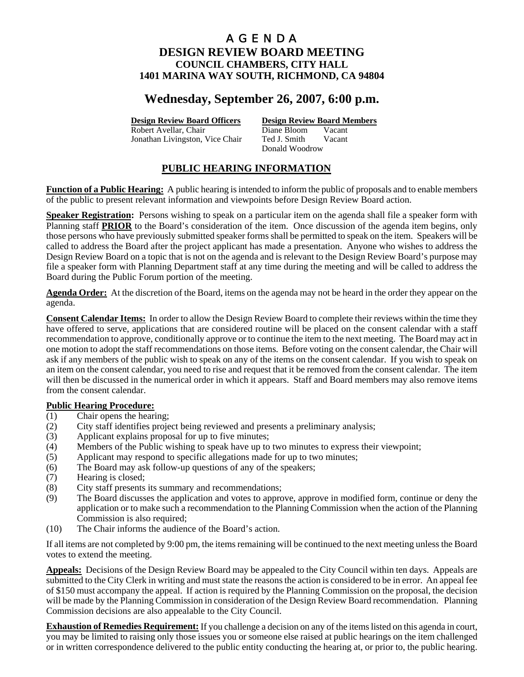# **Wednesday, September 26, 2007, 6:00 p.m.**

Robert Avellar, Chair Diane Bloom Jonathan Livingston, Vice Chair Ted J. Smith Vacant

**Design Review Board Officers Design Review Board Members**

Donald Woodrow

## **PUBLIC HEARING INFORMATION**

**Function of a Public Hearing:** A public hearing is intended to inform the public of proposals and to enable members of the public to present relevant information and viewpoints before Design Review Board action.

**Speaker Registration:** Persons wishing to speak on a particular item on the agenda shall file a speaker form with Planning staff **PRIOR** to the Board's consideration of the item. Once discussion of the agenda item begins, only those persons who have previously submitted speaker forms shall be permitted to speak on the item. Speakers will be called to address the Board after the project applicant has made a presentation. Anyone who wishes to address the Design Review Board on a topic that is not on the agenda and is relevant to the Design Review Board's purpose may file a speaker form with Planning Department staff at any time during the meeting and will be called to address the Board during the Public Forum portion of the meeting.

**Agenda Order:** At the discretion of the Board, items on the agenda may not be heard in the order they appear on the agenda.

**Consent Calendar Items:** In order to allow the Design Review Board to complete their reviews within the time they have offered to serve, applications that are considered routine will be placed on the consent calendar with a staff recommendation to approve, conditionally approve or to continue the item to the next meeting. The Board may act in one motion to adopt the staff recommendations on those items. Before voting on the consent calendar, the Chair will ask if any members of the public wish to speak on any of the items on the consent calendar. If you wish to speak on an item on the consent calendar, you need to rise and request that it be removed from the consent calendar. The item will then be discussed in the numerical order in which it appears. Staff and Board members may also remove items from the consent calendar.

## **Public Hearing Procedure:**

- (1) Chair opens the hearing;
- (2) City staff identifies project being reviewed and presents a preliminary analysis;
- (3) Applicant explains proposal for up to five minutes;
- (4) Members of the Public wishing to speak have up to two minutes to express their viewpoint;
- (5) Applicant may respond to specific allegations made for up to two minutes;
- (6) The Board may ask follow-up questions of any of the speakers;
- (7) Hearing is closed;
- (8) City staff presents its summary and recommendations;
- (9) The Board discusses the application and votes to approve, approve in modified form, continue or deny the application or to make such a recommendation to the Planning Commission when the action of the Planning Commission is also required;
- (10) The Chair informs the audience of the Board's action.

If all items are not completed by 9:00 pm, the items remaining will be continued to the next meeting unless the Board votes to extend the meeting.

**Appeals:** Decisions of the Design Review Board may be appealed to the City Council within ten days. Appeals are submitted to the City Clerk in writing and must state the reasons the action is considered to be in error. An appeal fee of \$150 must accompany the appeal. If action is required by the Planning Commission on the proposal, the decision will be made by the Planning Commission in consideration of the Design Review Board recommendation. Planning Commission decisions are also appealable to the City Council.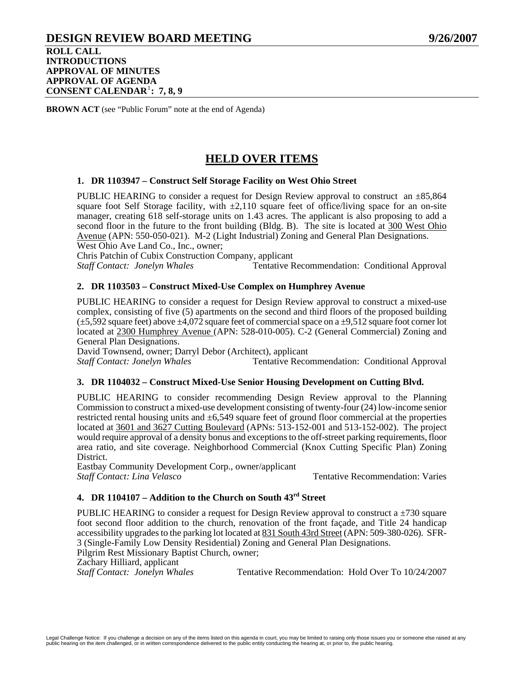## **DESIGN REVIEW BOARD MEETING 9/26/2007 ROLL CALL INTRODUCTIONS APPROVAL OF MINUTES APPROVAL OF AGENDA CONSENT CALENDAR**[1](#page-48-0) **: 7, 8, 9**

**BROWN ACT** (see "Public Forum" note at the end of Agenda)

# **HELD OVER ITEMS**

### **1. DR 1103947 – Construct Self Storage Facility on West Ohio Street**

PUBLIC HEARING to consider a request for Design Review approval to construct an  $\pm 85,864$ square foot Self Storage facility, with  $\pm 2,110$  square feet of office/living space for an on-site manager, creating 618 self-storage units on 1.43 acres. The applicant is also proposing to add a second floor in the future to the front building (Bldg. B). The site is located at 300 West Ohio Avenue (APN: 550-050-021). M-2 (Light Industrial) Zoning and General Plan Designations.

West Ohio Ave Land Co., Inc., owner;

Chris Patchin of Cubix Construction Company, applicant

*Staff Contact: Jonelyn Whales* Tentative Recommendation: Conditional Approval

### **2. DR 1103503 – Construct Mixed-Use Complex on Humphrey Avenue**

PUBLIC HEARING to consider a request for Design Review approval to construct a mixed-use complex, consisting of five (5) apartments on the second and third floors of the proposed building  $(\pm 5.592$  square feet) above  $\pm 4.072$  square feet of commercial space on a  $\pm 9.512$  square foot corner lot located at 2300 Humphrey Avenue (APN: 528-010-005). C-2 (General Commercial) Zoning and General Plan Designations.

David Townsend, owner; Darryl Debor (Architect), applicant

*Staff Contact: Jonelyn Whales* Tentative Recommendation: Conditional Approval

#### **3. DR 1104032 – Construct Mixed-Use Senior Housing Development on Cutting Blvd.**

PUBLIC HEARING to consider recommending Design Review approval to the Planning Commission to construct a mixed-use development consisting of twenty-four (24) low-income senior restricted rental housing units and ±6,549 square feet of ground floor commercial at the properties located at 3601 and 3627 Cutting Boulevard (APNs: 513-152-001 and 513-152-002). The project would require approval of a density bonus and exceptions to the off-street parking requirements, floor area ratio, and site coverage. Neighborhood Commercial (Knox Cutting Specific Plan) Zoning District.

Eastbay Community Development Corp., owner/applicant *Staff Contact: Lina Velasco* **Tentative Recommendation: Varies** 

## **4. DR 1104107 – Addition to the Church on South 43rd Street**

PUBLIC HEARING to consider a request for Design Review approval to construct a  $\pm$ 730 square foot second floor addition to the church, renovation of the front façade, and Title 24 handicap accessibility upgrades to the parking lot located at 831 South 43rd Street (APN: 509-380-026). SFR-3 (Single-Family Low Density Residential) Zoning and General Plan Designations. Pilgrim Rest Missionary Baptist Church, owner; Zachary Hilliard, applicant

*Staff Contact: Jonelyn Whales* Tentative Recommendation: Hold Over To 10/24/2007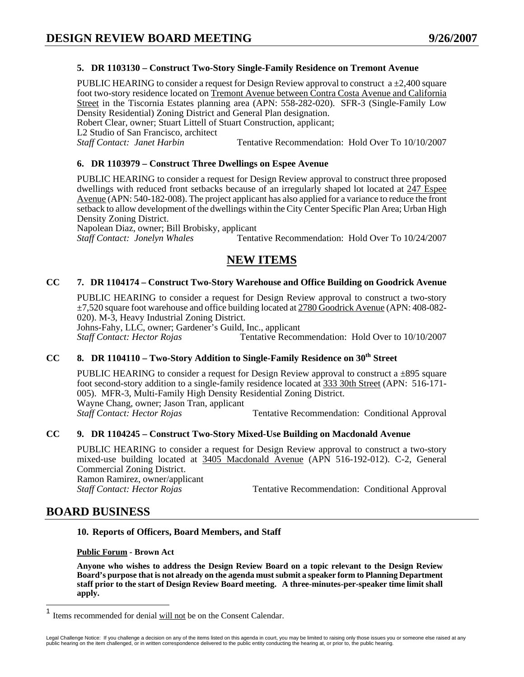## **5. DR 1103130 – Construct Two-Story Single-Family Residence on Tremont Avenue**

PUBLIC HEARING to consider a request for Design Review approval to construct  $a \pm 2,400$  square foot two-story residence located on Tremont Avenue between Contra Costa Avenue and California Street in the Tiscornia Estates planning area (APN: 558-282-020). SFR-3 (Single-Family Low Density Residential) Zoning District and General Plan designation. Robert Clear, owner; Stuart Littell of Stuart Construction, applicant;

L2 Studio of San Francisco, architect

*Staff Contact: Janet Harbin* Tentative Recommendation: Hold Over To 10/10/2007

#### **6. DR 1103979 – Construct Three Dwellings on Espee Avenue**

PUBLIC HEARING to consider a request for Design Review approval to construct three proposed dwellings with reduced front setbacks because of an irregularly shaped lot located at 247 Espee Avenue (APN: 540-182-008). The project applicant has also applied for a variance to reduce the front setback to allow development of the dwellings within the City Center Specific Plan Area; Urban High Density Zoning District.

Napolean Diaz, owner; Bill Brobisky, applicant *Staff Contact: Jonelyn Whales* Tentative Recommendation: Hold Over To 10/24/2007

## **NEW ITEMS**

### **CC 7. DR 1104174 – Construct Two-Story Warehouse and Office Building on Goodrick Avenue**

PUBLIC HEARING to consider a request for Design Review approval to construct a two-story  $\pm$ 7,520 square foot warehouse and office building located at 2780 Goodrick Avenue (APN: 408-082-020). M-3, Heavy Industrial Zoning District.

Johns-Fahy, LLC, owner; Gardener's Guild, Inc., applicant

*Staff Contact: Hector Rojas* Tentative Recommendation: Hold Over to 10/10/2007

## CC 8. DR 1104110 – Two-Story Addition to Single-Family Residence on 30<sup>th</sup> Street

PUBLIC HEARING to consider a request for Design Review approval to construct a  $\pm$ 895 square foot second-story addition to a single-family residence located at 333 30th Street (APN: 516-171- 005). MFR-3, Multi-Family High Density Residential Zoning District. Wayne Chang, owner; Jason Tran, applicant **Staff Contact: Hector Rojas Tentative Recommendation: Conditional Approval** 

#### **CC 9. DR 1104245 – Construct Two-Story Mixed-Use Building on Macdonald Avenue**

PUBLIC HEARING to consider a request for Design Review approval to construct a two-story mixed-use building located at 3405 Macdonald Avenue (APN 516-192-012). C-2, General Commercial Zoning District. Ramon Ramirez, owner/applicant<br>Staff Contact: Hector Rojas

Tentative Recommendation: Conditional Approval

## **BOARD BUSINESS**

 $\overline{a}$ 

#### **10. Reports of Officers, Board Members, and Staff**

#### **Public Forum - Brown Act**

**Anyone who wishes to address the Design Review Board on a topic relevant to the Design Review Board's purpose that is not already on the agenda must submit a speaker form to Planning Department staff prior to the start of Design Review Board meeting. A three-minutes-per-speaker time limit shall apply.** 

<span id="page-48-0"></span><sup>1</sup> Items recommended for denial will not be on the Consent Calendar.

Legal Challenge Notice: If you challenge a decision on any of the items listed on this agenda in court, you may be limited to raising only those issues you or someone else raised at any<br>public hearing on the item challenge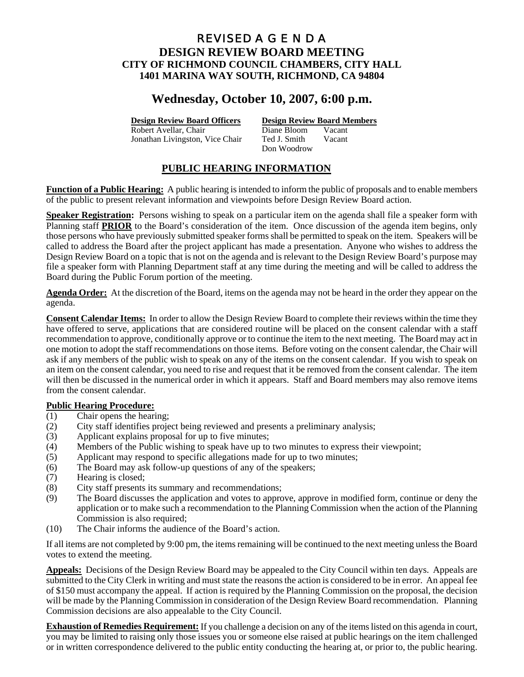## REVISED A G E N D A **DESIGN REVIEW BOARD MEETING CITY OF RICHMOND COUNCIL CHAMBERS, CITY HALL 1401 MARINA WAY SOUTH, RICHMOND, CA 94804**

# **Wednesday, October 10, 2007, 6:00 p.m.**

Robert Avellar, Chair Diane Bloom Jonathan Livingston, Vice Chair Ted J. Smith Vacant

**Design Review Board Officers Design Review Board Members**

Don Woodrow

## **PUBLIC HEARING INFORMATION**

**Function of a Public Hearing:** A public hearing is intended to inform the public of proposals and to enable members of the public to present relevant information and viewpoints before Design Review Board action.

**Speaker Registration:** Persons wishing to speak on a particular item on the agenda shall file a speaker form with Planning staff **PRIOR** to the Board's consideration of the item. Once discussion of the agenda item begins, only those persons who have previously submitted speaker forms shall be permitted to speak on the item. Speakers will be called to address the Board after the project applicant has made a presentation. Anyone who wishes to address the Design Review Board on a topic that is not on the agenda and is relevant to the Design Review Board's purpose may file a speaker form with Planning Department staff at any time during the meeting and will be called to address the Board during the Public Forum portion of the meeting.

**Agenda Order:** At the discretion of the Board, items on the agenda may not be heard in the order they appear on the agenda.

**Consent Calendar Items:** In order to allow the Design Review Board to complete their reviews within the time they have offered to serve, applications that are considered routine will be placed on the consent calendar with a staff recommendation to approve, conditionally approve or to continue the item to the next meeting. The Board may act in one motion to adopt the staff recommendations on those items. Before voting on the consent calendar, the Chair will ask if any members of the public wish to speak on any of the items on the consent calendar. If you wish to speak on an item on the consent calendar, you need to rise and request that it be removed from the consent calendar. The item will then be discussed in the numerical order in which it appears. Staff and Board members may also remove items from the consent calendar.

## **Public Hearing Procedure:**

- (1) Chair opens the hearing;
- (2) City staff identifies project being reviewed and presents a preliminary analysis;
- (3) Applicant explains proposal for up to five minutes;
- (4) Members of the Public wishing to speak have up to two minutes to express their viewpoint;
- (5) Applicant may respond to specific allegations made for up to two minutes;
- (6) The Board may ask follow-up questions of any of the speakers;
- (7) Hearing is closed;
- (8) City staff presents its summary and recommendations;
- (9) The Board discusses the application and votes to approve, approve in modified form, continue or deny the application or to make such a recommendation to the Planning Commission when the action of the Planning Commission is also required;
- (10) The Chair informs the audience of the Board's action.

If all items are not completed by 9:00 pm, the items remaining will be continued to the next meeting unless the Board votes to extend the meeting.

**Appeals:** Decisions of the Design Review Board may be appealed to the City Council within ten days. Appeals are submitted to the City Clerk in writing and must state the reasons the action is considered to be in error. An appeal fee of \$150 must accompany the appeal. If action is required by the Planning Commission on the proposal, the decision will be made by the Planning Commission in consideration of the Design Review Board recommendation. Planning Commission decisions are also appealable to the City Council.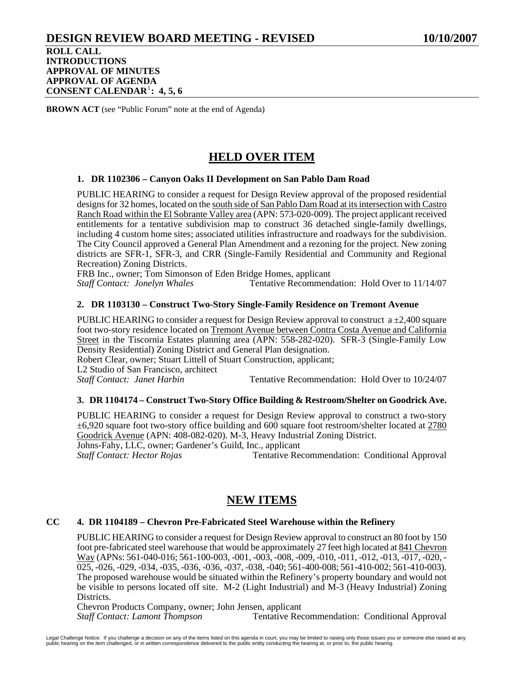**ROLL CALL INTRODUCTIONS APPROVAL OF MINUTES APPROVAL OF AGENDA CONSENT CALENDAR**[1](#page-51-0) **: 4, 5, 6**

**BROWN ACT** (see "Public Forum" note at the end of Agenda)

# **HELD OVER ITEM**

## **1. DR 1102306 – Canyon Oaks II Development on San Pablo Dam Road**

PUBLIC HEARING to consider a request for Design Review approval of the proposed residential designs for 32 homes, located on the south side of San Pablo Dam Road at its intersection with Castro Ranch Road within the El Sobrante Valley area (APN: 573-020-009). The project applicant received entitlements for a tentative subdivision map to construct 36 detached single-family dwellings, including 4 custom home sites; associated utilities infrastructure and roadways for the subdivision. The City Council approved a General Plan Amendment and a rezoning for the project. New zoning districts are SFR-1, SFR-3, and CRR (Single-Family Residential and Community and Regional Recreation) Zoning Districts.

FRB Inc., owner; Tom Simonson of Eden Bridge Homes, applicant

*Staff Contact: Jonelyn Whales* Tentative Recommendation: Hold Over to 11/14/07

## **2. DR 1103130 – Construct Two-Story Single-Family Residence on Tremont Avenue**

PUBLIC HEARING to consider a request for Design Review approval to construct  $a \pm 2,400$  square foot two-story residence located on Tremont Avenue between Contra Costa Avenue and California Street in the Tiscornia Estates planning area (APN: 558-282-020). SFR-3 (Single-Family Low Density Residential) Zoning District and General Plan designation. Robert Clear, owner; Stuart Littell of Stuart Construction, applicant;

L2 Studio of San Francisco, architect

*Staff Contact: Janet Harbin* **Tentative Recommendation: Hold Over to 10/24/07** 

## **3. DR 1104174 – Construct Two-Story Office Building & Restroom/Shelter on Goodrick Ave.**

PUBLIC HEARING to consider a request for Design Review approval to construct a two-story ±6,920 square foot two-story office building and 600 square foot restroom/shelter located at 2780 Goodrick Avenue (APN: 408-082-020). M-3, Heavy Industrial Zoning District. Johns-Fahy, LLC, owner; Gardener's Guild, Inc., applicant

*Staff Contact: Hector Rojas* Tentative Recommendation: Conditional Approval

# **NEW ITEMS**

## **CC 4. DR 1104189 – Chevron Pre-Fabricated Steel Warehouse within the Refinery**

PUBLIC HEARING to consider a request for Design Review approval to construct an 80 foot by 150 foot pre-fabricated steel warehouse that would be approximately 27 feet high located at 841 Chevron Way (APNs: 561-040-016; 561-100-003, -001, -003, -008, -009, -010, -011, -012, -013, -017, -020, - 025, -026, -029, -034, -035, -036, -036, -037, -038, -040; 561-400-008; 561-410-002; 561-410-003). The proposed warehouse would be situated within the Refinery's property boundary and would not be visible to persons located off site. M-2 (Light Industrial) and M-3 (Heavy Industrial) Zoning Districts.

Chevron Products Company, owner; John Jensen, applicant

*Staff Contact: Lamont Thompson* Tentative Recommendation: Conditional Approval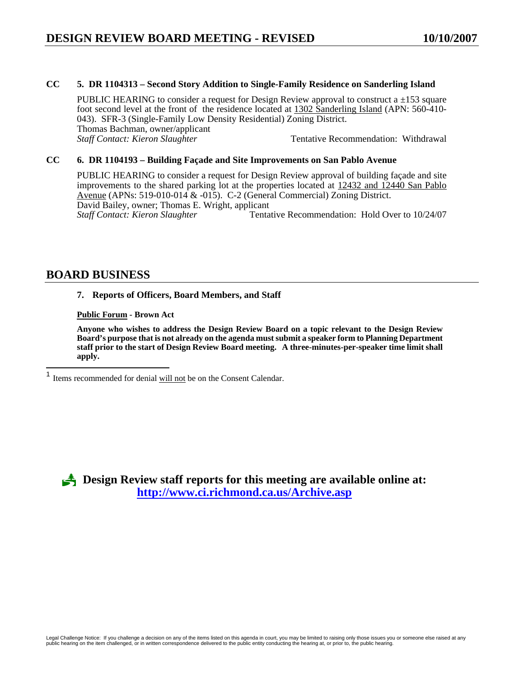## **CC 5. DR 1104313 – Second Story Addition to Single-Family Residence on Sanderling Island**

PUBLIC HEARING to consider a request for Design Review approval to construct a  $\pm 153$  square foot second level at the front of the residence located at 1302 Sanderling Island (APN: 560-410- 043). SFR-3 (Single-Family Low Density Residential) Zoning District. Thomas Bachman, owner/applicant<br>Staff Contact: Kieron Slaughter *Staff Contact: Kieron Slaughter* Tentative Recommendation: Withdrawal

#### **CC 6. DR 1104193 – Building Façade and Site Improvements on San Pablo Avenue**

PUBLIC HEARING to consider a request for Design Review approval of building façade and site improvements to the shared parking lot at the properties located at 12432 and 12440 San Pablo Avenue (APNs: 519-010-014 & -015). C-2 (General Commercial) Zoning District. David Bailey, owner; Thomas E. Wright, applicant *Staff Contact: Kieron Slaughter* **Tentative Recommendation: Hold Over to 10/24/07** 

## **BOARD BUSINESS**

#### **7. Reports of Officers, Board Members, and Staff**

#### **Public Forum - Brown Act**

**Anyone who wishes to address the Design Review Board on a topic relevant to the Design Review Board's purpose that is not already on the agenda must submit a speaker form to Planning Department staff prior to the start of Design Review Board meeting. A three-minutes-per-speaker time limit shall apply.** 

3 **Design Review staff reports for this meeting are available online at: <http://www.ci.richmond.ca.us/Archive.asp>**

<span id="page-51-0"></span> $\overline{1}$ Items recommended for denial will not be on the Consent Calendar.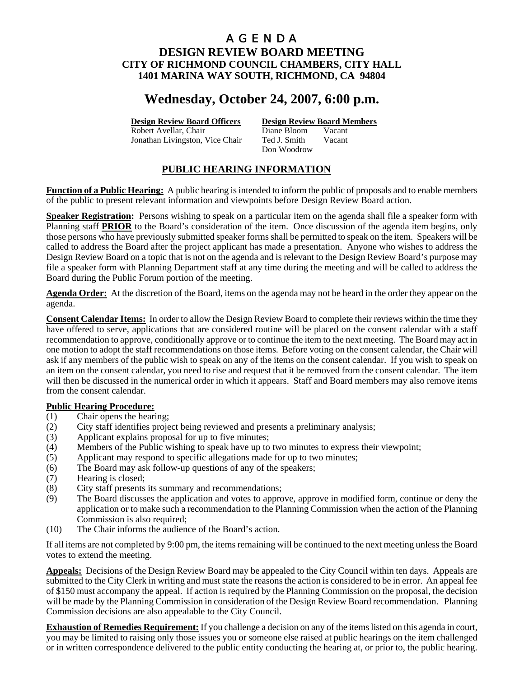# A G E N D A

## **DESIGN REVIEW BOARD MEETING CITY OF RICHMOND COUNCIL CHAMBERS, CITY HALL 1401 MARINA WAY SOUTH, RICHMOND, CA 94804**

# **Wednesday, October 24, 2007, 6:00 p.m.**

Robert Avellar, Chair Diane Bloom Vacant Jonathan Livingston, Vice Chair Ted J. Smith Vacant

**Design Review Board Officers Design Review Board Members**

Don Woodrow

## **PUBLIC HEARING INFORMATION**

**Function of a Public Hearing:** A public hearing is intended to inform the public of proposals and to enable members of the public to present relevant information and viewpoints before Design Review Board action.

**Speaker Registration:** Persons wishing to speak on a particular item on the agenda shall file a speaker form with Planning staff **PRIOR** to the Board's consideration of the item. Once discussion of the agenda item begins, only those persons who have previously submitted speaker forms shall be permitted to speak on the item. Speakers will be called to address the Board after the project applicant has made a presentation. Anyone who wishes to address the Design Review Board on a topic that is not on the agenda and is relevant to the Design Review Board's purpose may file a speaker form with Planning Department staff at any time during the meeting and will be called to address the Board during the Public Forum portion of the meeting.

**Agenda Order:** At the discretion of the Board, items on the agenda may not be heard in the order they appear on the agenda.

**Consent Calendar Items:** In order to allow the Design Review Board to complete their reviews within the time they have offered to serve, applications that are considered routine will be placed on the consent calendar with a staff recommendation to approve, conditionally approve or to continue the item to the next meeting. The Board may act in one motion to adopt the staff recommendations on those items. Before voting on the consent calendar, the Chair will ask if any members of the public wish to speak on any of the items on the consent calendar. If you wish to speak on an item on the consent calendar, you need to rise and request that it be removed from the consent calendar. The item will then be discussed in the numerical order in which it appears. Staff and Board members may also remove items from the consent calendar.

## **Public Hearing Procedure:**

- (1) Chair opens the hearing;
- (2) City staff identifies project being reviewed and presents a preliminary analysis;
- (3) Applicant explains proposal for up to five minutes;
- (4) Members of the Public wishing to speak have up to two minutes to express their viewpoint;
- (5) Applicant may respond to specific allegations made for up to two minutes;
- (6) The Board may ask follow-up questions of any of the speakers;
- (7) Hearing is closed;
- (8) City staff presents its summary and recommendations;
- (9) The Board discusses the application and votes to approve, approve in modified form, continue or deny the application or to make such a recommendation to the Planning Commission when the action of the Planning Commission is also required;
- (10) The Chair informs the audience of the Board's action.

If all items are not completed by 9:00 pm, the items remaining will be continued to the next meeting unless the Board votes to extend the meeting.

**Appeals:** Decisions of the Design Review Board may be appealed to the City Council within ten days. Appeals are submitted to the City Clerk in writing and must state the reasons the action is considered to be in error. An appeal fee of \$150 must accompany the appeal. If action is required by the Planning Commission on the proposal, the decision will be made by the Planning Commission in consideration of the Design Review Board recommendation. Planning Commission decisions are also appealable to the City Council.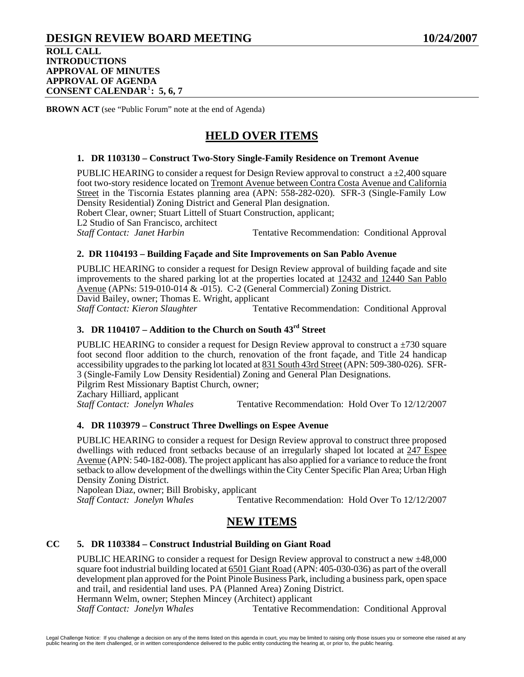## **DESIGN REVIEW BOARD MEETING 10/24/2007 ROLL CALL INTRODUCTIONS APPROVAL OF MINUTES APPROVAL OF AGENDA CONSENT CALENDAR**[1](#page-54-0) **: 5, 6, 7**

**BROWN ACT** (see "Public Forum" note at the end of Agenda)

# **HELD OVER ITEMS**

### **1. DR 1103130 – Construct Two-Story Single-Family Residence on Tremont Avenue**

PUBLIC HEARING to consider a request for Design Review approval to construct  $a \pm 2,400$  square foot two-story residence located on Tremont Avenue between Contra Costa Avenue and California Street in the Tiscornia Estates planning area (APN: 558-282-020). SFR-3 (Single-Family Low Density Residential) Zoning District and General Plan designation.

Robert Clear, owner; Stuart Littell of Stuart Construction, applicant; L2 Studio of San Francisco, architect

**Staff Contact: Janet Harbin**  Tentative Recommendation: Conditional Approval

## **2. DR 1104193 – Building Façade and Site Improvements on San Pablo Avenue**

PUBLIC HEARING to consider a request for Design Review approval of building façade and site improvements to the shared parking lot at the properties located at 12432 and 12440 San Pablo Avenue (APNs: 519-010-014 & -015). C-2 (General Commercial) Zoning District. David Bailey, owner; Thomas E. Wright, applicant *Staff Contact: Kieron Slaughter* Tentative Recommendation: Conditional Approval

## **3. DR 1104107 – Addition to the Church on South 43rd Street**

PUBLIC HEARING to consider a request for Design Review approval to construct a  $\pm$ 730 square foot second floor addition to the church, renovation of the front façade, and Title 24 handicap accessibility upgrades to the parking lot located at 831 South 43rd Street (APN: 509-380-026). SFR-3 (Single-Family Low Density Residential) Zoning and General Plan Designations. Pilgrim Rest Missionary Baptist Church, owner; Zachary Hilliard, applicant

*Staff Contact: Jonelyn Whales* Tentative Recommendation: Hold Over To 12/12/2007

## **4. DR 1103979 – Construct Three Dwellings on Espee Avenue**

PUBLIC HEARING to consider a request for Design Review approval to construct three proposed dwellings with reduced front setbacks because of an irregularly shaped lot located at 247 Espee Avenue (APN: 540-182-008). The project applicant has also applied for a variance to reduce the front setback to allow development of the dwellings within the City Center Specific Plan Area; Urban High Density Zoning District.

Napolean Diaz, owner; Bill Brobisky, applicant<br>Staff Contact: Jonelyn Whales Tenta

Tentative Recommendation: Hold Over To 12/12/2007

## **NEW ITEMS**

#### **CC 5. DR 1103384 – Construct Industrial Building on Giant Road**

PUBLIC HEARING to consider a request for Design Review approval to construct a new ±48,000 square foot industrial building located at 6501 Giant Road (APN: 405-030-036) as part of the overall development plan approved for the Point Pinole Business Park, including a business park, open space and trail, and residential land uses. PA (Planned Area) Zoning District.

Hermann Welm, owner; Stephen Mincey (Architect) applicant

*Staff Contact: Jonelyn Whales* Tentative Recommendation: Conditional Approval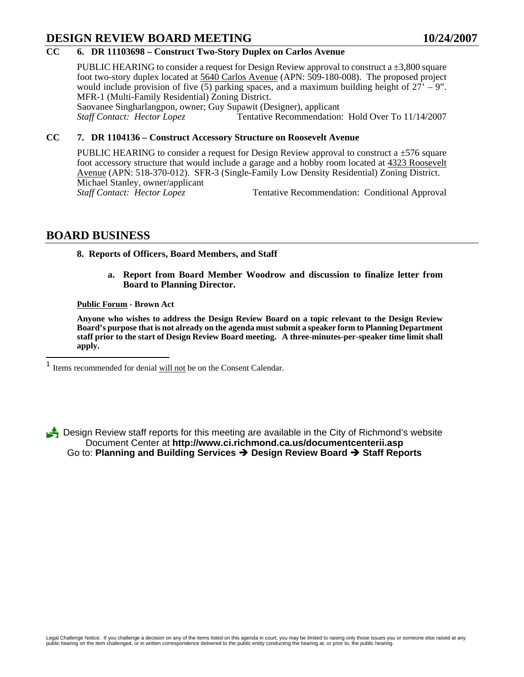# **DESIGN REVIEW BOARD MEETING 10/24/2007**

## **CC 6. DR 11103698 – Construct Two-Story Duplex on Carlos Avenue**

PUBLIC HEARING to consider a request for Design Review approval to construct a  $\pm 3,800$  square foot two-story duplex located at 5640 Carlos Avenue (APN: 509-180-008). The proposed project would include provision of five (5) parking spaces, and a maximum building height of  $27' - 9$ ". MFR-1 (Multi-Family Residential) Zoning District. Saovanee Singharlangpon, owner; Guy Supawit (Designer), applicant *Staff Contact: Hector Lopez* Tentative Recommendation: Hold Over To 11/14/2007

#### **CC 7. DR 1104136 – Construct Accessory Structure on Roosevelt Avenue**

PUBLIC HEARING to consider a request for Design Review approval to construct a  $\pm$ 576 square foot accessory structure that would include a garage and a hobby room located at 4323 Roosevelt Avenue (APN: 518-370-012). SFR-3 (Single-Family Low Density Residential) Zoning District. Michael Stanley, owner/applicant<br>Staff Contact: Hector Lopez Tentative Recommendation: Conditional Approval

## **BOARD BUSINESS**

<span id="page-54-0"></span>1

#### **8. Reports of Officers, Board Members, and Staff**

**a. Report from Board Member Woodrow and discussion to finalize letter from Board to Planning Director.** 

#### **Public Forum - Brown Act**

**Anyone who wishes to address the Design Review Board on a topic relevant to the Design Review Board's purpose that is not already on the agenda must submit a speaker form to Planning Department staff prior to the start of Design Review Board meeting. A three-minutes-per-speaker time limit shall apply.** 

Items recommended for denial will not be on the Consent Calendar.

3 Design Review staff reports for this meeting are available in the City of Richmond's website Document Center at **http://www.ci.richmond.ca.us/documentcenterii.asp** Go to: **Planning and Building Services** Î **Design Review Board** Î **Staff Reports**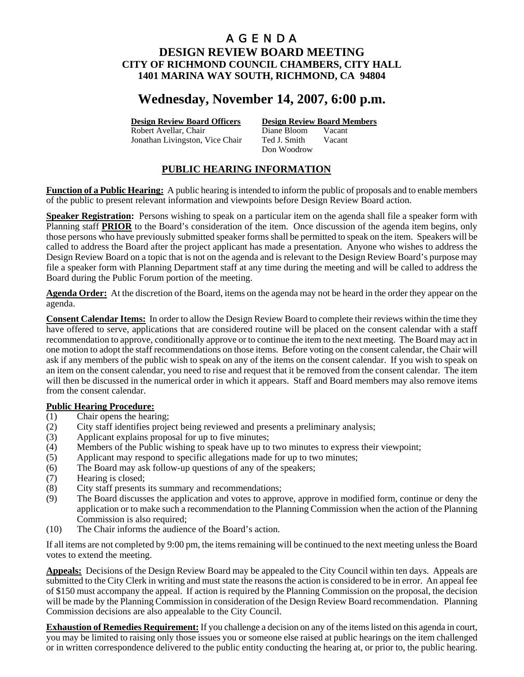# **Wednesday, November 14, 2007, 6:00 p.m.**

Robert Avellar, Chair Diane Bloom Vacant Jonathan Livingston, Vice Chair Ted J. Smith Vacant

**Design Review Board Officers Design Review Board Members**

Don Woodrow

## **PUBLIC HEARING INFORMATION**

**Function of a Public Hearing:** A public hearing is intended to inform the public of proposals and to enable members of the public to present relevant information and viewpoints before Design Review Board action.

**Speaker Registration:** Persons wishing to speak on a particular item on the agenda shall file a speaker form with Planning staff **PRIOR** to the Board's consideration of the item. Once discussion of the agenda item begins, only those persons who have previously submitted speaker forms shall be permitted to speak on the item. Speakers will be called to address the Board after the project applicant has made a presentation. Anyone who wishes to address the Design Review Board on a topic that is not on the agenda and is relevant to the Design Review Board's purpose may file a speaker form with Planning Department staff at any time during the meeting and will be called to address the Board during the Public Forum portion of the meeting.

**Agenda Order:** At the discretion of the Board, items on the agenda may not be heard in the order they appear on the agenda.

**Consent Calendar Items:** In order to allow the Design Review Board to complete their reviews within the time they have offered to serve, applications that are considered routine will be placed on the consent calendar with a staff recommendation to approve, conditionally approve or to continue the item to the next meeting. The Board may act in one motion to adopt the staff recommendations on those items. Before voting on the consent calendar, the Chair will ask if any members of the public wish to speak on any of the items on the consent calendar. If you wish to speak on an item on the consent calendar, you need to rise and request that it be removed from the consent calendar. The item will then be discussed in the numerical order in which it appears. Staff and Board members may also remove items from the consent calendar.

## **Public Hearing Procedure:**

- (1) Chair opens the hearing;
- (2) City staff identifies project being reviewed and presents a preliminary analysis;
- (3) Applicant explains proposal for up to five minutes;
- (4) Members of the Public wishing to speak have up to two minutes to express their viewpoint;
- (5) Applicant may respond to specific allegations made for up to two minutes;
- (6) The Board may ask follow-up questions of any of the speakers;
- (7) Hearing is closed;
- (8) City staff presents its summary and recommendations;
- (9) The Board discusses the application and votes to approve, approve in modified form, continue or deny the application or to make such a recommendation to the Planning Commission when the action of the Planning Commission is also required;
- (10) The Chair informs the audience of the Board's action.

If all items are not completed by 9:00 pm, the items remaining will be continued to the next meeting unless the Board votes to extend the meeting.

**Appeals:** Decisions of the Design Review Board may be appealed to the City Council within ten days. Appeals are submitted to the City Clerk in writing and must state the reasons the action is considered to be in error. An appeal fee of \$150 must accompany the appeal. If action is required by the Planning Commission on the proposal, the decision will be made by the Planning Commission in consideration of the Design Review Board recommendation. Planning Commission decisions are also appealable to the City Council.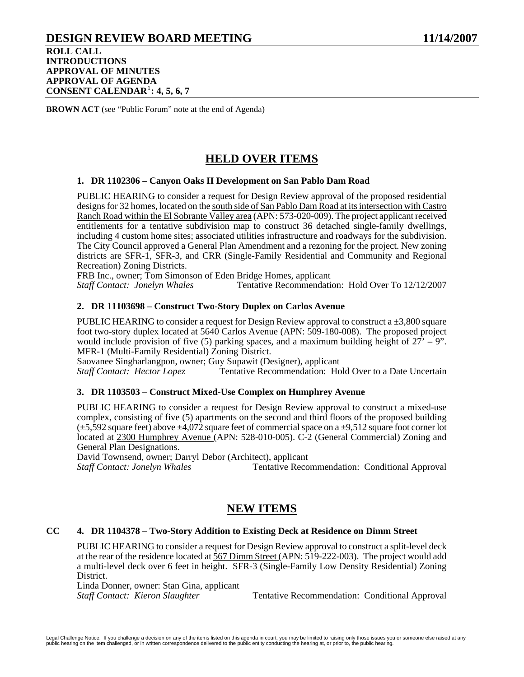## **DESIGN REVIEW BOARD MEETING 11/14/2007 ROLL CALL INTRODUCTIONS APPROVAL OF MINUTES APPROVAL OF AGENDA CONSENT CALENDAR**[1](#page-57-0) **: 4, 5, 6, 7**

**BROWN ACT** (see "Public Forum" note at the end of Agenda)

# **HELD OVER ITEMS**

### **1. DR 1102306 – Canyon Oaks II Development on San Pablo Dam Road**

PUBLIC HEARING to consider a request for Design Review approval of the proposed residential designs for 32 homes, located on the south side of San Pablo Dam Road at its intersection with Castro Ranch Road within the El Sobrante Valley area (APN: 573-020-009). The project applicant received entitlements for a tentative subdivision map to construct 36 detached single-family dwellings, including 4 custom home sites; associated utilities infrastructure and roadways for the subdivision. The City Council approved a General Plan Amendment and a rezoning for the project. New zoning districts are SFR-1, SFR-3, and CRR (Single-Family Residential and Community and Regional Recreation) Zoning Districts.

FRB Inc., owner; Tom Simonson of Eden Bridge Homes, applicant

*Staff Contact: Jonelyn Whales* Tentative Recommendation: Hold Over To 12/12/2007

### **2. DR 11103698 – Construct Two-Story Duplex on Carlos Avenue**

PUBLIC HEARING to consider a request for Design Review approval to construct a  $\pm 3.800$  square foot two-story duplex located at 5640 Carlos Avenue (APN: 509-180-008). The proposed project would include provision of five (5) parking spaces, and a maximum building height of  $27' - 9$ ". MFR-1 (Multi-Family Residential) Zoning District.

Saovanee Singharlangpon, owner; Guy Supawit (Designer), applicant Staff Contact: Hector Lopez Tentative Recommendation: Ho

Tentative Recommendation: Hold Over to a Date Uncertain

## **3. DR 1103503 – Construct Mixed-Use Complex on Humphrey Avenue**

PUBLIC HEARING to consider a request for Design Review approval to construct a mixed-use complex, consisting of five (5) apartments on the second and third floors of the proposed building  $(\pm 5,592)$  square feet) above  $\pm 4,072$  square feet of commercial space on a  $\pm 9,512$  square foot corner lot located at 2300 Humphrey Avenue (APN: 528-010-005). C-2 (General Commercial) Zoning and General Plan Designations.

David Townsend, owner; Darryl Debor (Architect), applicant

*Staff Contact: Jonelyn Whales* Tentative Recommendation: Conditional Approval

## **NEW ITEMS**

## **CC 4. DR 1104378 – Two-Story Addition to Existing Deck at Residence on Dimm Street**

PUBLIC HEARING to consider a request for Design Review approval to construct a split-level deck at the rear of the residence located at  $\frac{567 \text{ Dimm Street}}{222 (100)}$ . The project would add a multi-level deck over 6 feet in height. SFR-3 (Single-Family Low Density Residential) Zoning District.

Linda Donner, owner: Stan Gina, applicant

*Staff Contact: Kieron Slaughter* Tentative Recommendation: Conditional Approval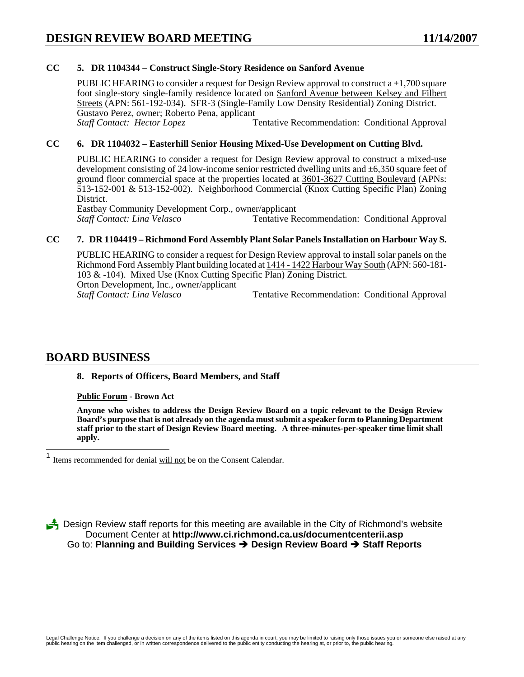## **CC 5. DR 1104344 – Construct Single-Story Residence on Sanford Avenue**

PUBLIC HEARING to consider a request for Design Review approval to construct a  $\pm 1,700$  square foot single-story single-family residence located on Sanford Avenue between Kelsey and Filbert Streets (APN: 561-192-034). SFR-3 (Single-Family Low Density Residential) Zoning District. Gustavo Perez, owner; Roberto Pena, applicant *Staff Contact: Hector Lopez* **Tentative Recommendation: Conditional Approval** 

## **CC 6. DR 1104032 – Easterhill Senior Housing Mixed-Use Development on Cutting Blvd.**

PUBLIC HEARING to consider a request for Design Review approval to construct a mixed-use development consisting of 24 low-income senior restricted dwelling units and  $\pm 6,350$  square feet of ground floor commercial space at the properties located at 3601-3627 Cutting Boulevard (APNs: 513-152-001 & 513-152-002). Neighborhood Commercial (Knox Cutting Specific Plan) Zoning District.

Eastbay Community Development Corp., owner/applicant *Staff Contact: Lina Velasco* Tentative Recommendation: Conditional Approval

#### **CC 7. DR 1104419 – Richmond Ford Assembly Plant Solar Panels Installation on Harbour Way S.**

PUBLIC HEARING to consider a request for Design Review approval to install solar panels on the Richmond Ford Assembly Plant building located at 1414 - 1422 Harbour Way South (APN: 560-181- 103 & -104). Mixed Use (Knox Cutting Specific Plan) Zoning District. Orton Development, Inc., owner/applicant *Staff Contact: Lina Velasco* Tentative Recommendation: Conditional Approval

## **BOARD BUSINESS**

<span id="page-57-0"></span> $\overline{\phantom{a}}$ 

#### **8. Reports of Officers, Board Members, and Staff**

#### **Public Forum - Brown Act**

**Anyone who wishes to address the Design Review Board on a topic relevant to the Design Review Board's purpose that is not already on the agenda must submit a speaker form to Planning Department staff prior to the start of Design Review Board meeting. A three-minutes-per-speaker time limit shall apply.** 

3 Design Review staff reports for this meeting are available in the City of Richmond's website Document Center at **http://www.ci.richmond.ca.us/documentcenterii.asp** Go to: **Planning and Building Services** Î **Design Review Board** Î **Staff Reports** 

Items recommended for denial will not be on the Consent Calendar.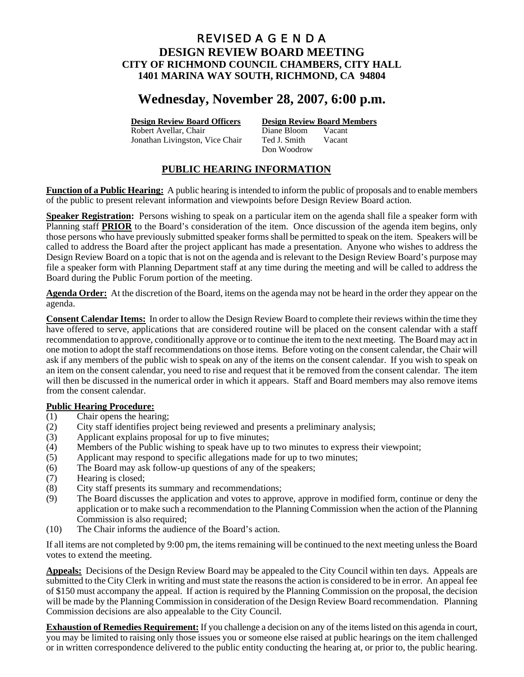## REVISED A G E N D A **DESIGN REVIEW BOARD MEETING CITY OF RICHMOND COUNCIL CHAMBERS, CITY HALL 1401 MARINA WAY SOUTH, RICHMOND, CA 94804**

# **Wednesday, November 28, 2007, 6:00 p.m.**

Robert Avellar, Chair Diane Bloom Vacant

**Design Review Board Officers Design Review Board Members**

Jonathan Livingston, Vice Chair Ted J. Smith Vacant Don Woodrow

## **PUBLIC HEARING INFORMATION**

**Function of a Public Hearing:** A public hearing is intended to inform the public of proposals and to enable members of the public to present relevant information and viewpoints before Design Review Board action.

**Speaker Registration:** Persons wishing to speak on a particular item on the agenda shall file a speaker form with Planning staff **PRIOR** to the Board's consideration of the item. Once discussion of the agenda item begins, only those persons who have previously submitted speaker forms shall be permitted to speak on the item. Speakers will be called to address the Board after the project applicant has made a presentation. Anyone who wishes to address the Design Review Board on a topic that is not on the agenda and is relevant to the Design Review Board's purpose may file a speaker form with Planning Department staff at any time during the meeting and will be called to address the Board during the Public Forum portion of the meeting.

**Agenda Order:** At the discretion of the Board, items on the agenda may not be heard in the order they appear on the agenda.

**Consent Calendar Items:** In order to allow the Design Review Board to complete their reviews within the time they have offered to serve, applications that are considered routine will be placed on the consent calendar with a staff recommendation to approve, conditionally approve or to continue the item to the next meeting. The Board may act in one motion to adopt the staff recommendations on those items. Before voting on the consent calendar, the Chair will ask if any members of the public wish to speak on any of the items on the consent calendar. If you wish to speak on an item on the consent calendar, you need to rise and request that it be removed from the consent calendar. The item will then be discussed in the numerical order in which it appears. Staff and Board members may also remove items from the consent calendar.

## **Public Hearing Procedure:**

- (1) Chair opens the hearing;
- (2) City staff identifies project being reviewed and presents a preliminary analysis;
- (3) Applicant explains proposal for up to five minutes;
- (4) Members of the Public wishing to speak have up to two minutes to express their viewpoint;
- (5) Applicant may respond to specific allegations made for up to two minutes;
- (6) The Board may ask follow-up questions of any of the speakers;
- (7) Hearing is closed;
- (8) City staff presents its summary and recommendations;
- (9) The Board discusses the application and votes to approve, approve in modified form, continue or deny the application or to make such a recommendation to the Planning Commission when the action of the Planning Commission is also required;
- (10) The Chair informs the audience of the Board's action.

If all items are not completed by 9:00 pm, the items remaining will be continued to the next meeting unless the Board votes to extend the meeting.

**Appeals:** Decisions of the Design Review Board may be appealed to the City Council within ten days. Appeals are submitted to the City Clerk in writing and must state the reasons the action is considered to be in error. An appeal fee of \$150 must accompany the appeal. If action is required by the Planning Commission on the proposal, the decision will be made by the Planning Commission in consideration of the Design Review Board recommendation. Planning Commission decisions are also appealable to the City Council.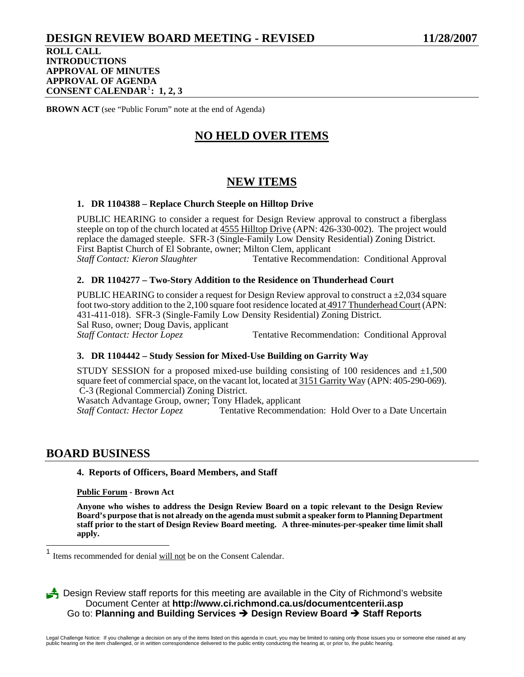# **DESIGN REVIEW BOARD MEETING - REVISED 11/28/2007**

**ROLL CALL INTRODUCTIONS APPROVAL OF MINUTES APPROVAL OF AGENDA CONSENT CALENDAR**[1](#page-59-0) **: 1, 2, 3**

**BROWN ACT** (see "Public Forum" note at the end of Agenda)

# **NO HELD OVER ITEMS**

## **NEW ITEMS**

## **1. DR 1104388 – Replace Church Steeple on Hilltop Drive**

PUBLIC HEARING to consider a request for Design Review approval to construct a fiberglass steeple on top of the church located at 4555 Hilltop Drive (APN: 426-330-002). The project would replace the damaged steeple. SFR-3 (Single-Family Low Density Residential) Zoning District. First Baptist Church of El Sobrante, owner; Milton Clem, applicant Staff Contact: Kieron Slaughter Tentative Recommen Tentative Recommendation: Conditional Approval

## **2. DR 1104277 – Two-Story Addition to the Residence on Thunderhead Court**

PUBLIC HEARING to consider a request for Design Review approval to construct a  $\pm 2,034$  square foot two-story addition to the 2,100 square foot residence located at 4917 Thunderhead Court (APN: 431-411-018). SFR-3 (Single-Family Low Density Residential) Zoning District. Sal Ruso, owner; Doug Davis, applicant<br>Staff Contact: Hector Lopez Tentative Recommendation: Conditional Approval

## **3. DR 1104442 – Study Session for Mixed-Use Building on Garrity Way**

STUDY SESSION for a proposed mixed-use building consisting of 100 residences and  $\pm 1,500$ square feet of commercial space, on the vacant lot, located at 3151 Garrity Way (APN: 405-290-069). C-3 (Regional Commercial) Zoning District.

Wasatch Advantage Group, owner; Tony Hladek, applicant

*Staff Contact: Hector Lopez* Tentative Recommendation: Hold Over to a Date Uncertain

## **BOARD BUSINESS**

 $\overline{\phantom{a}}$ 

#### **4. Reports of Officers, Board Members, and Staff**

**Public Forum - Brown Act** 

**Anyone who wishes to address the Design Review Board on a topic relevant to the Design Review Board's purpose that is not already on the agenda must submit a speaker form to Planning Department staff prior to the start of Design Review Board meeting. A three-minutes-per-speaker time limit shall apply.** 

<span id="page-59-0"></span><sup>1</sup> Items recommended for denial will not be on the Consent Calendar.

**3** Design Review staff reports for this meeting are available in the City of Richmond's website Document Center at **http://www.ci.richmond.ca.us/documentcenterii.asp** Go to: **Planning and Building Services** Î **Design Review Board** Î **Staff Reports**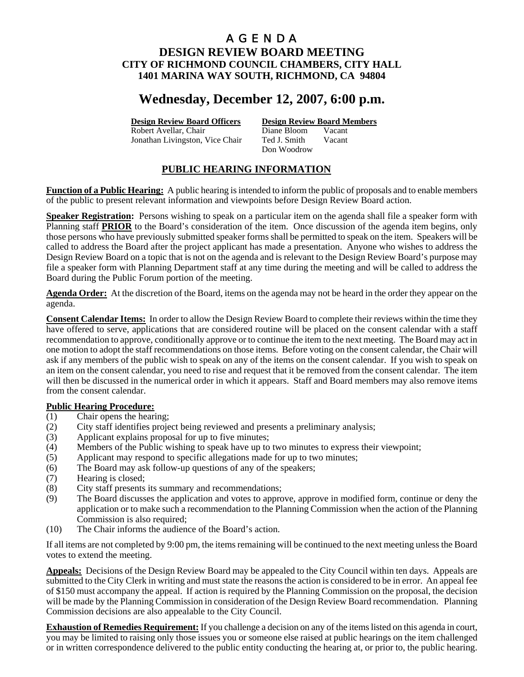# **Wednesday, December 12, 2007, 6:00 p.m.**

Robert Avellar, Chair Diane Bloom Vacant Jonathan Livingston, Vice Chair Ted J. Smith Vacant

**Design Review Board Officers Design Review Board Members**

Don Woodrow

## **PUBLIC HEARING INFORMATION**

**Function of a Public Hearing:** A public hearing is intended to inform the public of proposals and to enable members of the public to present relevant information and viewpoints before Design Review Board action.

**Speaker Registration:** Persons wishing to speak on a particular item on the agenda shall file a speaker form with Planning staff **PRIOR** to the Board's consideration of the item. Once discussion of the agenda item begins, only those persons who have previously submitted speaker forms shall be permitted to speak on the item. Speakers will be called to address the Board after the project applicant has made a presentation. Anyone who wishes to address the Design Review Board on a topic that is not on the agenda and is relevant to the Design Review Board's purpose may file a speaker form with Planning Department staff at any time during the meeting and will be called to address the Board during the Public Forum portion of the meeting.

**Agenda Order:** At the discretion of the Board, items on the agenda may not be heard in the order they appear on the agenda.

**Consent Calendar Items:** In order to allow the Design Review Board to complete their reviews within the time they have offered to serve, applications that are considered routine will be placed on the consent calendar with a staff recommendation to approve, conditionally approve or to continue the item to the next meeting. The Board may act in one motion to adopt the staff recommendations on those items. Before voting on the consent calendar, the Chair will ask if any members of the public wish to speak on any of the items on the consent calendar. If you wish to speak on an item on the consent calendar, you need to rise and request that it be removed from the consent calendar. The item will then be discussed in the numerical order in which it appears. Staff and Board members may also remove items from the consent calendar.

## **Public Hearing Procedure:**

- (1) Chair opens the hearing;
- (2) City staff identifies project being reviewed and presents a preliminary analysis;
- (3) Applicant explains proposal for up to five minutes;
- (4) Members of the Public wishing to speak have up to two minutes to express their viewpoint;
- (5) Applicant may respond to specific allegations made for up to two minutes;
- (6) The Board may ask follow-up questions of any of the speakers;
- (7) Hearing is closed;
- (8) City staff presents its summary and recommendations;
- (9) The Board discusses the application and votes to approve, approve in modified form, continue or deny the application or to make such a recommendation to the Planning Commission when the action of the Planning Commission is also required;
- (10) The Chair informs the audience of the Board's action.

If all items are not completed by 9:00 pm, the items remaining will be continued to the next meeting unless the Board votes to extend the meeting.

**Appeals:** Decisions of the Design Review Board may be appealed to the City Council within ten days. Appeals are submitted to the City Clerk in writing and must state the reasons the action is considered to be in error. An appeal fee of \$150 must accompany the appeal. If action is required by the Planning Commission on the proposal, the decision will be made by the Planning Commission in consideration of the Design Review Board recommendation. Planning Commission decisions are also appealable to the City Council.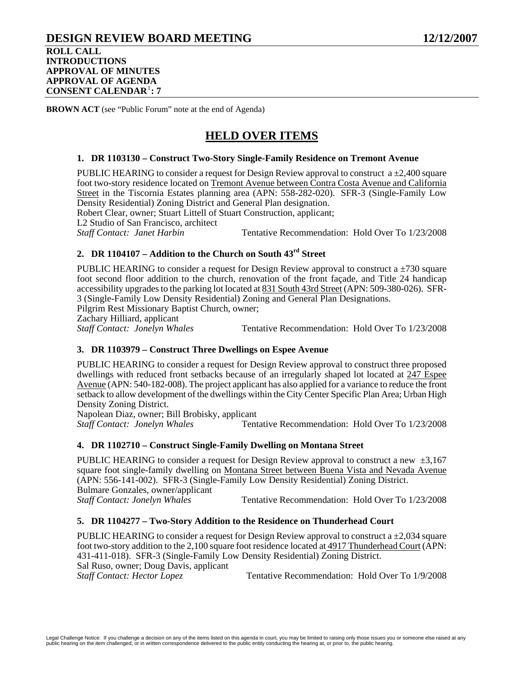## **DESIGN REVIEW BOARD MEETING 12/12/2007 ROLL CALL INTRODUCTIONS APPROVAL OF MINUTES APPROVAL OF AGENDA**

**CONSENT CALENDAR**[1](#page-62-0) **: 7**

**BROWN ACT** (see "Public Forum" note at the end of Agenda)

# **HELD OVER ITEMS**

## **1. DR 1103130 – Construct Two-Story Single-Family Residence on Tremont Avenue**

PUBLIC HEARING to consider a request for Design Review approval to construct  $a \pm 2,400$  square foot two-story residence located on Tremont Avenue between Contra Costa Avenue and California Street in the Tiscornia Estates planning area (APN: 558-282-020). SFR-3 (Single-Family Low Density Residential) Zoning District and General Plan designation.

Robert Clear, owner; Stuart Littell of Stuart Construction, applicant;

L2 Studio of San Francisco, architect

*Staff Contact: Janet Harbin* **Tentative Recommendation: Hold Over To 1/23/2008** 

## **2. DR 1104107 – Addition to the Church on South 43rd Street**

PUBLIC HEARING to consider a request for Design Review approval to construct a  $\pm$ 730 square foot second floor addition to the church, renovation of the front façade, and Title 24 handicap accessibility upgrades to the parking lot located at 831 South 43rd Street (APN: 509-380-026). SFR-3 (Single-Family Low Density Residential) Zoning and General Plan Designations. Pilgrim Rest Missionary Baptist Church, owner; Zachary Hilliard, applicant *Staff Contact: Jonelyn Whales* Tentative Recommendation: Hold Over To 1/23/2008

## **3. DR 1103979 – Construct Three Dwellings on Espee Avenue**

PUBLIC HEARING to consider a request for Design Review approval to construct three proposed dwellings with reduced front setbacks because of an irregularly shaped lot located at 247 Espee Avenue (APN: 540-182-008). The project applicant has also applied for a variance to reduce the front setback to allow development of the dwellings within the City Center Specific Plan Area; Urban High Density Zoning District.

Napolean Diaz, owner; Bill Brobisky, applicant *Staff Contact: Jonelyn Whales* Tentative Recommendation: Hold Over To 1/23/2008

## **4. DR 1102710 – Construct Single-Family Dwelling on Montana Street**

PUBLIC HEARING to consider a request for Design Review approval to construct a new  $\pm 3.167$ square foot single-family dwelling on Montana Street between Buena Vista and Nevada Avenue (APN: 556-141-002). SFR-3 (Single-Family Low Density Residential) Zoning District. Bulmare Gonzales, owner/applicant<br>Staff Contact: Jonelyn Whales Tentative Recommendation: Hold Over To  $1/23/2008$ 

## **5. DR 1104277 – Two-Story Addition to the Residence on Thunderhead Court**

PUBLIC HEARING to consider a request for Design Review approval to construct a  $\pm 2,034$  square foot two-story addition to the 2,100 square foot residence located at 4917 Thunderhead Court (APN: 431-411-018). SFR-3 (Single-Family Low Density Residential) Zoning District. Sal Ruso, owner; Doug Davis, applicant *Staff Contact: Hector Lopez* Tentative Recommendation: Hold Over To 1/9/2008